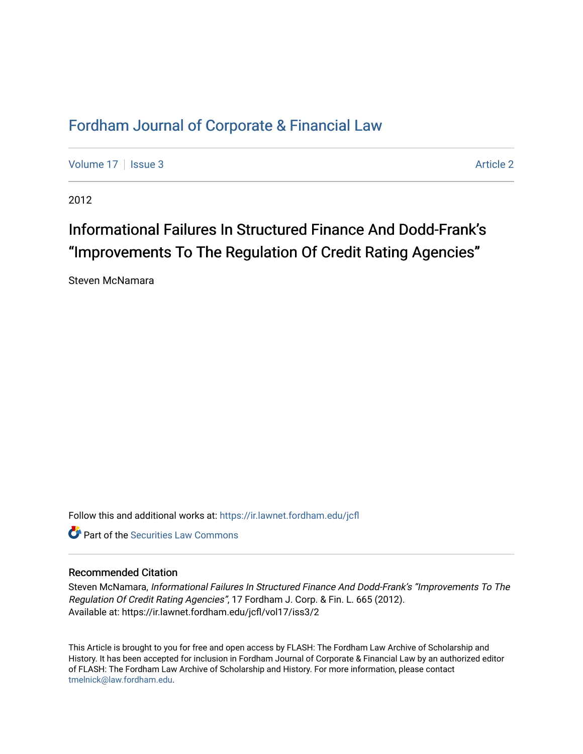# [Fordham Journal of Corporate & Financial Law](https://ir.lawnet.fordham.edu/jcfl)

[Volume 17](https://ir.lawnet.fordham.edu/jcfl/vol17) | [Issue 3](https://ir.lawnet.fordham.edu/jcfl/vol17/iss3) Article 2

2012

# Informational Failures In Structured Finance And Dodd-Frank's "Improvements To The Regulation Of Credit Rating Agencies"

Steven McNamara

Follow this and additional works at: [https://ir.lawnet.fordham.edu/jcfl](https://ir.lawnet.fordham.edu/jcfl?utm_source=ir.lawnet.fordham.edu%2Fjcfl%2Fvol17%2Fiss3%2F2&utm_medium=PDF&utm_campaign=PDFCoverPages) 

**C** Part of the Securities Law Commons

# Recommended Citation

Steven McNamara, Informational Failures In Structured Finance And Dodd-Frank's "Improvements To The Regulation Of Credit Rating Agencies", 17 Fordham J. Corp. & Fin. L. 665 (2012). Available at: https://ir.lawnet.fordham.edu/jcfl/vol17/iss3/2

This Article is brought to you for free and open access by FLASH: The Fordham Law Archive of Scholarship and History. It has been accepted for inclusion in Fordham Journal of Corporate & Financial Law by an authorized editor of FLASH: The Fordham Law Archive of Scholarship and History. For more information, please contact [tmelnick@law.fordham.edu](mailto:tmelnick@law.fordham.edu).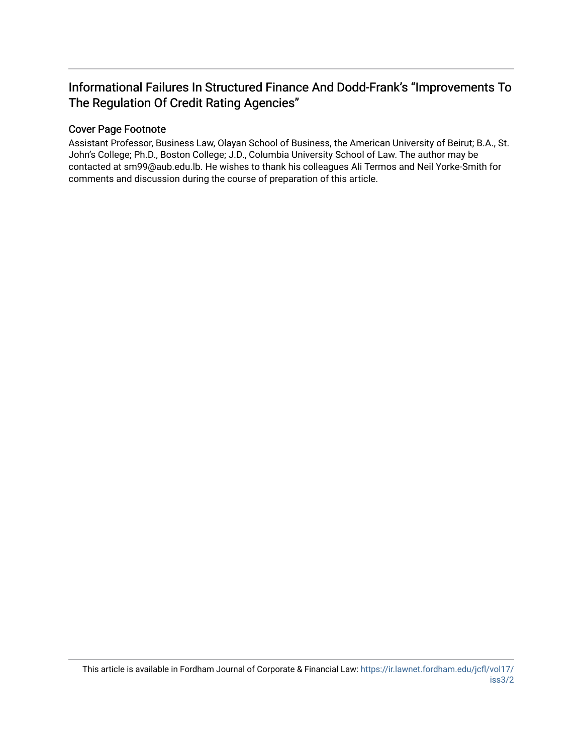# Informational Failures In Structured Finance And Dodd-Frank's "Improvements To The Regulation Of Credit Rating Agencies"

# Cover Page Footnote

Assistant Professor, Business Law, Olayan School of Business, the American University of Beirut; B.A., St. John's College; Ph.D., Boston College; J.D., Columbia University School of Law. The author may be contacted at sm99@aub.edu.lb. He wishes to thank his colleagues Ali Termos and Neil Yorke-Smith for comments and discussion during the course of preparation of this article.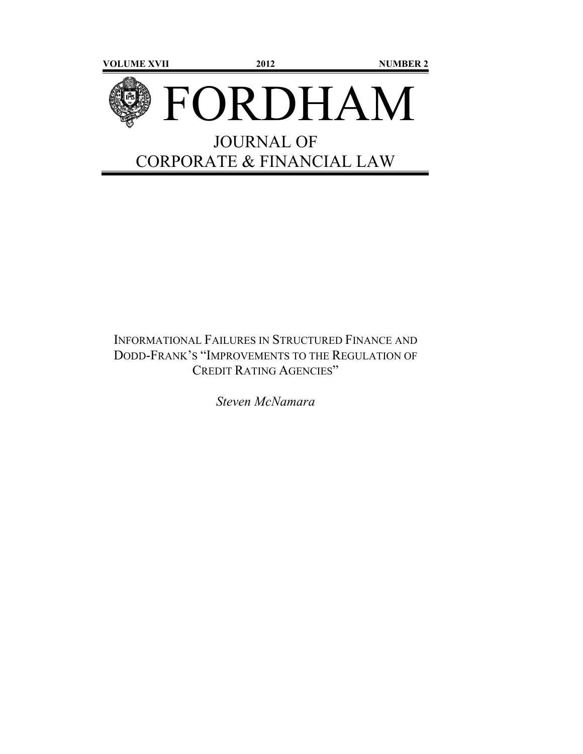

# INFORMATIONAL FAILURES IN STRUCTURED FINANCE AND DODD-FRANK'S "IMPROVEMENTS TO THE REGULATION OF CREDIT RATING AGENCIES"

*Steven McNamara*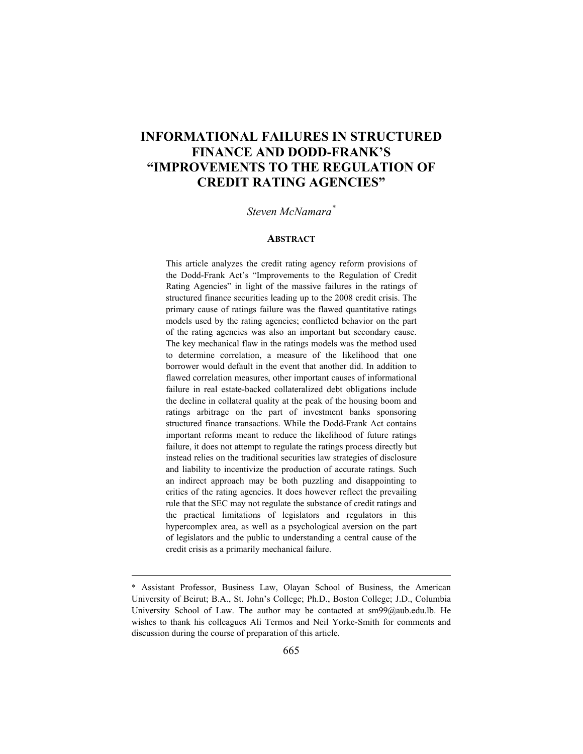# **INFORMATIONAL FAILURES IN STRUCTURED FINANCE AND DODD-FRANK'S "IMPROVEMENTS TO THE REGULATION OF CREDIT RATING AGENCIES"**

# *Steven McNamara\**

#### **ABSTRACT**

This article analyzes the credit rating agency reform provisions of the Dodd-Frank Act's "Improvements to the Regulation of Credit Rating Agencies" in light of the massive failures in the ratings of structured finance securities leading up to the 2008 credit crisis. The primary cause of ratings failure was the flawed quantitative ratings models used by the rating agencies; conflicted behavior on the part of the rating agencies was also an important but secondary cause. The key mechanical flaw in the ratings models was the method used to determine correlation, a measure of the likelihood that one borrower would default in the event that another did. In addition to flawed correlation measures, other important causes of informational failure in real estate-backed collateralized debt obligations include the decline in collateral quality at the peak of the housing boom and ratings arbitrage on the part of investment banks sponsoring structured finance transactions. While the Dodd-Frank Act contains important reforms meant to reduce the likelihood of future ratings failure, it does not attempt to regulate the ratings process directly but instead relies on the traditional securities law strategies of disclosure and liability to incentivize the production of accurate ratings. Such an indirect approach may be both puzzling and disappointing to critics of the rating agencies. It does however reflect the prevailing rule that the SEC may not regulate the substance of credit ratings and the practical limitations of legislators and regulators in this hypercomplex area, as well as a psychological aversion on the part of legislators and the public to understanding a central cause of the credit crisis as a primarily mechanical failure.

<sup>\*</sup> Assistant Professor, Business Law, Olayan School of Business, the American University of Beirut; B.A., St. John's College; Ph.D., Boston College; J.D., Columbia University School of Law. The author may be contacted at  $\text{sm99}(a)$ aub.edu.lb. He wishes to thank his colleagues Ali Termos and Neil Yorke-Smith for comments and discussion during the course of preparation of this article.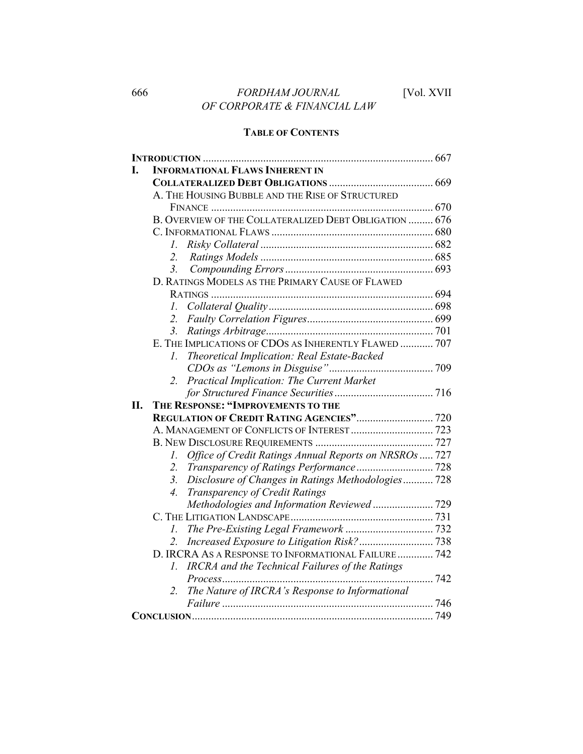# **TABLE OF CONTENTS**

| <b>INFORMATIONAL FLAWS INHERENT IN</b>               |                                                                                                                                                                                                                                                                                                                                                                                                                              |
|------------------------------------------------------|------------------------------------------------------------------------------------------------------------------------------------------------------------------------------------------------------------------------------------------------------------------------------------------------------------------------------------------------------------------------------------------------------------------------------|
|                                                      |                                                                                                                                                                                                                                                                                                                                                                                                                              |
| A. THE HOUSING BUBBLE AND THE RISE OF STRUCTURED     |                                                                                                                                                                                                                                                                                                                                                                                                                              |
|                                                      |                                                                                                                                                                                                                                                                                                                                                                                                                              |
|                                                      |                                                                                                                                                                                                                                                                                                                                                                                                                              |
|                                                      |                                                                                                                                                                                                                                                                                                                                                                                                                              |
| I.                                                   |                                                                                                                                                                                                                                                                                                                                                                                                                              |
| 2.                                                   |                                                                                                                                                                                                                                                                                                                                                                                                                              |
| 3 <sub>1</sub>                                       |                                                                                                                                                                                                                                                                                                                                                                                                                              |
| D. RATINGS MODELS AS THE PRIMARY CAUSE OF FLAWED     |                                                                                                                                                                                                                                                                                                                                                                                                                              |
|                                                      |                                                                                                                                                                                                                                                                                                                                                                                                                              |
| I.                                                   |                                                                                                                                                                                                                                                                                                                                                                                                                              |
|                                                      |                                                                                                                                                                                                                                                                                                                                                                                                                              |
| 3.                                                   |                                                                                                                                                                                                                                                                                                                                                                                                                              |
|                                                      |                                                                                                                                                                                                                                                                                                                                                                                                                              |
| Theoretical Implication: Real Estate-Backed<br>Ι.    |                                                                                                                                                                                                                                                                                                                                                                                                                              |
|                                                      |                                                                                                                                                                                                                                                                                                                                                                                                                              |
|                                                      |                                                                                                                                                                                                                                                                                                                                                                                                                              |
|                                                      |                                                                                                                                                                                                                                                                                                                                                                                                                              |
| THE RESPONSE: "IMPROVEMENTS TO THE                   |                                                                                                                                                                                                                                                                                                                                                                                                                              |
|                                                      |                                                                                                                                                                                                                                                                                                                                                                                                                              |
|                                                      |                                                                                                                                                                                                                                                                                                                                                                                                                              |
|                                                      |                                                                                                                                                                                                                                                                                                                                                                                                                              |
| 1.                                                   |                                                                                                                                                                                                                                                                                                                                                                                                                              |
| 2.                                                   |                                                                                                                                                                                                                                                                                                                                                                                                                              |
| 3.                                                   |                                                                                                                                                                                                                                                                                                                                                                                                                              |
| $\overline{4}$ .                                     |                                                                                                                                                                                                                                                                                                                                                                                                                              |
|                                                      |                                                                                                                                                                                                                                                                                                                                                                                                                              |
|                                                      |                                                                                                                                                                                                                                                                                                                                                                                                                              |
| 1.                                                   |                                                                                                                                                                                                                                                                                                                                                                                                                              |
| 2.                                                   |                                                                                                                                                                                                                                                                                                                                                                                                                              |
|                                                      |                                                                                                                                                                                                                                                                                                                                                                                                                              |
| IRCRA and the Technical Failures of the Ratings<br>L |                                                                                                                                                                                                                                                                                                                                                                                                                              |
|                                                      |                                                                                                                                                                                                                                                                                                                                                                                                                              |
| 2.                                                   |                                                                                                                                                                                                                                                                                                                                                                                                                              |
|                                                      |                                                                                                                                                                                                                                                                                                                                                                                                                              |
|                                                      |                                                                                                                                                                                                                                                                                                                                                                                                                              |
|                                                      | B. OVERVIEW OF THE COLLATERALIZED DEBT OBLIGATION  676<br>E. THE IMPLICATIONS OF CDOS AS INHERENTLY FLAWED  707<br>2. Practical Implication: The Current Market<br>Office of Credit Ratings Annual Reports on NRSROs  727<br>Disclosure of Changes in Ratings Methodologies 728<br>Transparency of Credit Ratings<br>D. IRCRA AS A RESPONSE TO INFORMATIONAL FAILURE  742<br>The Nature of IRCRA's Response to Informational |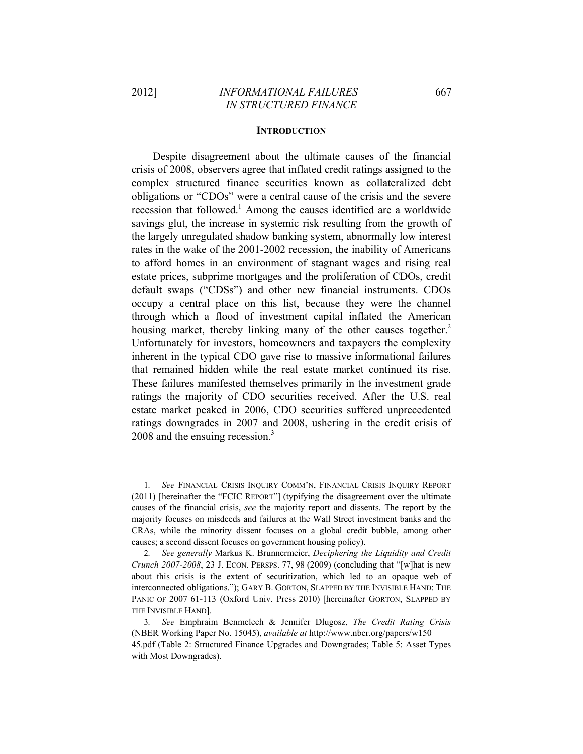#### **INTRODUCTION**

Despite disagreement about the ultimate causes of the financial crisis of 2008, observers agree that inflated credit ratings assigned to the complex structured finance securities known as collateralized debt obligations or "CDOs" were a central cause of the crisis and the severe recession that followed.<sup>1</sup> Among the causes identified are a worldwide savings glut, the increase in systemic risk resulting from the growth of the largely unregulated shadow banking system, abnormally low interest rates in the wake of the 2001-2002 recession, the inability of Americans to afford homes in an environment of stagnant wages and rising real estate prices, subprime mortgages and the proliferation of CDOs, credit default swaps ("CDSs") and other new financial instruments. CDOs occupy a central place on this list, because they were the channel through which a flood of investment capital inflated the American housing market, thereby linking many of the other causes together.<sup>2</sup> Unfortunately for investors, homeowners and taxpayers the complexity inherent in the typical CDO gave rise to massive informational failures that remained hidden while the real estate market continued its rise. These failures manifested themselves primarily in the investment grade ratings the majority of CDO securities received. After the U.S. real estate market peaked in 2006, CDO securities suffered unprecedented ratings downgrades in 2007 and 2008, ushering in the credit crisis of 2008 and the ensuing recession.<sup>3</sup>

<sup>1</sup>*. See* FINANCIAL CRISIS INQUIRY COMM'N, FINANCIAL CRISIS INQUIRY REPORT (2011) [hereinafter the "FCIC REPORT"] (typifying the disagreement over the ultimate causes of the financial crisis, *see* the majority report and dissents. The report by the majority focuses on misdeeds and failures at the Wall Street investment banks and the CRAs, while the minority dissent focuses on a global credit bubble, among other causes; a second dissent focuses on government housing policy).

<sup>2</sup>*. See generally* Markus K. Brunnermeier, *Deciphering the Liquidity and Credit Crunch 2007-2008*, 23 J. ECON. PERSPS. 77, 98 (2009) (concluding that "[w]hat is new about this crisis is the extent of securitization, which led to an opaque web of interconnected obligations."); GARY B. GORTON, SLAPPED BY THE INVISIBLE HAND: THE PANIC OF 2007 61-113 (Oxford Univ. Press 2010) [hereinafter GORTON, SLAPPED BY THE INVISIBLE HAND].

<sup>3</sup>*. See* Emphraim Benmelech & Jennifer Dlugosz, *The Credit Rating Crisis* (NBER Working Paper No. 15045), *available at* http://www.nber.org/papers/w150 45.pdf (Table 2: Structured Finance Upgrades and Downgrades; Table 5: Asset Types with Most Downgrades).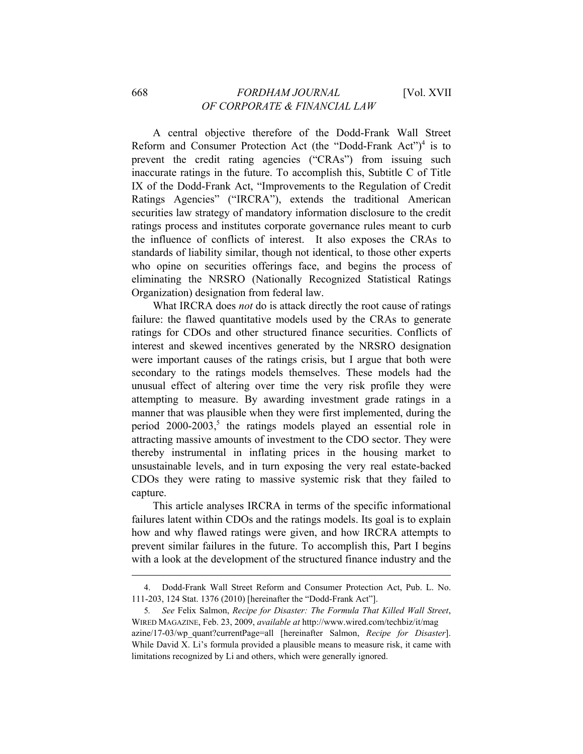## 668 *FORDHAM JOURNAL* [Vol. XVII *OF CORPORATE & FINANCIAL LAW*

A central objective therefore of the Dodd-Frank Wall Street Reform and Consumer Protection Act (the "Dodd-Frank Act")<sup>4</sup> is to prevent the credit rating agencies ("CRAs") from issuing such inaccurate ratings in the future. To accomplish this, Subtitle C of Title IX of the Dodd-Frank Act, "Improvements to the Regulation of Credit Ratings Agencies" ("IRCRA"), extends the traditional American securities law strategy of mandatory information disclosure to the credit ratings process and institutes corporate governance rules meant to curb the influence of conflicts of interest. It also exposes the CRAs to standards of liability similar, though not identical, to those other experts who opine on securities offerings face, and begins the process of eliminating the NRSRO (Nationally Recognized Statistical Ratings Organization) designation from federal law.

What IRCRA does *not* do is attack directly the root cause of ratings failure: the flawed quantitative models used by the CRAs to generate ratings for CDOs and other structured finance securities. Conflicts of interest and skewed incentives generated by the NRSRO designation were important causes of the ratings crisis, but I argue that both were secondary to the ratings models themselves. These models had the unusual effect of altering over time the very risk profile they were attempting to measure. By awarding investment grade ratings in a manner that was plausible when they were first implemented, during the period 2000-2003,<sup>5</sup> the ratings models played an essential role in attracting massive amounts of investment to the CDO sector. They were thereby instrumental in inflating prices in the housing market to unsustainable levels, and in turn exposing the very real estate-backed CDOs they were rating to massive systemic risk that they failed to capture.

This article analyses IRCRA in terms of the specific informational failures latent within CDOs and the ratings models. Its goal is to explain how and why flawed ratings were given, and how IRCRA attempts to prevent similar failures in the future. To accomplish this, Part I begins with a look at the development of the structured finance industry and the

<sup>&</sup>lt;u> 1989 - Johann Barn, mars ann an t-Amhain ann an t-Amhain an t-Amhain an t-Amhain an t-Amhain an t-Amhain an t-</u> 4. Dodd-Frank Wall Street Reform and Consumer Protection Act, Pub. L. No. 111-203, 124 Stat. 1376 (2010) [hereinafter the "Dodd-Frank Act"].

<sup>5</sup>*. See* Felix Salmon, *Recipe for Disaster: The Formula That Killed Wall Street*, WIRED MAGAZINE, Feb. 23, 2009, *available at* http://www.wired.com/techbiz/it/mag azine/17-03/wp\_quant?currentPage=all [hereinafter Salmon, *Recipe for Disaster*]. While David X. Li's formula provided a plausible means to measure risk, it came with limitations recognized by Li and others, which were generally ignored.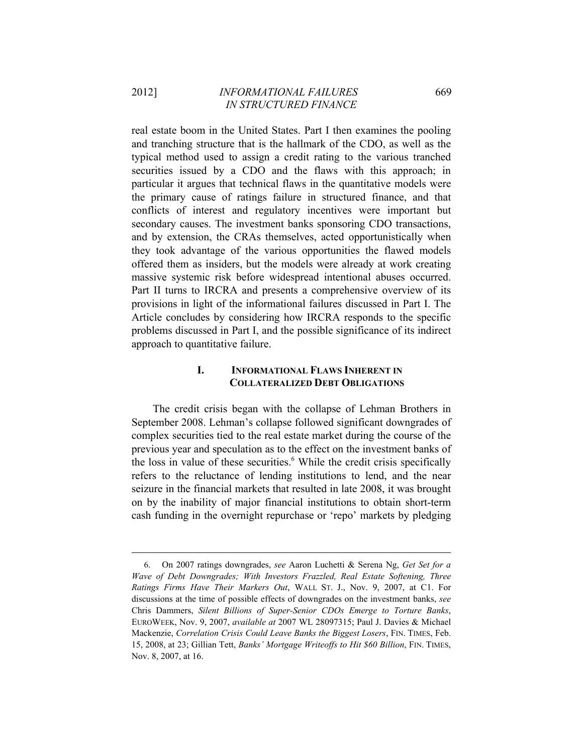real estate boom in the United States. Part I then examines the pooling and tranching structure that is the hallmark of the CDO, as well as the typical method used to assign a credit rating to the various tranched securities issued by a CDO and the flaws with this approach; in particular it argues that technical flaws in the quantitative models were the primary cause of ratings failure in structured finance, and that conflicts of interest and regulatory incentives were important but secondary causes. The investment banks sponsoring CDO transactions, and by extension, the CRAs themselves, acted opportunistically when they took advantage of the various opportunities the flawed models offered them as insiders, but the models were already at work creating massive systemic risk before widespread intentional abuses occurred. Part II turns to IRCRA and presents a comprehensive overview of its provisions in light of the informational failures discussed in Part I. The Article concludes by considering how IRCRA responds to the specific problems discussed in Part I, and the possible significance of its indirect approach to quantitative failure.

# **I. INFORMATIONAL FLAWS INHERENT IN COLLATERALIZED DEBT OBLIGATIONS**

The credit crisis began with the collapse of Lehman Brothers in September 2008. Lehman's collapse followed significant downgrades of complex securities tied to the real estate market during the course of the previous year and speculation as to the effect on the investment banks of the loss in value of these securities.<sup>6</sup> While the credit crisis specifically refers to the reluctance of lending institutions to lend, and the near seizure in the financial markets that resulted in late 2008, it was brought on by the inability of major financial institutions to obtain short-term cash funding in the overnight repurchase or 'repo' markets by pledging

<sup>6.</sup> On 2007 ratings downgrades, *see* Aaron Luchetti & Serena Ng, *Get Set for a Wave of Debt Downgrades; With Investors Frazzled, Real Estate Softening, Three Ratings Firms Have Their Markers Out*, WALL ST. J., Nov. 9, 2007, at C1. For discussions at the time of possible effects of downgrades on the investment banks, *see*  Chris Dammers, *Silent Billions of Super-Senior CDOs Emerge to Torture Banks*, EUROWEEK, Nov. 9, 2007, *available at* 2007 WL 28097315; Paul J. Davies & Michael Mackenzie, *Correlation Crisis Could Leave Banks the Biggest Losers*, FIN. TIMES, Feb. 15, 2008, at 23; Gillian Tett, *Banks' Mortgage Writeoffs to Hit \$60 Billion*, FIN. TIMES, Nov. 8, 2007, at 16.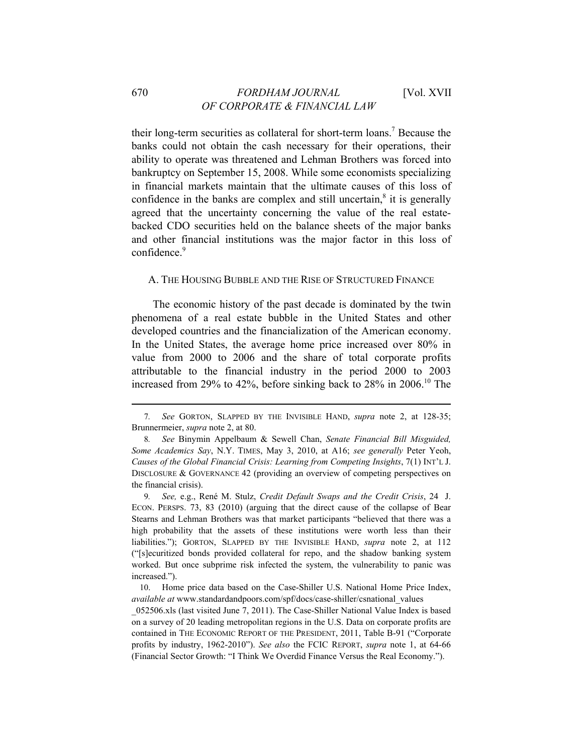their long-term securities as collateral for short-term loans.<sup>7</sup> Because the banks could not obtain the cash necessary for their operations, their ability to operate was threatened and Lehman Brothers was forced into bankruptcy on September 15, 2008. While some economists specializing in financial markets maintain that the ultimate causes of this loss of confidence in the banks are complex and still uncertain, $\delta$  it is generally agreed that the uncertainty concerning the value of the real estatebacked CDO securities held on the balance sheets of the major banks and other financial institutions was the major factor in this loss of confidence.<sup>9</sup>

#### A. THE HOUSING BUBBLE AND THE RISE OF STRUCTURED FINANCE

The economic history of the past decade is dominated by the twin phenomena of a real estate bubble in the United States and other developed countries and the financialization of the American economy. In the United States, the average home price increased over 80% in value from 2000 to 2006 and the share of total corporate profits attributable to the financial industry in the period 2000 to 2003 increased from 29% to 42%, before sinking back to 28% in 2006.<sup>10</sup> The

9*. See,* e.g., René M. Stulz, *Credit Default Swaps and the Credit Crisis*, 24 J. ECON. PERSPS. 73, 83 (2010) (arguing that the direct cause of the collapse of Bear Stearns and Lehman Brothers was that market participants "believed that there was a high probability that the assets of these institutions were worth less than their liabilities."); GORTON, SLAPPED BY THE INVISIBLE HAND, *supra* note 2, at 112 ("[s]ecuritized bonds provided collateral for repo, and the shadow banking system worked. But once subprime risk infected the system, the vulnerability to panic was increased.").

10. Home price data based on the Case-Shiller U.S. National Home Price Index, *available at* www.standardandpoors.com/spf/docs/case-shiller/csnational\_values

\_052506.xls (last visited June 7, 2011). The Case-Shiller National Value Index is based on a survey of 20 leading metropolitan regions in the U.S. Data on corporate profits are contained in THE ECONOMIC REPORT OF THE PRESIDENT, 2011, Table B-91 ("Corporate profits by industry, 1962-2010"). *See also* the FCIC REPORT, *supra* note 1, at 64-66 (Financial Sector Growth: "I Think We Overdid Finance Versus the Real Economy.").

<sup>&</sup>lt;u> 1989 - Johann Barn, mars ann an t-Amhain ann an t-Amhain an t-Amhain an t-Amhain an t-Amhain an t-Amhain an t-</u> 7*. See* GORTON, SLAPPED BY THE INVISIBLE HAND, *supra* note 2, at 128-35; Brunnermeier, *supra* note 2, at 80.

<sup>8</sup>*. See* Binymin Appelbaum & Sewell Chan, *Senate Financial Bill Misguided, Some Academics Say*, N.Y. TIMES, May 3, 2010, at A16; *see generally* Peter Yeoh, *Causes of the Global Financial Crisis: Learning from Competing Insights*, 7(1) INT'L J. DISCLOSURE & GOVERNANCE 42 (providing an overview of competing perspectives on the financial crisis).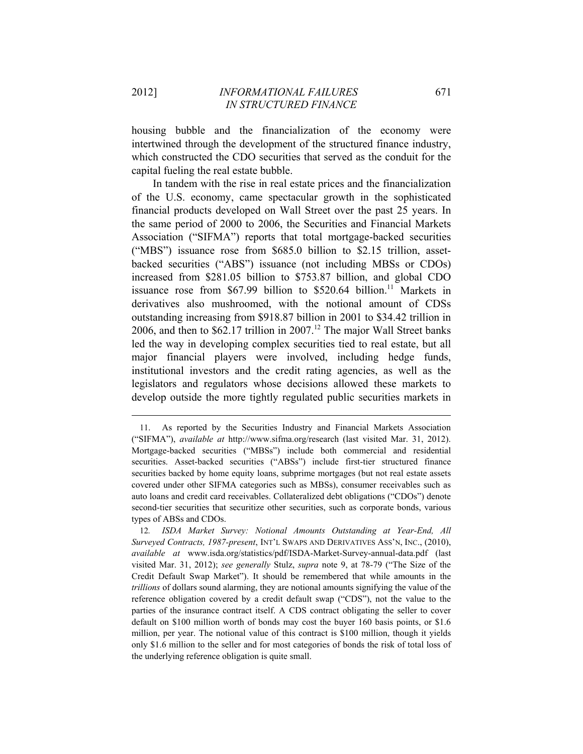housing bubble and the financialization of the economy were intertwined through the development of the structured finance industry, which constructed the CDO securities that served as the conduit for the capital fueling the real estate bubble.

In tandem with the rise in real estate prices and the financialization of the U.S. economy, came spectacular growth in the sophisticated financial products developed on Wall Street over the past 25 years. In the same period of 2000 to 2006, the Securities and Financial Markets Association ("SIFMA") reports that total mortgage-backed securities ("MBS") issuance rose from \$685.0 billion to \$2.15 trillion, assetbacked securities ("ABS") issuance (not including MBSs or CDOs) increased from \$281.05 billion to \$753.87 billion, and global CDO issuance rose from  $$67.99$  billion to  $$520.64$  billion.<sup>11</sup> Markets in derivatives also mushroomed, with the notional amount of CDSs outstanding increasing from \$918.87 billion in 2001 to \$34.42 trillion in 2006, and then to  $$62.17$  trillion in 2007.<sup>12</sup> The major Wall Street banks led the way in developing complex securities tied to real estate, but all major financial players were involved, including hedge funds, institutional investors and the credit rating agencies, as well as the legislators and regulators whose decisions allowed these markets to develop outside the more tightly regulated public securities markets in

<sup>11.</sup> As reported by the Securities Industry and Financial Markets Association ("SIFMA"), *available at* http://www.sifma.org/research (last visited Mar. 31, 2012). Mortgage-backed securities ("MBSs") include both commercial and residential securities. Asset-backed securities ("ABSs") include first-tier structured finance securities backed by home equity loans, subprime mortgages (but not real estate assets covered under other SIFMA categories such as MBSs), consumer receivables such as auto loans and credit card receivables. Collateralized debt obligations ("CDOs") denote second-tier securities that securitize other securities, such as corporate bonds, various types of ABSs and CDOs.

<sup>12</sup>*. ISDA Market Survey: Notional Amounts Outstanding at Year-End, All Surveyed Contracts, 1987-present*, INT'L SWAPS AND DERIVATIVES ASS'N, INC., (2010), *available at* www.isda.org/statistics/pdf/ISDA-Market-Survey-annual-data.pdf (last visited Mar. 31, 2012); *see generally* Stulz, *supra* note 9, at 78-79 ("The Size of the Credit Default Swap Market"). It should be remembered that while amounts in the *trillions* of dollars sound alarming, they are notional amounts signifying the value of the reference obligation covered by a credit default swap ("CDS"), not the value to the parties of the insurance contract itself. A CDS contract obligating the seller to cover default on \$100 million worth of bonds may cost the buyer 160 basis points, or \$1.6 million, per year. The notional value of this contract is \$100 million, though it yields only \$1.6 million to the seller and for most categories of bonds the risk of total loss of the underlying reference obligation is quite small.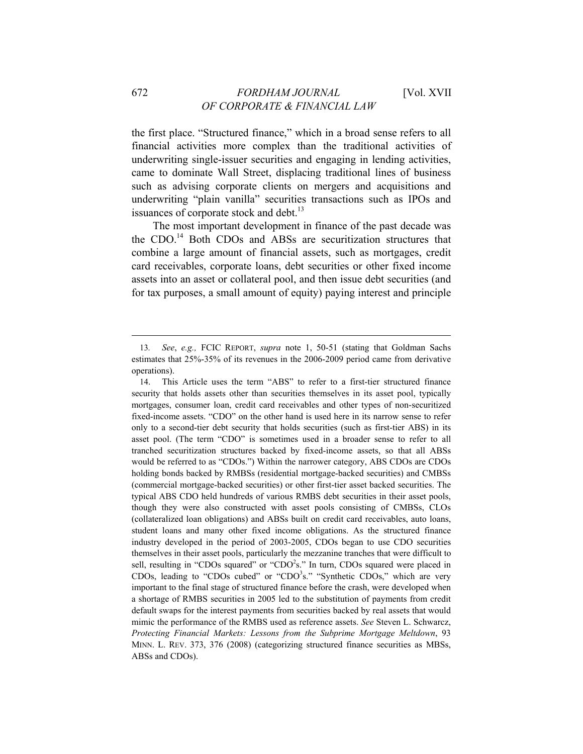the first place. "Structured finance," which in a broad sense refers to all financial activities more complex than the traditional activities of underwriting single-issuer securities and engaging in lending activities, came to dominate Wall Street, displacing traditional lines of business such as advising corporate clients on mergers and acquisitions and underwriting "plain vanilla" securities transactions such as IPOs and issuances of corporate stock and debt.<sup>13</sup>

The most important development in finance of the past decade was the CDO.<sup>14</sup> Both CDOs and ABSs are securitization structures that combine a large amount of financial assets, such as mortgages, credit card receivables, corporate loans, debt securities or other fixed income assets into an asset or collateral pool, and then issue debt securities (and for tax purposes, a small amount of equity) paying interest and principle

<sup>13</sup>*. See*, *e.g.,* FCIC REPORT, *supra* note 1, 50-51 (stating that Goldman Sachs estimates that 25%-35% of its revenues in the 2006-2009 period came from derivative operations).

<sup>14.</sup> This Article uses the term "ABS" to refer to a first-tier structured finance security that holds assets other than securities themselves in its asset pool, typically mortgages, consumer loan, credit card receivables and other types of non-securitized fixed-income assets. "CDO" on the other hand is used here in its narrow sense to refer only to a second-tier debt security that holds securities (such as first-tier ABS) in its asset pool. (The term "CDO" is sometimes used in a broader sense to refer to all tranched securitization structures backed by fixed-income assets, so that all ABSs would be referred to as "CDOs.") Within the narrower category, ABS CDOs are CDOs holding bonds backed by RMBSs (residential mortgage-backed securities) and CMBSs (commercial mortgage-backed securities) or other first-tier asset backed securities. The typical ABS CDO held hundreds of various RMBS debt securities in their asset pools, though they were also constructed with asset pools consisting of CMBSs, CLOs (collateralized loan obligations) and ABSs built on credit card receivables, auto loans, student loans and many other fixed income obligations. As the structured finance industry developed in the period of 2003-2005, CDOs began to use CDO securities themselves in their asset pools, particularly the mezzanine tranches that were difficult to sell, resulting in "CDOs squared" or "CDO $2$ s." In turn, CDOs squared were placed in CDOs, leading to "CDOs cubed" or "CDO $3s$ ." "Synthetic CDOs," which are very important to the final stage of structured finance before the crash, were developed when a shortage of RMBS securities in 2005 led to the substitution of payments from credit default swaps for the interest payments from securities backed by real assets that would mimic the performance of the RMBS used as reference assets. *See* Steven L. Schwarcz, *Protecting Financial Markets: Lessons from the Subprime Mortgage Meltdown*, 93 MINN. L. REV. 373, 376 (2008) (categorizing structured finance securities as MBSs, ABSs and CDOs).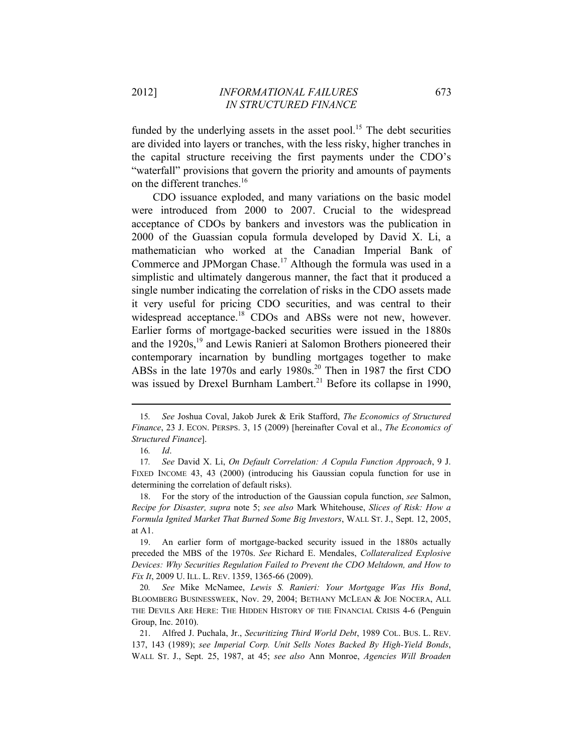funded by the underlying assets in the asset pool.<sup>15</sup> The debt securities are divided into layers or tranches, with the less risky, higher tranches in the capital structure receiving the first payments under the CDO's "waterfall" provisions that govern the priority and amounts of payments on the different tranches.<sup>16</sup>

CDO issuance exploded, and many variations on the basic model were introduced from 2000 to 2007. Crucial to the widespread acceptance of CDOs by bankers and investors was the publication in 2000 of the Guassian copula formula developed by David X. Li, a mathematician who worked at the Canadian Imperial Bank of Commerce and JPMorgan Chase.<sup>17</sup> Although the formula was used in a simplistic and ultimately dangerous manner, the fact that it produced a single number indicating the correlation of risks in the CDO assets made it very useful for pricing CDO securities, and was central to their widespread acceptance.<sup>18</sup> CDOs and ABSs were not new, however. Earlier forms of mortgage-backed securities were issued in the 1880s and the  $1920s$ ,<sup>19</sup> and Lewis Ranieri at Salomon Brothers pioneered their contemporary incarnation by bundling mortgages together to make ABSs in the late 1970s and early 1980s.<sup>20</sup> Then in 1987 the first CDO was issued by Drexel Burnham Lambert.<sup>21</sup> Before its collapse in 1990,

<sup>15</sup>*. See* Joshua Coval, Jakob Jurek & Erik Stafford, *The Economics of Structured Finance*, 23 J. ECON. PERSPS. 3, 15 (2009) [hereinafter Coval et al., *The Economics of Structured Finance*].

<sup>16</sup>*. Id*.

<sup>17</sup>*. See* David X. Li, *On Default Correlation: A Copula Function Approach*, 9 J. FIXED INCOME 43, 43 (2000) (introducing his Gaussian copula function for use in determining the correlation of default risks).

<sup>18.</sup> For the story of the introduction of the Gaussian copula function, *see* Salmon, *Recipe for Disaster, supra* note 5; *see also* Mark Whitehouse, *Slices of Risk: How a Formula Ignited Market That Burned Some Big Investors*, WALL ST. J., Sept. 12, 2005, at A1.

<sup>19.</sup> An earlier form of mortgage-backed security issued in the 1880s actually preceded the MBS of the 1970s. *See* Richard E. Mendales, *Collateralized Explosive Devices: Why Securities Regulation Failed to Prevent the CDO Meltdown, and How to Fix It*, 2009 U. ILL. L. REV. 1359, 1365-66 (2009).

<sup>20</sup>*. See* Mike McNamee, *Lewis S. Ranieri: Your Mortgage Was His Bond*, BLOOMBERG BUSINESSWEEK, Nov. 29, 2004; BETHANY MCLEAN & JOE NOCERA, ALL THE DEVILS ARE HERE: THE HIDDEN HISTORY OF THE FINANCIAL CRISIS 4-6 (Penguin Group, Inc. 2010).

<sup>21.</sup> Alfred J. Puchala, Jr., *Securitizing Third World Debt*, 1989 COL. BUS. L. REV. 137, 143 (1989); *see Imperial Corp. Unit Sells Notes Backed By High-Yield Bonds*, WALL ST. J., Sept. 25, 1987, at 45; *see also* Ann Monroe, *Agencies Will Broaden*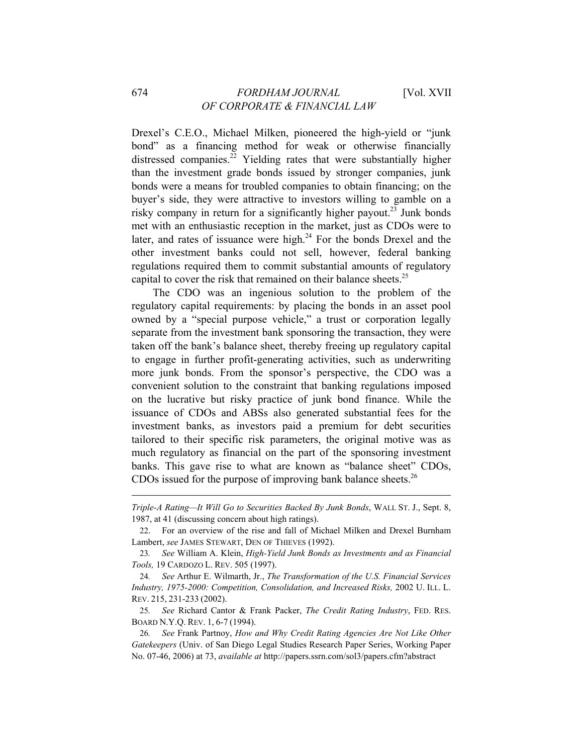## 674 *FORDHAM JOURNAL* [Vol. XVII *OF CORPORATE & FINANCIAL LAW*

Drexel's C.E.O., Michael Milken, pioneered the high-yield or "junk bond" as a financing method for weak or otherwise financially distressed companies.<sup>22</sup> Yielding rates that were substantially higher than the investment grade bonds issued by stronger companies, junk bonds were a means for troubled companies to obtain financing; on the buyer's side, they were attractive to investors willing to gamble on a risky company in return for a significantly higher payout.<sup>23</sup> Junk bonds met with an enthusiastic reception in the market, just as CDOs were to later, and rates of issuance were high. $^{24}$  For the bonds Drexel and the other investment banks could not sell, however, federal banking regulations required them to commit substantial amounts of regulatory capital to cover the risk that remained on their balance sheets.<sup>25</sup>

The CDO was an ingenious solution to the problem of the regulatory capital requirements: by placing the bonds in an asset pool owned by a "special purpose vehicle," a trust or corporation legally separate from the investment bank sponsoring the transaction, they were taken off the bank's balance sheet, thereby freeing up regulatory capital to engage in further profit-generating activities, such as underwriting more junk bonds. From the sponsor's perspective, the CDO was a convenient solution to the constraint that banking regulations imposed on the lucrative but risky practice of junk bond finance. While the issuance of CDOs and ABSs also generated substantial fees for the investment banks, as investors paid a premium for debt securities tailored to their specific risk parameters, the original motive was as much regulatory as financial on the part of the sponsoring investment banks. This gave rise to what are known as "balance sheet" CDOs, CDOs issued for the purpose of improving bank balance sheets.<sup>26</sup>

<sup>&</sup>lt;u> 1989 - Johann Barn, mars ann an t-Amhain ann an t-Amhain an t-Amhain an t-Amhain an t-Amhain an t-Amhain an t-</u> *Triple-A Rating—It Will Go to Securities Backed By Junk Bonds*, WALL ST. J., Sept. 8, 1987, at 41 (discussing concern about high ratings).

<sup>22.</sup> For an overview of the rise and fall of Michael Milken and Drexel Burnham Lambert, *see* JAMES STEWART, DEN OF THIEVES (1992).

<sup>23</sup>*. See* William A. Klein, *High-Yield Junk Bonds as Investments and as Financial Tools,* 19 CARDOZO L. REV. 505 (1997).

<sup>24</sup>*. See* Arthur E. Wilmarth, Jr., *The Transformation of the U.S. Financial Services Industry, 1975-2000: Competition, Consolidation, and Increased Risks,* 2002 U. ILL. L. REV. 215, 231-233 (2002).

<sup>25</sup>*. See* Richard Cantor & Frank Packer, *The Credit Rating Industry*, FED. RES. BOARD N.Y.Q. REV. 1, 6-7 (1994).

<sup>26</sup>*. See* Frank Partnoy, *How and Why Credit Rating Agencies Are Not Like Other Gatekeepers* (Univ. of San Diego Legal Studies Research Paper Series, Working Paper No. 07-46, 2006) at 73, *available at* http://papers.ssrn.com/sol3/papers.cfm?abstract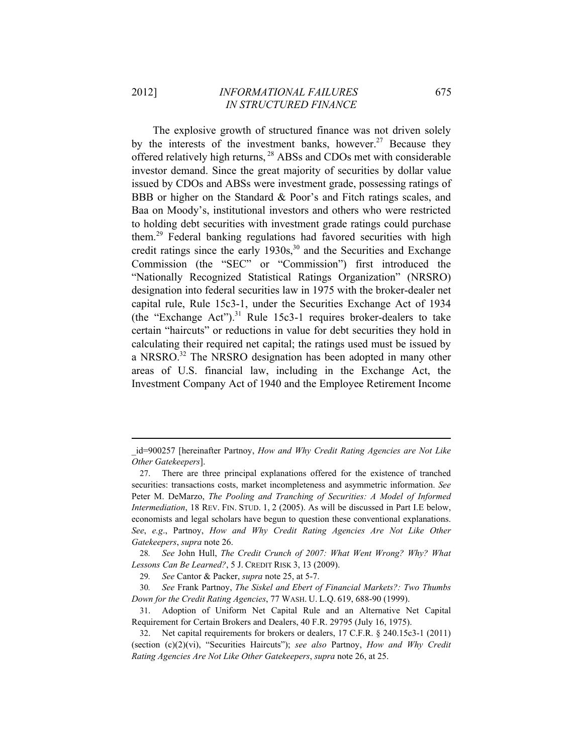The explosive growth of structured finance was not driven solely by the interests of the investment banks, however.<sup>27</sup> Because they offered relatively high returns, 28 ABSs and CDOs met with considerable investor demand. Since the great majority of securities by dollar value issued by CDOs and ABSs were investment grade, possessing ratings of BBB or higher on the Standard & Poor's and Fitch ratings scales, and Baa on Moody's, institutional investors and others who were restricted to holding debt securities with investment grade ratings could purchase them.29 Federal banking regulations had favored securities with high credit ratings since the early  $1930s$ ,<sup>30</sup> and the Securities and Exchange Commission (the "SEC" or "Commission") first introduced the "Nationally Recognized Statistical Ratings Organization" (NRSRO) designation into federal securities law in 1975 with the broker-dealer net capital rule, Rule 15c3-1, under the Securities Exchange Act of 1934 (the "Exchange Act").<sup>31</sup> Rule 15c3-1 requires broker-dealers to take certain "haircuts" or reductions in value for debt securities they hold in calculating their required net capital; the ratings used must be issued by a NRSRO.<sup>32</sup> The NRSRO designation has been adopted in many other areas of U.S. financial law, including in the Exchange Act, the Investment Company Act of 1940 and the Employee Retirement Income

28*. See* John Hull, *The Credit Crunch of 2007: What Went Wrong? Why? What Lessons Can Be Learned?*, 5 J. CREDIT RISK 3, 13 (2009).

<sup>&</sup>lt;u> 1989 - Johann Barn, mars ann an t-Amhain ann an t-Amhain an t-Amhain an t-Amhain an t-Amhain an t-Amhain an t-</u> \_id=900257 [hereinafter Partnoy, *How and Why Credit Rating Agencies are Not Like Other Gatekeepers*].

<sup>27.</sup> There are three principal explanations offered for the existence of tranched securities: transactions costs, market incompleteness and asymmetric information. *See*  Peter M. DeMarzo, *The Pooling and Tranching of Securities: A Model of Informed Intermediation*, 18 REV. FIN. STUD. 1, 2 (2005). As will be discussed in Part I.E below, economists and legal scholars have begun to question these conventional explanations. *See*, *e.g*., Partnoy, *How and Why Credit Rating Agencies Are Not Like Other Gatekeepers*, *supra* note 26.

<sup>29</sup>*. See* Cantor & Packer, *supra* note 25, at 5-7.

<sup>30</sup>*. See* Frank Partnoy, *The Siskel and Ebert of Financial Markets?: Two Thumbs Down for the Credit Rating Agencies*, 77 WASH. U. L.Q. 619, 688-90 (1999).

<sup>31.</sup> Adoption of Uniform Net Capital Rule and an Alternative Net Capital Requirement for Certain Brokers and Dealers, 40 F.R. 29795 (July 16, 1975).

<sup>32.</sup> Net capital requirements for brokers or dealers, 17 C.F.R. § 240.15c3-1 (2011) (section (c)(2)(vi), "Securities Haircuts"); *see also* Partnoy, *How and Why Credit Rating Agencies Are Not Like Other Gatekeepers*, *supra* note 26, at 25.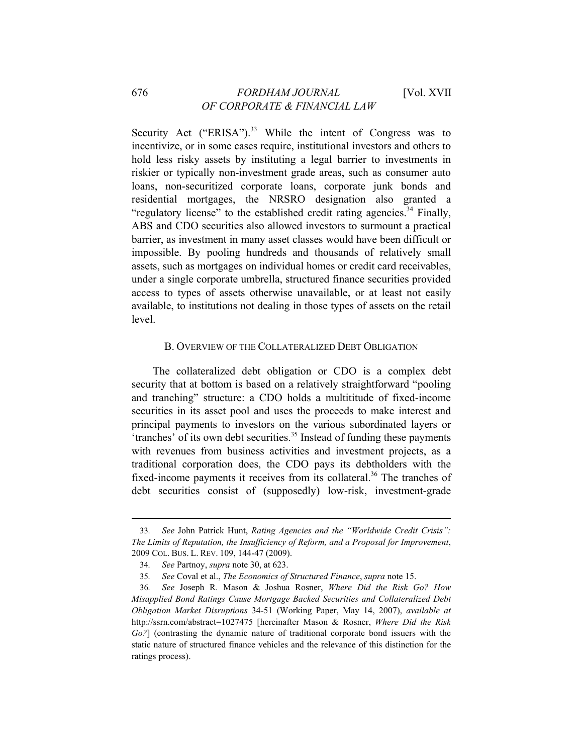Security Act ("ERISA"). $33$  While the intent of Congress was to incentivize, or in some cases require, institutional investors and others to hold less risky assets by instituting a legal barrier to investments in riskier or typically non-investment grade areas, such as consumer auto loans, non-securitized corporate loans, corporate junk bonds and residential mortgages, the NRSRO designation also granted a "regulatory license" to the established credit rating agencies.<sup>34</sup> Finally, ABS and CDO securities also allowed investors to surmount a practical barrier, as investment in many asset classes would have been difficult or impossible. By pooling hundreds and thousands of relatively small assets, such as mortgages on individual homes or credit card receivables, under a single corporate umbrella, structured finance securities provided access to types of assets otherwise unavailable, or at least not easily available, to institutions not dealing in those types of assets on the retail level.

#### B. OVERVIEW OF THE COLLATERALIZED DEBT OBLIGATION

The collateralized debt obligation or CDO is a complex debt security that at bottom is based on a relatively straightforward "pooling and tranching" structure: a CDO holds a multititude of fixed-income securities in its asset pool and uses the proceeds to make interest and principal payments to investors on the various subordinated layers or  $'$ tranches' of its own debt securities.<sup>35</sup> Instead of funding these payments with revenues from business activities and investment projects, as a traditional corporation does, the CDO pays its debtholders with the fixed-income payments it receives from its collateral.<sup>36</sup> The tranches of debt securities consist of (supposedly) low-risk, investment-grade

<sup>33</sup>*. See* John Patrick Hunt, *Rating Agencies and the "Worldwide Credit Crisis": The Limits of Reputation, the Insufficiency of Reform, and a Proposal for Improvement*, 2009 COL. BUS. L. REV. 109, 144-47 (2009).

<sup>34</sup>*. See* Partnoy, *supra* note 30, at 623.

<sup>35</sup>*. See* Coval et al., *The Economics of Structured Finance*, *supra* note 15.

<sup>36</sup>*. See* Joseph R. Mason & Joshua Rosner, *Where Did the Risk Go? How Misapplied Bond Ratings Cause Mortgage Backed Securities and Collateralized Debt Obligation Market Disruptions* 34-51 (Working Paper, May 14, 2007), *available at* http://ssrn.com/abstract=1027475 [hereinafter Mason & Rosner, *Where Did the Risk Go?*] (contrasting the dynamic nature of traditional corporate bond issuers with the static nature of structured finance vehicles and the relevance of this distinction for the ratings process).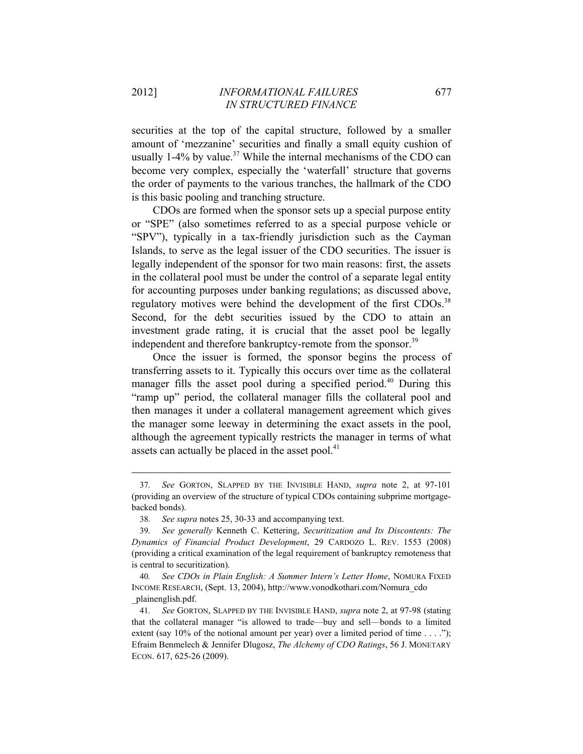securities at the top of the capital structure, followed by a smaller amount of 'mezzanine' securities and finally a small equity cushion of usually  $1-4\%$  by value.<sup>37</sup> While the internal mechanisms of the CDO can become very complex, especially the 'waterfall' structure that governs the order of payments to the various tranches, the hallmark of the CDO is this basic pooling and tranching structure.

CDOs are formed when the sponsor sets up a special purpose entity or "SPE" (also sometimes referred to as a special purpose vehicle or "SPV"), typically in a tax-friendly jurisdiction such as the Cayman Islands, to serve as the legal issuer of the CDO securities. The issuer is legally independent of the sponsor for two main reasons: first, the assets in the collateral pool must be under the control of a separate legal entity for accounting purposes under banking regulations; as discussed above, regulatory motives were behind the development of the first CDOs.<sup>38</sup> Second, for the debt securities issued by the CDO to attain an investment grade rating, it is crucial that the asset pool be legally independent and therefore bankruptcy-remote from the sponsor.<sup>39</sup>

Once the issuer is formed, the sponsor begins the process of transferring assets to it. Typically this occurs over time as the collateral manager fills the asset pool during a specified period.<sup>40</sup> During this "ramp up" period, the collateral manager fills the collateral pool and then manages it under a collateral management agreement which gives the manager some leeway in determining the exact assets in the pool, although the agreement typically restricts the manager in terms of what assets can actually be placed in the asset pool. $41$ 

<sup>37</sup>*. See* GORTON, SLAPPED BY THE INVISIBLE HAND, *supra* note 2, at 97-101 (providing an overview of the structure of typical CDOs containing subprime mortgagebacked bonds).

<sup>38</sup>*. See supra* notes 25, 30-33 and accompanying text.

<sup>39</sup>*. See generally* Kenneth C. Kettering, *Securitization and Its Discontents: The Dynamics of Financial Product Development*, 29 CARDOZO L. REV. 1553 (2008) (providing a critical examination of the legal requirement of bankruptcy remoteness that is central to securitization).

<sup>40</sup>*. See CDOs in Plain English: A Summer Intern's Letter Home*, NOMURA FIXED INCOME RESEARCH, (Sept. 13, 2004), http://www.vonodkothari.com/Nomura\_cdo \_plainenglish.pdf.

<sup>41</sup>*. See* GORTON, SLAPPED BY THE INVISIBLE HAND, *supra* note 2, at 97-98 (stating that the collateral manager "is allowed to trade—buy and sell—bonds to a limited extent (say 10% of the notional amount per year) over a limited period of time  $\dots$ . Efraim Benmelech & Jennifer Dlugosz, *The Alchemy of CDO Ratings*, 56 J. MONETARY ECON. 617, 625-26 (2009).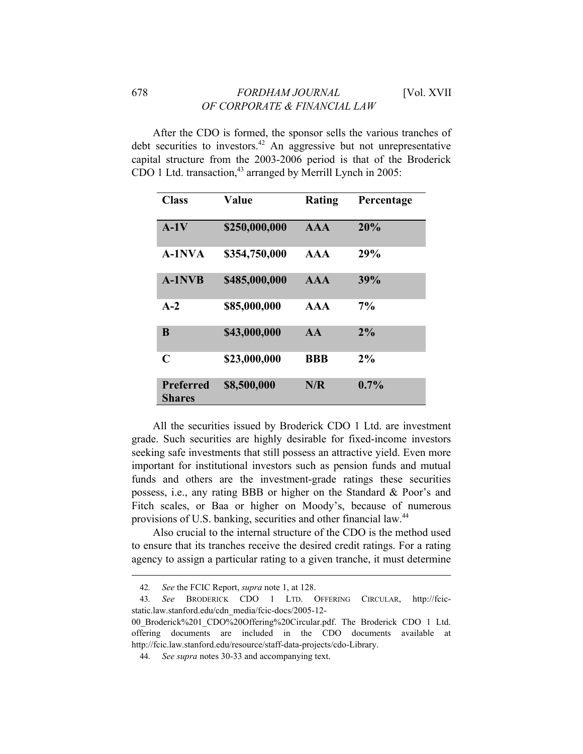After the CDO is formed, the sponsor sells the various tranches of debt securities to investors.<sup>42</sup> An aggressive but not unrepresentative capital structure from the 2003-2006 period is that of the Broderick CDO 1 Ltd. transaction, $43$  arranged by Merrill Lynch in 2005:

| <b>Class</b>                      | Value         | Rating          | Percentage |
|-----------------------------------|---------------|-----------------|------------|
| $A-1V$                            | \$250,000,000 | <b>AAA</b>      | 20%        |
| $A-1$ NVA                         | \$354,750,000 | $\bf{A} \bf{A}$ | 29%        |
| <b>A-1NVB</b>                     | \$485,000,000 | <b>AAA</b>      | 39%        |
| $A-2$                             | \$85,000,000  | AA              | $7\%$      |
| B                                 | \$43,000,000  | AA              | 2%         |
| $\mathbf C$                       | \$23,000,000  | <b>BBB</b>      | 2%         |
| <b>Preferred</b><br><b>Shares</b> | \$8,500,000   | N/R             | 0.7%       |

All the securities issued by Broderick CDO 1 Ltd. are investment grade. Such securities are highly desirable for fixed-income investors seeking safe investments that still possess an attractive yield. Even more important for institutional investors such as pension funds and mutual funds and others are the investment-grade ratings these securities possess, i.e., any rating BBB or higher on the Standard & Poor's and Fitch scales, or Baa or higher on Moody's, because of numerous provisions of U.S. banking, securities and other financial law.<sup>44</sup>

Also crucial to the internal structure of the CDO is the method used to ensure that its tranches receive the desired credit ratings. For a rating agency to assign a particular rating to a given tranche, it must determine

<sup>42</sup>*. See* the FCIC Report, *supra* note 1, at 128.

<sup>43</sup>*. See* BRODERICK CDO 1 LTD. OFFERING CIRCULAR, http://fcicstatic.law.stanford.edu/cdn\_media/fcic-docs/2005-12-

<sup>00</sup>\_Broderick%201\_CDO%20Offering%20Circular.pdf. The Broderick CDO 1 Ltd. offering documents are included in the CDO documents available at http://fcic.law.stanford.edu/resource/staff-data-projects/cdo-Library.

<sup>44</sup>*. See supra* notes 30-33 and accompanying text.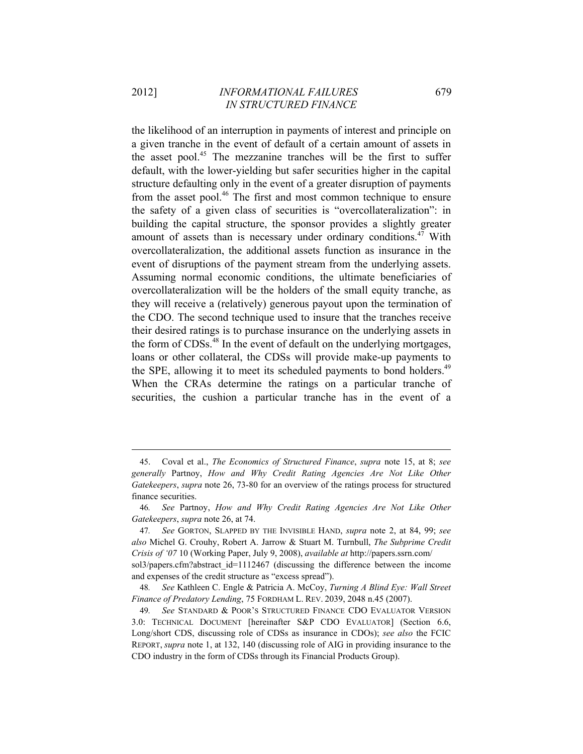the likelihood of an interruption in payments of interest and principle on a given tranche in the event of default of a certain amount of assets in the asset pool.<sup>45</sup> The mezzanine tranches will be the first to suffer default, with the lower-yielding but safer securities higher in the capital structure defaulting only in the event of a greater disruption of payments from the asset pool.<sup>46</sup> The first and most common technique to ensure the safety of a given class of securities is "overcollateralization": in building the capital structure, the sponsor provides a slightly greater amount of assets than is necessary under ordinary conditions.<sup>47</sup> With overcollateralization, the additional assets function as insurance in the event of disruptions of the payment stream from the underlying assets. Assuming normal economic conditions, the ultimate beneficiaries of overcollateralization will be the holders of the small equity tranche, as they will receive a (relatively) generous payout upon the termination of the CDO. The second technique used to insure that the tranches receive their desired ratings is to purchase insurance on the underlying assets in the form of CDSs.48 In the event of default on the underlying mortgages, loans or other collateral, the CDSs will provide make-up payments to the SPE, allowing it to meet its scheduled payments to bond holders.<sup>49</sup> When the CRAs determine the ratings on a particular tranche of securities, the cushion a particular tranche has in the event of a

<sup>45.</sup> Coval et al., *The Economics of Structured Finance*, *supra* note 15, at 8; *see generally* Partnoy, *How and Why Credit Rating Agencies Are Not Like Other Gatekeepers*, *supra* note 26, 73-80 for an overview of the ratings process for structured finance securities.

<sup>46</sup>*. See* Partnoy, *How and Why Credit Rating Agencies Are Not Like Other Gatekeepers*, *supra* note 26, at 74.

<sup>47</sup>*. See* GORTON, SLAPPED BY THE INVISIBLE HAND, *supra* note 2, at 84, 99; *see also* Michel G. Crouhy, Robert A. Jarrow & Stuart M. Turnbull, *The Subprime Credit Crisis of '07* 10 (Working Paper, July 9, 2008), *available at* http://papers.ssrn.com/

sol3/papers.cfm?abstract\_id=1112467 (discussing the difference between the income and expenses of the credit structure as "excess spread").

<sup>48</sup>*. See* Kathleen C. Engle & Patricia A. McCoy, *Turning A Blind Eye: Wall Street Finance of Predatory Lending*, 75 FORDHAM L. REV. 2039, 2048 n.45 (2007).

<sup>49</sup>*. See* STANDARD & POOR'S STRUCTURED FINANCE CDO EVALUATOR VERSION 3.0: TECHNICAL DOCUMENT [hereinafter S&P CDO EVALUATOR] (Section 6.6, Long/short CDS, discussing role of CDSs as insurance in CDOs); *see also* the FCIC REPORT, *supra* note 1, at 132, 140 (discussing role of AIG in providing insurance to the CDO industry in the form of CDSs through its Financial Products Group).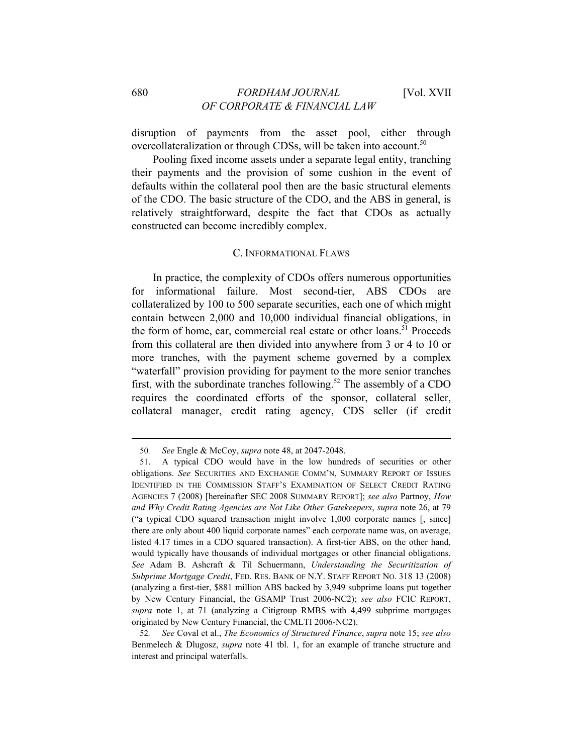disruption of payments from the asset pool, either through overcollateralization or through CDSs, will be taken into account.<sup>50</sup>

Pooling fixed income assets under a separate legal entity, tranching their payments and the provision of some cushion in the event of defaults within the collateral pool then are the basic structural elements of the CDO. The basic structure of the CDO, and the ABS in general, is relatively straightforward, despite the fact that CDOs as actually constructed can become incredibly complex.

#### C. INFORMATIONAL FLAWS

In practice, the complexity of CDOs offers numerous opportunities for informational failure. Most second-tier, ABS CDOs are collateralized by 100 to 500 separate securities, each one of which might contain between 2,000 and 10,000 individual financial obligations, in the form of home, car, commercial real estate or other loans.<sup>51</sup> Proceeds from this collateral are then divided into anywhere from 3 or 4 to 10 or more tranches, with the payment scheme governed by a complex "waterfall" provision providing for payment to the more senior tranches first, with the subordinate tranches following.<sup>52</sup> The assembly of a CDO requires the coordinated efforts of the sponsor, collateral seller, collateral manager, credit rating agency, CDS seller (if credit

<sup>50</sup>*. See* Engle & McCoy, *supra* note 48, at 2047-2048.

<sup>51.</sup> A typical CDO would have in the low hundreds of securities or other obligations. *See* SECURITIES AND EXCHANGE COMM'N, SUMMARY REPORT OF ISSUES IDENTIFIED IN THE COMMISSION STAFF'S EXAMINATION OF SELECT CREDIT RATING AGENCIES 7 (2008) [hereinafter SEC 2008 SUMMARY REPORT]; *see also* Partnoy, *How and Why Credit Rating Agencies are Not Like Other Gatekeepers*, *supra* note 26, at 79 ("a typical CDO squared transaction might involve 1,000 corporate names [, since] there are only about 400 liquid corporate names" each corporate name was, on average, listed 4.17 times in a CDO squared transaction). A first-tier ABS, on the other hand, would typically have thousands of individual mortgages or other financial obligations. *See* Adam B. Ashcraft & Til Schuermann, *Understanding the Securitization of Subprime Mortgage Credit*, FED. RES. BANK OF N.Y. STAFF REPORT NO. 318 13 (2008) (analyzing a first-tier, \$881 million ABS backed by 3,949 subprime loans put together by New Century Financial, the GSAMP Trust 2006-NC2); *see also* FCIC REPORT, *supra* note 1, at 71 (analyzing a Citigroup RMBS with 4,499 subprime mortgages originated by New Century Financial, the CMLTI 2006-NC2).

<sup>52</sup>*. See* Coval et al., *The Economics of Structured Finance*, *supra* note 15; *see also* Benmelech & Dlugosz, *supra* note 41 tbl. 1, for an example of tranche structure and interest and principal waterfalls.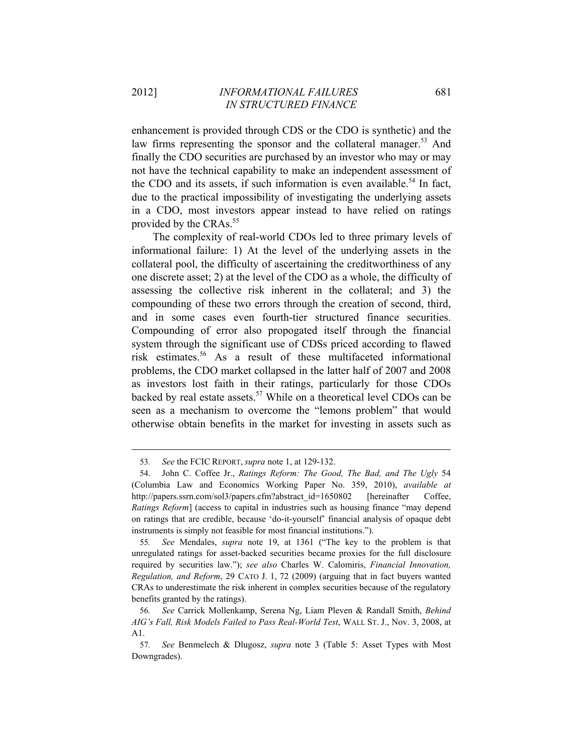enhancement is provided through CDS or the CDO is synthetic) and the law firms representing the sponsor and the collateral manager.<sup>53</sup> And finally the CDO securities are purchased by an investor who may or may not have the technical capability to make an independent assessment of the CDO and its assets, if such information is even available.<sup>54</sup> In fact, due to the practical impossibility of investigating the underlying assets in a CDO, most investors appear instead to have relied on ratings provided by the CRAs.<sup>55</sup>

The complexity of real-world CDOs led to three primary levels of informational failure: 1) At the level of the underlying assets in the collateral pool, the difficulty of ascertaining the creditworthiness of any one discrete asset; 2) at the level of the CDO as a whole, the difficulty of assessing the collective risk inherent in the collateral; and 3) the compounding of these two errors through the creation of second, third, and in some cases even fourth-tier structured finance securities. Compounding of error also propogated itself through the financial system through the significant use of CDSs priced according to flawed risk estimates.56 As a result of these multifaceted informational problems, the CDO market collapsed in the latter half of 2007 and 2008 as investors lost faith in their ratings, particularly for those CDOs backed by real estate assets.<sup>57</sup> While on a theoretical level CDOs can be seen as a mechanism to overcome the "lemons problem" that would otherwise obtain benefits in the market for investing in assets such as

<sup>53</sup>*. See* the FCIC REPORT, *supra* note 1, at 129-132.

<sup>54.</sup> John C. Coffee Jr., *Ratings Reform: The Good, The Bad, and The Ugly* 54 (Columbia Law and Economics Working Paper No. 359, 2010), *available at* http://papers.ssrn.com/sol3/papers.cfm?abstract\_id=1650802 [hereinafter Coffee, *Ratings Reform*] (access to capital in industries such as housing finance "may depend on ratings that are credible, because 'do-it-yourself' financial analysis of opaque debt instruments is simply not feasible for most financial institutions.").

<sup>55</sup>*. See* Mendales, *supra* note 19, at 1361 ("The key to the problem is that unregulated ratings for asset-backed securities became proxies for the full disclosure required by securities law."); *see also* Charles W. Calomiris, *Financial Innovation, Regulation, and Reform*, 29 CATO J. 1, 72 (2009) (arguing that in fact buyers wanted CRAs to underestimate the risk inherent in complex securities because of the regulatory benefits granted by the ratings).

<sup>56</sup>*. See* Carrick Mollenkamp, Serena Ng, Liam Pleven & Randall Smith, *Behind AIG's Fall, Risk Models Failed to Pass Real-World Test*, WALL ST. J., Nov. 3, 2008, at A1.

<sup>57</sup>*. See* Benmelech & Dlugosz, *supra* note 3 (Table 5: Asset Types with Most Downgrades).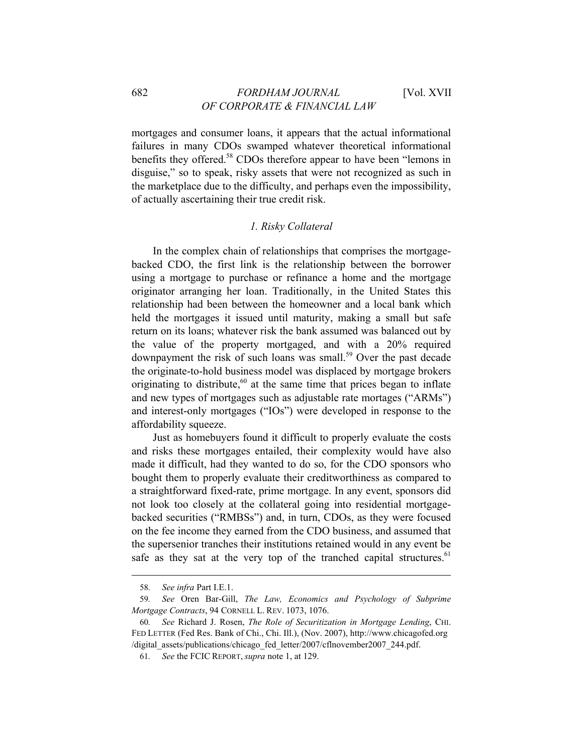mortgages and consumer loans, it appears that the actual informational failures in many CDOs swamped whatever theoretical informational benefits they offered.<sup>58</sup> CDOs therefore appear to have been "lemons in disguise," so to speak, risky assets that were not recognized as such in the marketplace due to the difficulty, and perhaps even the impossibility, of actually ascertaining their true credit risk.

#### *1. Risky Collateral*

In the complex chain of relationships that comprises the mortgagebacked CDO, the first link is the relationship between the borrower using a mortgage to purchase or refinance a home and the mortgage originator arranging her loan. Traditionally, in the United States this relationship had been between the homeowner and a local bank which held the mortgages it issued until maturity, making a small but safe return on its loans; whatever risk the bank assumed was balanced out by the value of the property mortgaged, and with a 20% required downpayment the risk of such loans was small.<sup>59</sup> Over the past decade the originate-to-hold business model was displaced by mortgage brokers originating to distribute,<sup>60</sup> at the same time that prices began to inflate and new types of mortgages such as adjustable rate mortages ("ARMs") and interest-only mortgages ("IOs") were developed in response to the affordability squeeze.

Just as homebuyers found it difficult to properly evaluate the costs and risks these mortgages entailed, their complexity would have also made it difficult, had they wanted to do so, for the CDO sponsors who bought them to properly evaluate their creditworthiness as compared to a straightforward fixed-rate, prime mortgage. In any event, sponsors did not look too closely at the collateral going into residential mortgagebacked securities ("RMBSs") and, in turn, CDOs, as they were focused on the fee income they earned from the CDO business, and assumed that the supersenior tranches their institutions retained would in any event be safe as they sat at the very top of the tranched capital structures.<sup>61</sup>

<sup>58</sup>*. See infra* Part I.E.1.

<sup>59</sup>*. See* Oren Bar-Gill, *The Law, Economics and Psychology of Subprime Mortgage Contracts*, 94 CORNELL L. REV. 1073, 1076.

<sup>60</sup>*. See* Richard J. Rosen, *The Role of Securitization in Mortgage Lending*, CHI. FED LETTER (Fed Res. Bank of Chi., Chi. Ill.), (Nov. 2007), http://www.chicagofed.org /digital\_assets/publications/chicago\_fed\_letter/2007/cflnovember2007\_244.pdf.

<sup>61</sup>*. See* the FCIC REPORT, *supra* note 1, at 129.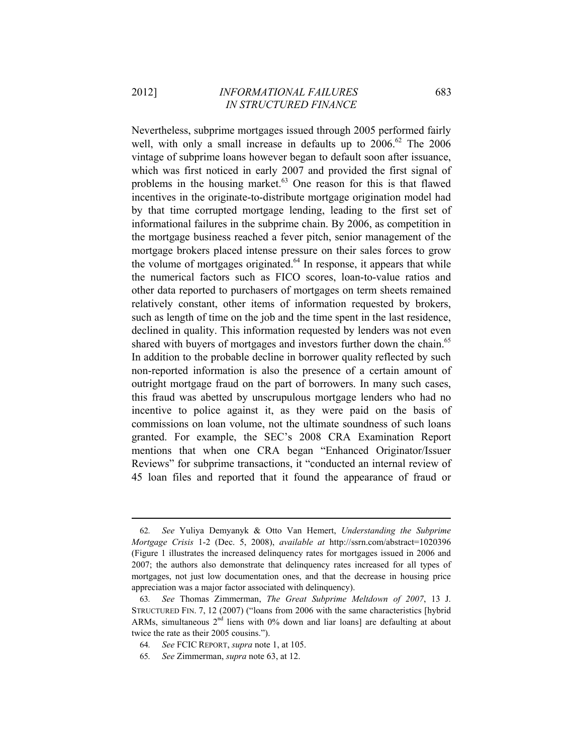Nevertheless, subprime mortgages issued through 2005 performed fairly well, with only a small increase in defaults up to  $2006$ .<sup>62</sup> The  $2006$ vintage of subprime loans however began to default soon after issuance, which was first noticed in early 2007 and provided the first signal of problems in the housing market.<sup>63</sup> One reason for this is that flawed incentives in the originate-to-distribute mortgage origination model had by that time corrupted mortgage lending, leading to the first set of informational failures in the subprime chain. By 2006, as competition in the mortgage business reached a fever pitch, senior management of the mortgage brokers placed intense pressure on their sales forces to grow the volume of mortgages originated. $64$  In response, it appears that while the numerical factors such as FICO scores, loan-to-value ratios and other data reported to purchasers of mortgages on term sheets remained relatively constant, other items of information requested by brokers, such as length of time on the job and the time spent in the last residence, declined in quality. This information requested by lenders was not even shared with buyers of mortgages and investors further down the chain.<sup>65</sup> In addition to the probable decline in borrower quality reflected by such non-reported information is also the presence of a certain amount of outright mortgage fraud on the part of borrowers. In many such cases, this fraud was abetted by unscrupulous mortgage lenders who had no incentive to police against it, as they were paid on the basis of commissions on loan volume, not the ultimate soundness of such loans granted. For example, the SEC's 2008 CRA Examination Report mentions that when one CRA began "Enhanced Originator/Issuer Reviews" for subprime transactions, it "conducted an internal review of 45 loan files and reported that it found the appearance of fraud or

<sup>62</sup>*. See* Yuliya Demyanyk & Otto Van Hemert, *Understanding the Subprime Mortgage Crisis* 1-2 (Dec. 5, 2008), *available at* http://ssrn.com/abstract=1020396 (Figure 1 illustrates the increased delinquency rates for mortgages issued in 2006 and 2007; the authors also demonstrate that delinquency rates increased for all types of mortgages, not just low documentation ones, and that the decrease in housing price appreciation was a major factor associated with delinquency).

<sup>63</sup>*. See* Thomas Zimmerman, *The Great Subprime Meltdown of 2007*, 13 J. STRUCTURED FIN. 7, 12 (2007) ("loans from 2006 with the same characteristics [hybrid ARMs, simultaneous  $2<sup>nd</sup>$  liens with 0% down and liar loans] are defaulting at about twice the rate as their 2005 cousins.").

<sup>64</sup>*. See* FCIC REPORT, *supra* note 1, at 105.

<sup>65</sup>*. See* Zimmerman, *supra* note 63, at 12.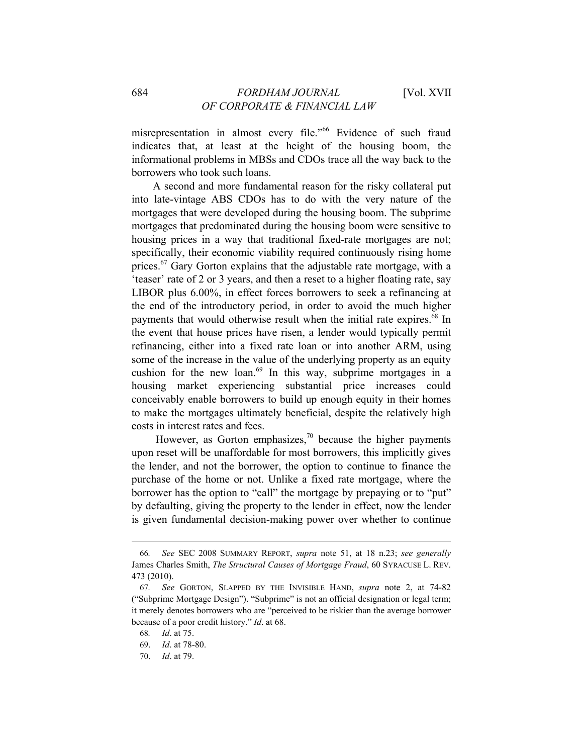misrepresentation in almost every file."66 Evidence of such fraud indicates that, at least at the height of the housing boom, the informational problems in MBSs and CDOs trace all the way back to the borrowers who took such loans.

A second and more fundamental reason for the risky collateral put into late-vintage ABS CDOs has to do with the very nature of the mortgages that were developed during the housing boom. The subprime mortgages that predominated during the housing boom were sensitive to housing prices in a way that traditional fixed-rate mortgages are not; specifically, their economic viability required continuously rising home prices.<sup>67</sup> Gary Gorton explains that the adjustable rate mortgage, with a 'teaser' rate of 2 or 3 years, and then a reset to a higher floating rate, say LIBOR plus 6.00%, in effect forces borrowers to seek a refinancing at the end of the introductory period, in order to avoid the much higher payments that would otherwise result when the initial rate expires.<sup>68</sup> In the event that house prices have risen, a lender would typically permit refinancing, either into a fixed rate loan or into another ARM, using some of the increase in the value of the underlying property as an equity cushion for the new loan.<sup>69</sup> In this way, subprime mortgages in a housing market experiencing substantial price increases could conceivably enable borrowers to build up enough equity in their homes to make the mortgages ultimately beneficial, despite the relatively high costs in interest rates and fees.

However, as Gorton emphasizes, $^{70}$  because the higher payments upon reset will be unaffordable for most borrowers, this implicitly gives the lender, and not the borrower, the option to continue to finance the purchase of the home or not. Unlike a fixed rate mortgage, where the borrower has the option to "call" the mortgage by prepaying or to "put" by defaulting, giving the property to the lender in effect, now the lender is given fundamental decision-making power over whether to continue

<sup>66</sup>*. See* SEC 2008 SUMMARY REPORT, *supra* note 51, at 18 n.23; *see generally* James Charles Smith, *The Structural Causes of Mortgage Fraud*, 60 SYRACUSE L. REV. 473 (2010).

<sup>67</sup>*. See* GORTON, SLAPPED BY THE INVISIBLE HAND, *supra* note 2, at 74-82 ("Subprime Mortgage Design"). "Subprime" is not an official designation or legal term; it merely denotes borrowers who are "perceived to be riskier than the average borrower because of a poor credit history." *Id*. at 68.

<sup>68</sup>*. Id*. at 75.

<sup>69.</sup> *Id*. at 78-80.

<sup>70.</sup> *Id*. at 79.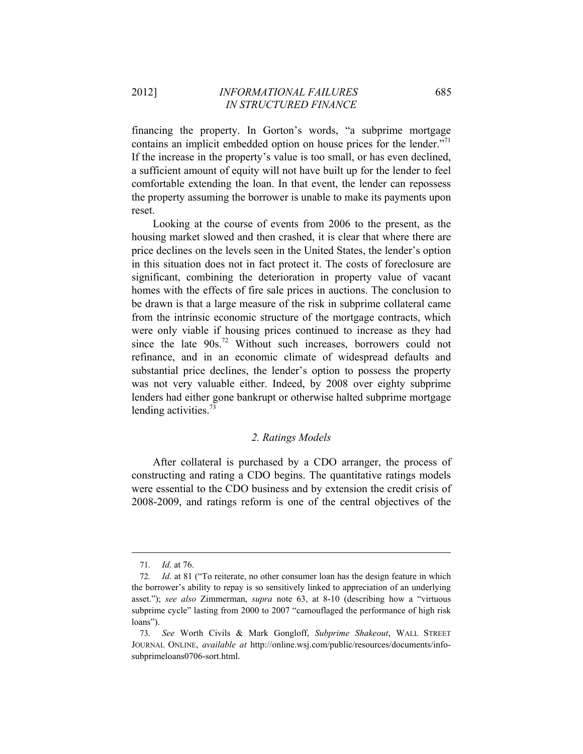financing the property. In Gorton's words, "a subprime mortgage contains an implicit embedded option on house prices for the lender.<sup>"71</sup> If the increase in the property's value is too small, or has even declined, a sufficient amount of equity will not have built up for the lender to feel comfortable extending the loan. In that event, the lender can repossess the property assuming the borrower is unable to make its payments upon reset.

Looking at the course of events from 2006 to the present, as the housing market slowed and then crashed, it is clear that where there are price declines on the levels seen in the United States, the lender's option in this situation does not in fact protect it. The costs of foreclosure are significant, combining the deterioration in property value of vacant homes with the effects of fire sale prices in auctions. The conclusion to be drawn is that a large measure of the risk in subprime collateral came from the intrinsic economic structure of the mortgage contracts, which were only viable if housing prices continued to increase as they had since the late 90s.<sup>72</sup> Without such increases, borrowers could not refinance, and in an economic climate of widespread defaults and substantial price declines, the lender's option to possess the property was not very valuable either. Indeed, by 2008 over eighty subprime lenders had either gone bankrupt or otherwise halted subprime mortgage lending activities. $^{73}$ 

#### *2. Ratings Models*

After collateral is purchased by a CDO arranger, the process of constructing and rating a CDO begins. The quantitative ratings models were essential to the CDO business and by extension the credit crisis of 2008-2009, and ratings reform is one of the central objectives of the

<sup>71</sup>*. Id*. at 76.

<sup>72</sup>*. Id*. at 81 ("To reiterate, no other consumer loan has the design feature in which the borrower's ability to repay is so sensitively linked to appreciation of an underlying asset."); *see also* Zimmerman, *supra* note 63, at 8-10 (describing how a "virtuous subprime cycle" lasting from 2000 to 2007 "camouflaged the performance of high risk loans").

<sup>73</sup>*. See* Worth Civils & Mark Gongloff, *Subprime Shakeout*, WALL STREET JOURNAL ONLINE, *available at* http://online.wsj.com/public/resources/documents/infosubprimeloans0706-sort.html.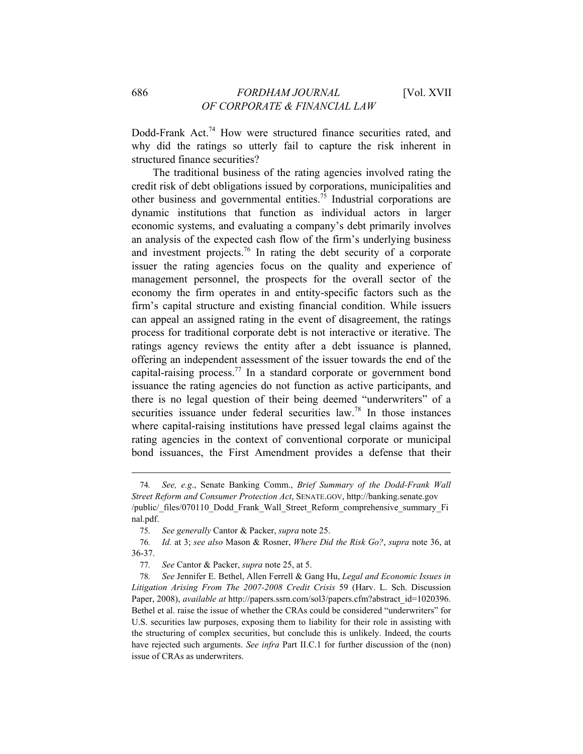Dodd-Frank Act.<sup>74</sup> How were structured finance securities rated, and why did the ratings so utterly fail to capture the risk inherent in structured finance securities?

The traditional business of the rating agencies involved rating the credit risk of debt obligations issued by corporations, municipalities and other business and governmental entities.<sup>75</sup> Industrial corporations are dynamic institutions that function as individual actors in larger economic systems, and evaluating a company's debt primarily involves an analysis of the expected cash flow of the firm's underlying business and investment projects.<sup>76</sup> In rating the debt security of a corporate issuer the rating agencies focus on the quality and experience of management personnel, the prospects for the overall sector of the economy the firm operates in and entity-specific factors such as the firm's capital structure and existing financial condition. While issuers can appeal an assigned rating in the event of disagreement, the ratings process for traditional corporate debt is not interactive or iterative. The ratings agency reviews the entity after a debt issuance is planned, offering an independent assessment of the issuer towards the end of the capital-raising process.<sup>77</sup> In a standard corporate or government bond issuance the rating agencies do not function as active participants, and there is no legal question of their being deemed "underwriters" of a securities issuance under federal securities law.<sup>78</sup> In those instances where capital-raising institutions have pressed legal claims against the rating agencies in the context of conventional corporate or municipal bond issuances, the First Amendment provides a defense that their

<sup>74</sup>*. See, e.g*., Senate Banking Comm., *Brief Summary of the Dodd-Frank Wall Street Reform and Consumer Protection Act*, SENATE.GOV, http://banking.senate.gov /public/\_files/070110\_Dodd\_Frank\_Wall\_Street\_Reform\_comprehensive\_summary\_Fi nal.pdf.

<sup>75</sup>*. See generally* Cantor & Packer, *supra* note 25.

<sup>76</sup>*. Id.* at 3; *see also* Mason & Rosner, *Where Did the Risk Go?*, *supra* note 36, at 36-37.

<sup>77</sup>*. See* Cantor & Packer, *supra* note 25, at 5.

<sup>78</sup>*. See* Jennifer E. Bethel, Allen Ferrell & Gang Hu, *Legal and Economic Issues in Litigation Arising From The 2007-2008 Credit Crisis* 59 (Harv. L. Sch. Discussion Paper, 2008), *available at* http://papers.ssrn.com/sol3/papers.cfm?abstract\_id=1020396. Bethel et al. raise the issue of whether the CRAs could be considered "underwriters" for U.S. securities law purposes, exposing them to liability for their role in assisting with the structuring of complex securities, but conclude this is unlikely. Indeed, the courts have rejected such arguments. *See infra* Part II.C.1 for further discussion of the (non) issue of CRAs as underwriters.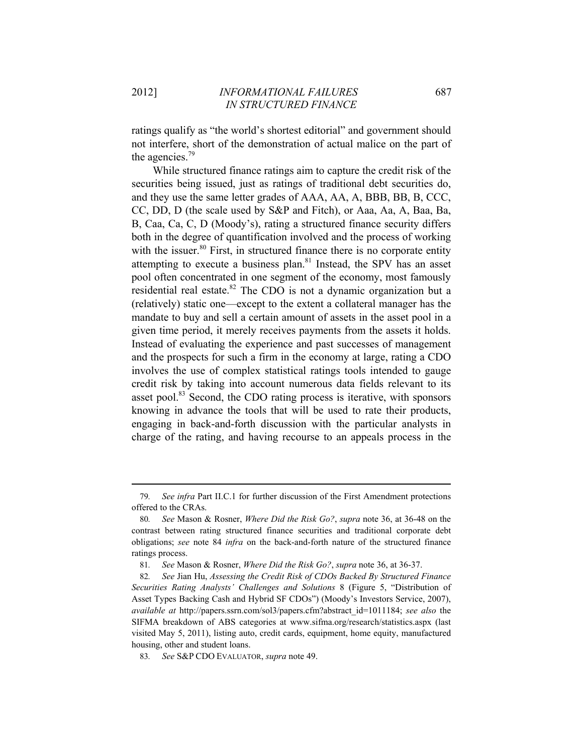ratings qualify as "the world's shortest editorial" and government should not interfere, short of the demonstration of actual malice on the part of the agencies.79

While structured finance ratings aim to capture the credit risk of the securities being issued, just as ratings of traditional debt securities do, and they use the same letter grades of AAA, AA, A, BBB, BB, B, CCC, CC, DD, D (the scale used by S&P and Fitch), or Aaa, Aa, A, Baa, Ba, B, Caa, Ca, C, D (Moody's), rating a structured finance security differs both in the degree of quantification involved and the process of working with the issuer. $80$  First, in structured finance there is no corporate entity attempting to execute a business plan.<sup>81</sup> Instead, the SPV has an asset pool often concentrated in one segment of the economy, most famously residential real estate.<sup>82</sup> The CDO is not a dynamic organization but a (relatively) static one—except to the extent a collateral manager has the mandate to buy and sell a certain amount of assets in the asset pool in a given time period, it merely receives payments from the assets it holds. Instead of evaluating the experience and past successes of management and the prospects for such a firm in the economy at large, rating a CDO involves the use of complex statistical ratings tools intended to gauge credit risk by taking into account numerous data fields relevant to its asset pool.<sup>83</sup> Second, the CDO rating process is iterative, with sponsors knowing in advance the tools that will be used to rate their products, engaging in back-and-forth discussion with the particular analysts in charge of the rating, and having recourse to an appeals process in the

<sup>&</sup>lt;u> 1989 - Johann Barn, mars ar breithinn ar chuid ann an t-Alban ann an t-Alban ann an t-Alban ann an t-Alban a</u> 79*. See infra* Part II.C.1 for further discussion of the First Amendment protections offered to the CRAs.

<sup>80</sup>*. See* Mason & Rosner, *Where Did the Risk Go?*, *supra* note 36, at 36-48 on the contrast between rating structured finance securities and traditional corporate debt obligations; *see* note 84 *infra* on the back-and-forth nature of the structured finance ratings process.

<sup>81</sup>*. See* Mason & Rosner, *Where Did the Risk Go?*, *supra* note 36, at 36-37.

<sup>82</sup>*. See* Jian Hu, *Assessing the Credit Risk of CDOs Backed By Structured Finance Securities Rating Analysts' Challenges and Solutions* 8 (Figure 5, "Distribution of Asset Types Backing Cash and Hybrid SF CDOs") (Moody's Investors Service, 2007), *available at* http://papers.ssrn.com/sol3/papers.cfm?abstract\_id=1011184; *see also* the SIFMA breakdown of ABS categories at www.sifma.org/research/statistics.aspx (last visited May 5, 2011), listing auto, credit cards, equipment, home equity, manufactured housing, other and student loans.

<sup>83</sup>*. See* S&P CDO EVALUATOR, *supra* note 49.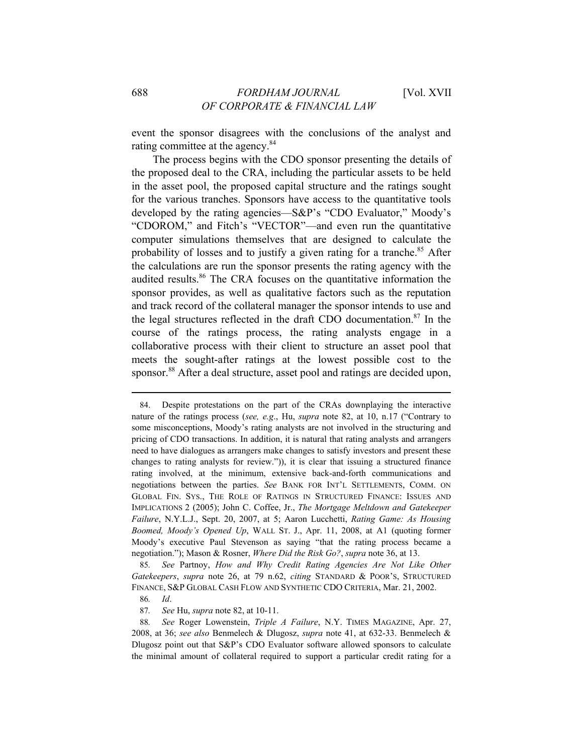event the sponsor disagrees with the conclusions of the analyst and rating committee at the agency.<sup>84</sup>

The process begins with the CDO sponsor presenting the details of the proposed deal to the CRA, including the particular assets to be held in the asset pool, the proposed capital structure and the ratings sought for the various tranches. Sponsors have access to the quantitative tools developed by the rating agencies—S&P's "CDO Evaluator," Moody's "CDOROM," and Fitch's "VECTOR"—and even run the quantitative computer simulations themselves that are designed to calculate the probability of losses and to justify a given rating for a tranche.<sup>85</sup> After the calculations are run the sponsor presents the rating agency with the audited results.<sup>86</sup> The CRA focuses on the quantitative information the sponsor provides, as well as qualitative factors such as the reputation and track record of the collateral manager the sponsor intends to use and the legal structures reflected in the draft CDO documentation. $87$  In the course of the ratings process, the rating analysts engage in a collaborative process with their client to structure an asset pool that meets the sought-after ratings at the lowest possible cost to the sponsor.<sup>88</sup> After a deal structure, asset pool and ratings are decided upon,

<u> 1989 - Johann Barn, mars ar breithinn ar chuid ann an t-Alban ann an t-Alban ann an t-Alban ann an t-Alban a</u>

85*. See* Partnoy, *How and Why Credit Rating Agencies Are Not Like Other Gatekeepers*, *supra* note 26, at 79 n.62, *citing* STANDARD & POOR'S, STRUCTURED FINANCE, S&P GLOBAL CASH FLOW AND SYNTHETIC CDO CRITERIA, Mar. 21, 2002.

86*. Id*.

87*. See* Hu, *supra* note 82, at 10-11.

<sup>84.</sup> Despite protestations on the part of the CRAs downplaying the interactive nature of the ratings process (*see, e.g*., Hu, *supra* note 82, at 10, n.17 ("Contrary to some misconceptions, Moody's rating analysts are not involved in the structuring and pricing of CDO transactions. In addition, it is natural that rating analysts and arrangers need to have dialogues as arrangers make changes to satisfy investors and present these changes to rating analysts for review.")), it is clear that issuing a structured finance rating involved, at the minimum, extensive back-and-forth communications and negotiations between the parties. *See* BANK FOR INT'L SETTLEMENTS, COMM. ON GLOBAL FIN. SYS., THE ROLE OF RATINGS IN STRUCTURED FINANCE: ISSUES AND IMPLICATIONS 2 (2005); John C. Coffee, Jr., *The Mortgage Meltdown and Gatekeeper Failure*, N.Y.L.J., Sept. 20, 2007, at 5; Aaron Lucchetti, *Rating Game: As Housing Boomed, Moody's Opened Up*, WALL ST. J., Apr. 11, 2008, at A1 (quoting former Moody's executive Paul Stevenson as saying "that the rating process became a negotiation."); Mason & Rosner, *Where Did the Risk Go?*, *supra* note 36, at 13.

<sup>88</sup>*. See* Roger Lowenstein, *Triple A Failure*, N.Y. TIMES MAGAZINE, Apr. 27, 2008, at 36; *see also* Benmelech & Dlugosz, *supra* note 41, at 632-33. Benmelech & Dlugosz point out that S&P's CDO Evaluator software allowed sponsors to calculate the minimal amount of collateral required to support a particular credit rating for a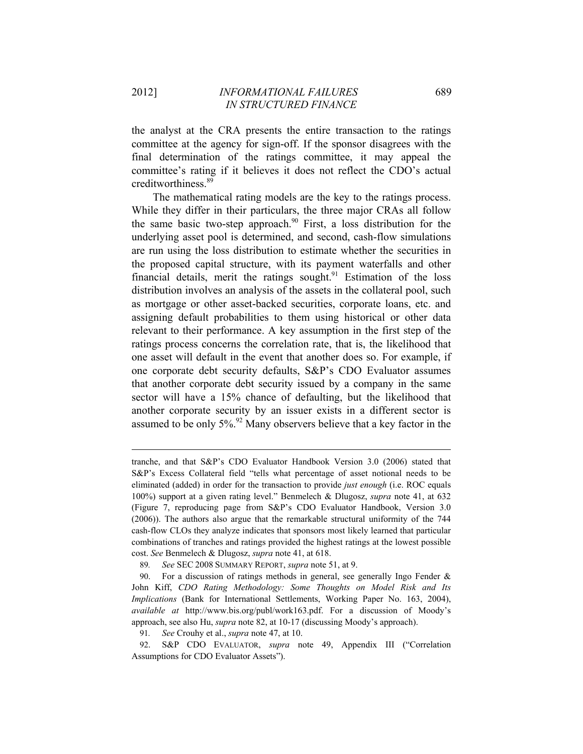the analyst at the CRA presents the entire transaction to the ratings committee at the agency for sign-off. If the sponsor disagrees with the final determination of the ratings committee, it may appeal the committee's rating if it believes it does not reflect the CDO's actual creditworthiness.<sup>89</sup>

The mathematical rating models are the key to the ratings process. While they differ in their particulars, the three major CRAs all follow the same basic two-step approach.<sup>90</sup> First, a loss distribution for the underlying asset pool is determined, and second, cash-flow simulations are run using the loss distribution to estimate whether the securities in the proposed capital structure, with its payment waterfalls and other financial details, merit the ratings sought.<sup>91</sup> Estimation of the loss distribution involves an analysis of the assets in the collateral pool, such as mortgage or other asset-backed securities, corporate loans, etc. and assigning default probabilities to them using historical or other data relevant to their performance. A key assumption in the first step of the ratings process concerns the correlation rate, that is, the likelihood that one asset will default in the event that another does so. For example, if one corporate debt security defaults, S&P's CDO Evaluator assumes that another corporate debt security issued by a company in the same sector will have a 15% chance of defaulting, but the likelihood that another corporate security by an issuer exists in a different sector is assumed to be only  $5\%$ .<sup>92</sup> Many observers believe that a key factor in the

tranche, and that S&P's CDO Evaluator Handbook Version 3.0 (2006) stated that S&P's Excess Collateral field "tells what percentage of asset notional needs to be eliminated (added) in order for the transaction to provide *just enough* (i.e. ROC equals 100%) support at a given rating level." Benmelech & Dlugosz, *supra* note 41, at 632 (Figure 7, reproducing page from S&P's CDO Evaluator Handbook, Version 3.0 (2006)). The authors also argue that the remarkable structural uniformity of the 744 cash-flow CLOs they analyze indicates that sponsors most likely learned that particular combinations of tranches and ratings provided the highest ratings at the lowest possible cost. *See* Benmelech & Dlugosz, *supra* note 41, at 618.

<sup>89</sup>*. See* SEC 2008 SUMMARY REPORT, *supra* note 51, at 9.

<sup>90.</sup> For a discussion of ratings methods in general, see generally Ingo Fender & John Kiff, *CDO Rating Methodology: Some Thoughts on Model Risk and Its Implications* (Bank for International Settlements, Working Paper No. 163, 2004), *available at* http://www.bis.org/publ/work163.pdf. For a discussion of Moody's approach, see also Hu, *supra* note 82, at 10-17 (discussing Moody's approach).

<sup>91</sup>*. See* Crouhy et al., *supra* note 47, at 10.

<sup>92.</sup> S&P CDO EVALUATOR, *supra* note 49, Appendix III ("Correlation Assumptions for CDO Evaluator Assets").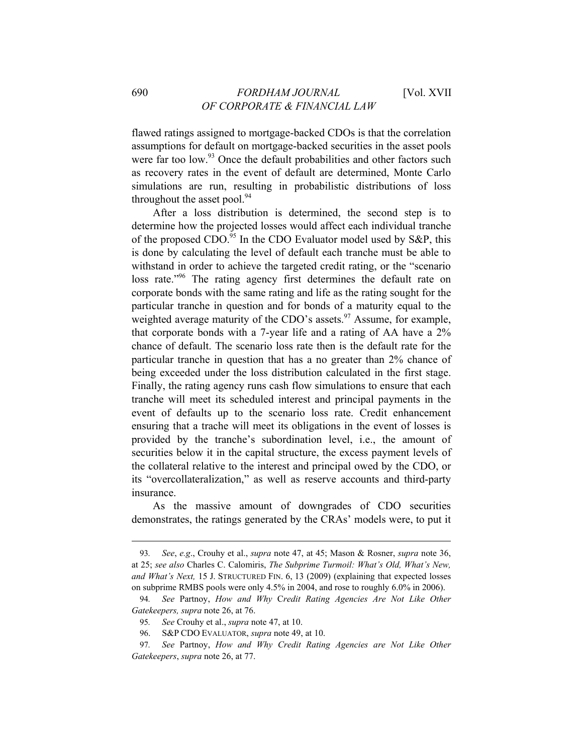flawed ratings assigned to mortgage-backed CDOs is that the correlation assumptions for default on mortgage-backed securities in the asset pools were far too low.<sup>93</sup> Once the default probabilities and other factors such as recovery rates in the event of default are determined, Monte Carlo simulations are run, resulting in probabilistic distributions of loss throughout the asset pool. $94$ 

After a loss distribution is determined, the second step is to determine how the projected losses would affect each individual tranche of the proposed CDO.<sup>95</sup> In the CDO Evaluator model used by S&P, this is done by calculating the level of default each tranche must be able to withstand in order to achieve the targeted credit rating, or the "scenario loss rate.<sup>"96</sup> The rating agency first determines the default rate on corporate bonds with the same rating and life as the rating sought for the particular tranche in question and for bonds of a maturity equal to the weighted average maturity of the CDO's assets.<sup>97</sup> Assume, for example. that corporate bonds with a 7-year life and a rating of AA have a 2% chance of default. The scenario loss rate then is the default rate for the particular tranche in question that has a no greater than 2% chance of being exceeded under the loss distribution calculated in the first stage. Finally, the rating agency runs cash flow simulations to ensure that each tranche will meet its scheduled interest and principal payments in the event of defaults up to the scenario loss rate. Credit enhancement ensuring that a trache will meet its obligations in the event of losses is provided by the tranche's subordination level, i.e., the amount of securities below it in the capital structure, the excess payment levels of the collateral relative to the interest and principal owed by the CDO, or its "overcollateralization," as well as reserve accounts and third-party insurance.

As the massive amount of downgrades of CDO securities demonstrates, the ratings generated by the CRAs' models were, to put it

<sup>93</sup>*. See*, *e.g*., Crouhy et al., *supra* note 47, at 45; Mason & Rosner, *supra* note 36, at 25; *see also* Charles C. Calomiris, *The Subprime Turmoil: What's Old, What's New, and What's Next,* 15 J. STRUCTURED FIN. 6, 13 (2009) (explaining that expected losses on subprime RMBS pools were only 4.5% in 2004, and rose to roughly 6.0% in 2006).

<sup>94</sup>*. See* Partnoy, *How and Why* C*redit Rating Agencies Are Not Like Other Gatekeepers, supra* note 26, at 76.

<sup>95</sup>*. See* Crouhy et al., *supra* note 47, at 10.

<sup>96.</sup> S&P CDO EVALUATOR, *supra* note 49, at 10.

<sup>97</sup>*. See* Partnoy, *How and Why Credit Rating Agencies are Not Like Other Gatekeepers*, *supra* note 26, at 77.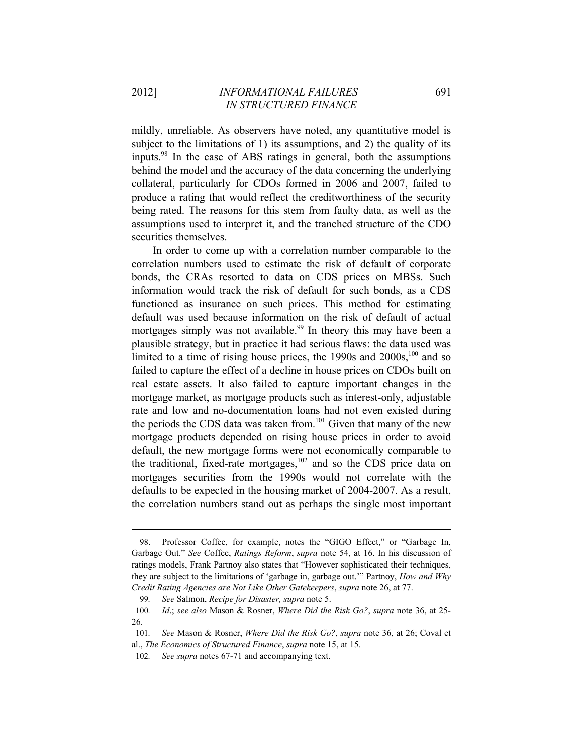mildly, unreliable. As observers have noted, any quantitative model is subject to the limitations of 1) its assumptions, and 2) the quality of its inputs.98 In the case of ABS ratings in general, both the assumptions behind the model and the accuracy of the data concerning the underlying collateral, particularly for CDOs formed in 2006 and 2007, failed to produce a rating that would reflect the creditworthiness of the security being rated. The reasons for this stem from faulty data, as well as the assumptions used to interpret it, and the tranched structure of the CDO securities themselves.

In order to come up with a correlation number comparable to the correlation numbers used to estimate the risk of default of corporate bonds, the CRAs resorted to data on CDS prices on MBSs. Such information would track the risk of default for such bonds, as a CDS functioned as insurance on such prices. This method for estimating default was used because information on the risk of default of actual mortgages simply was not available.<sup>99</sup> In theory this may have been a plausible strategy, but in practice it had serious flaws: the data used was limited to a time of rising house prices, the  $1990s$  and  $2000s$ ,<sup>100</sup> and so failed to capture the effect of a decline in house prices on CDOs built on real estate assets. It also failed to capture important changes in the mortgage market, as mortgage products such as interest-only, adjustable rate and low and no-documentation loans had not even existed during the periods the CDS data was taken from.<sup>101</sup> Given that many of the new mortgage products depended on rising house prices in order to avoid default, the new mortgage forms were not economically comparable to the traditional, fixed-rate mortgages, $102$  and so the CDS price data on mortgages securities from the 1990s would not correlate with the defaults to be expected in the housing market of 2004-2007. As a result, the correlation numbers stand out as perhaps the single most important

<sup>98.</sup> Professor Coffee, for example, notes the "GIGO Effect," or "Garbage In, Garbage Out." *See* Coffee, *Ratings Reform*, *supra* note 54, at 16. In his discussion of ratings models, Frank Partnoy also states that "However sophisticated their techniques, they are subject to the limitations of 'garbage in, garbage out.'" Partnoy, *How and Why Credit Rating Agencies are Not Like Other Gatekeepers*, *supra* note 26, at 77.

<sup>99</sup>*. See* Salmon, *Recipe for Disaster, supra* note 5.

<sup>100</sup>*. Id*.; *see also* Mason & Rosner, *Where Did the Risk Go?*, *supra* note 36, at 25- 26.

<sup>101</sup>*. See* Mason & Rosner, *Where Did the Risk Go?*, *supra* note 36, at 26; Coval et al., *The Economics of Structured Finance*, *supra* note 15, at 15.

<sup>102</sup>*. See supra* notes 67-71 and accompanying text.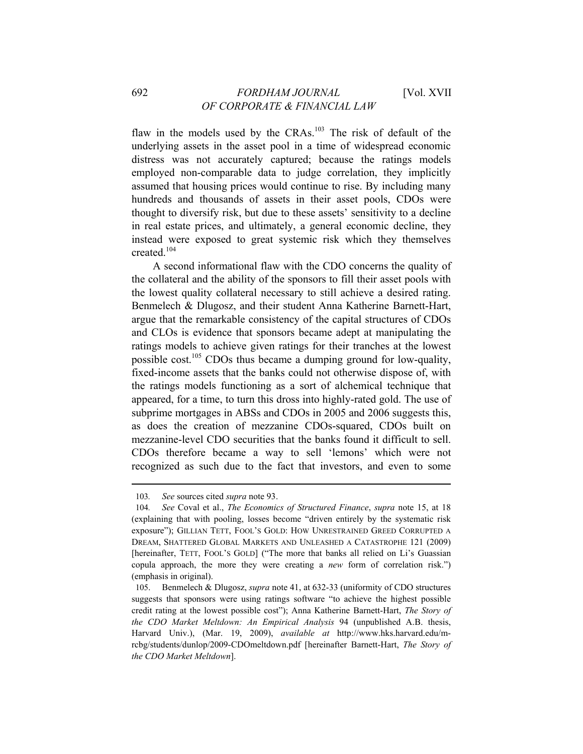## 692 *FORDHAM JOURNAL* [Vol. XVII *OF CORPORATE & FINANCIAL LAW*

flaw in the models used by the CRAs.<sup>103</sup> The risk of default of the underlying assets in the asset pool in a time of widespread economic distress was not accurately captured; because the ratings models employed non-comparable data to judge correlation, they implicitly assumed that housing prices would continue to rise. By including many hundreds and thousands of assets in their asset pools, CDOs were thought to diversify risk, but due to these assets' sensitivity to a decline in real estate prices, and ultimately, a general economic decline, they instead were exposed to great systemic risk which they themselves created.104

A second informational flaw with the CDO concerns the quality of the collateral and the ability of the sponsors to fill their asset pools with the lowest quality collateral necessary to still achieve a desired rating. Benmelech & Dlugosz, and their student Anna Katherine Barnett-Hart, argue that the remarkable consistency of the capital structures of CDOs and CLOs is evidence that sponsors became adept at manipulating the ratings models to achieve given ratings for their tranches at the lowest possible cost.<sup>105</sup> CDOs thus became a dumping ground for low-quality, fixed-income assets that the banks could not otherwise dispose of, with the ratings models functioning as a sort of alchemical technique that appeared, for a time, to turn this dross into highly-rated gold. The use of subprime mortgages in ABSs and CDOs in 2005 and 2006 suggests this, as does the creation of mezzanine CDOs-squared, CDOs built on mezzanine-level CDO securities that the banks found it difficult to sell. CDOs therefore became a way to sell 'lemons' which were not recognized as such due to the fact that investors, and even to some

<sup>103</sup>*. See* sources cited *supra* note 93.

<sup>104</sup>*. See* Coval et al., *The Economics of Structured Finance*, *supra* note 15, at 18 (explaining that with pooling, losses become "driven entirely by the systematic risk exposure"); GILLIAN TETT, FOOL'S GOLD: HOW UNRESTRAINED GREED CORRUPTED A DREAM, SHATTERED GLOBAL MARKETS AND UNLEASHED A CATASTROPHE 121 (2009) [hereinafter, TETT, FOOL'S GOLD] ("The more that banks all relied on Li's Guassian copula approach, the more they were creating a *new* form of correlation risk.") (emphasis in original).

<sup>105.</sup> Benmelech & Dlugosz, *supra* note 41, at 632-33 (uniformity of CDO structures suggests that sponsors were using ratings software "to achieve the highest possible credit rating at the lowest possible cost"); Anna Katherine Barnett-Hart, *The Story of the CDO Market Meltdown: An Empirical Analysis* 94 (unpublished A.B. thesis, Harvard Univ.), (Mar. 19, 2009), *available at* http://www.hks.harvard.edu/mrcbg/students/dunlop/2009-CDOmeltdown.pdf [hereinafter Barnett-Hart, *The Story of the CDO Market Meltdown*].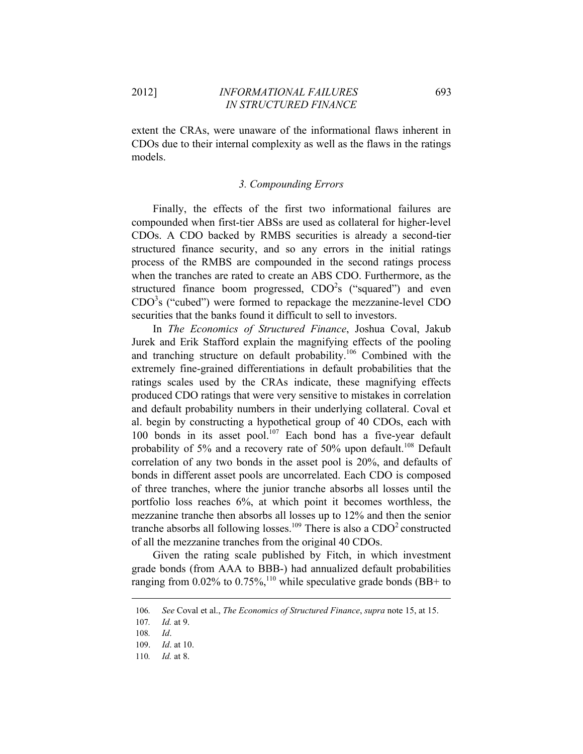extent the CRAs, were unaware of the informational flaws inherent in CDOs due to their internal complexity as well as the flaws in the ratings models.

#### *3. Compounding Errors*

Finally, the effects of the first two informational failures are compounded when first-tier ABSs are used as collateral for higher-level CDOs. A CDO backed by RMBS securities is already a second-tier structured finance security, and so any errors in the initial ratings process of the RMBS are compounded in the second ratings process when the tranches are rated to create an ABS CDO. Furthermore, as the structured finance boom progressed,  $CDO<sup>2</sup>$ s ("squared") and even  $CDO<sup>3</sup>$ s ("cubed") were formed to repackage the mezzanine-level  $CDO$ securities that the banks found it difficult to sell to investors.

In *The Economics of Structured Finance*, Joshua Coval, Jakub Jurek and Erik Stafford explain the magnifying effects of the pooling and tranching structure on default probability.106 Combined with the extremely fine-grained differentiations in default probabilities that the ratings scales used by the CRAs indicate, these magnifying effects produced CDO ratings that were very sensitive to mistakes in correlation and default probability numbers in their underlying collateral. Coval et al. begin by constructing a hypothetical group of 40 CDOs, each with 100 bonds in its asset pool.<sup>107</sup> Each bond has a five-year default probability of 5% and a recovery rate of 50% upon default.<sup>108</sup> Default correlation of any two bonds in the asset pool is 20%, and defaults of bonds in different asset pools are uncorrelated. Each CDO is composed of three tranches, where the junior tranche absorbs all losses until the portfolio loss reaches 6%, at which point it becomes worthless, the mezzanine tranche then absorbs all losses up to 12% and then the senior tranche absorbs all following losses.<sup>109</sup> There is also a  $CDO<sup>2</sup>$  constructed of all the mezzanine tranches from the original 40 CDOs.

Given the rating scale published by Fitch, in which investment grade bonds (from AAA to BBB-) had annualized default probabilities ranging from 0.02% to 0.75%,<sup>110</sup> while speculative grade bonds (BB+ to

<sup>&</sup>lt;u> 1989 - Johann Barn, mars ann an t-Amhain ann an t-Amhain an t-Amhain an t-Amhain an t-Amhain an t-Amhain an t-</u> 106*. See* Coval et al., *The Economics of Structured Finance*, *supra* note 15, at 15.

<sup>107</sup>*. Id.* at 9.

<sup>108</sup>*. Id*.

<sup>109.</sup> *Id*. at 10.

<sup>110</sup>*. Id.* at 8.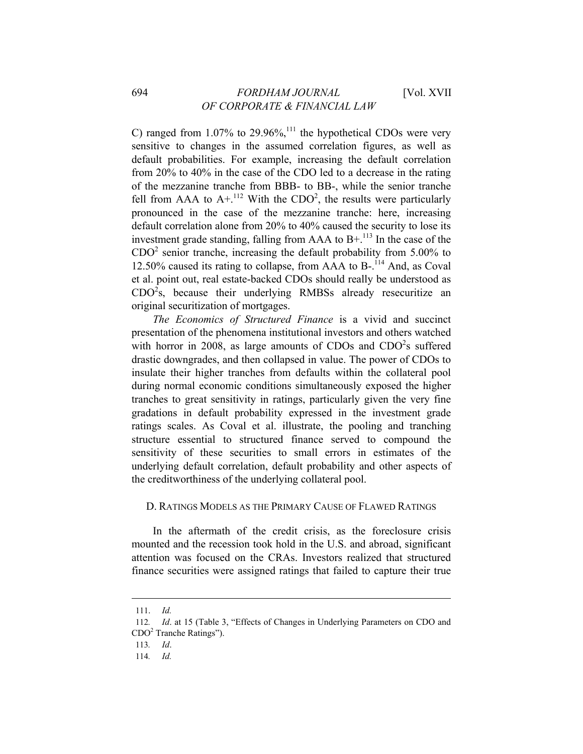## 694 *FORDHAM JOURNAL* [Vol. XVII *OF CORPORATE & FINANCIAL LAW*

C) ranged from  $1.07\%$  to  $29.96\%$ ,<sup>111</sup> the hypothetical CDOs were very sensitive to changes in the assumed correlation figures, as well as default probabilities. For example, increasing the default correlation from 20% to 40% in the case of the CDO led to a decrease in the rating of the mezzanine tranche from BBB- to BB-, while the senior tranche fell from AAA to  $A +$ <sup>112</sup> With the CDO<sup>2</sup>, the results were particularly pronounced in the case of the mezzanine tranche: here, increasing default correlation alone from 20% to 40% caused the security to lose its investment grade standing, falling from AAA to  $B+.113$  In the case of the  $CDO<sup>2</sup>$  senior tranche, increasing the default probability from 5.00% to 12.50% caused its rating to collapse, from AAA to  $B$ -.<sup>114</sup> And, as Coval et al. point out, real estate-backed CDOs should really be understood as  $CDO<sup>2</sup>s$ , because their underlying RMBSs already resecuritize an original securitization of mortgages.

*The Economics of Structured Finance* is a vivid and succinct presentation of the phenomena institutional investors and others watched with horror in 2008, as large amounts of CDOs and CDO<sup>2</sup>s suffered drastic downgrades, and then collapsed in value. The power of CDOs to insulate their higher tranches from defaults within the collateral pool during normal economic conditions simultaneously exposed the higher tranches to great sensitivity in ratings, particularly given the very fine gradations in default probability expressed in the investment grade ratings scales. As Coval et al. illustrate, the pooling and tranching structure essential to structured finance served to compound the sensitivity of these securities to small errors in estimates of the underlying default correlation, default probability and other aspects of the creditworthiness of the underlying collateral pool.

#### D. RATINGS MODELS AS THE PRIMARY CAUSE OF FLAWED RATINGS

In the aftermath of the credit crisis, as the foreclosure crisis mounted and the recession took hold in the U.S. and abroad, significant attention was focused on the CRAs. Investors realized that structured finance securities were assigned ratings that failed to capture their true

<sup>111.</sup> *Id.* 

<sup>112</sup>*. Id*. at 15 (Table 3, "Effects of Changes in Underlying Parameters on CDO and CDO<sup>2</sup> Tranche Ratings").

<sup>113</sup>*. Id*.

<sup>114</sup>*. Id.*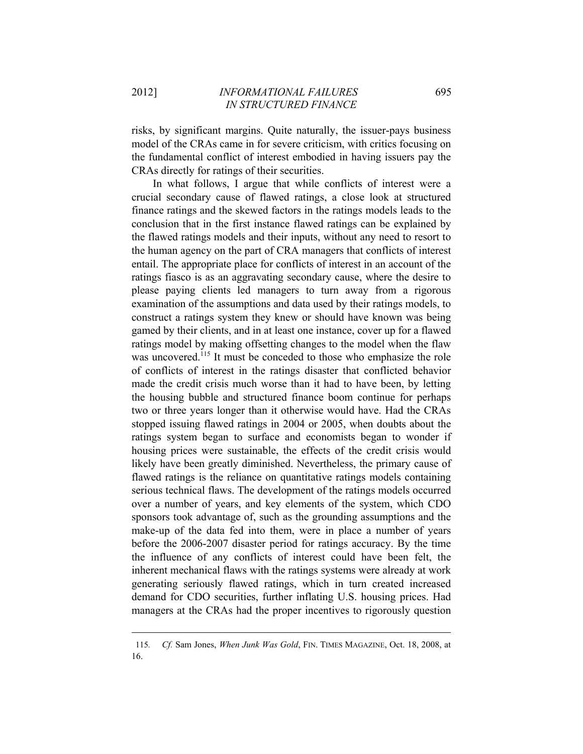risks, by significant margins. Quite naturally, the issuer-pays business model of the CRAs came in for severe criticism, with critics focusing on the fundamental conflict of interest embodied in having issuers pay the CRAs directly for ratings of their securities.

In what follows, I argue that while conflicts of interest were a crucial secondary cause of flawed ratings, a close look at structured finance ratings and the skewed factors in the ratings models leads to the conclusion that in the first instance flawed ratings can be explained by the flawed ratings models and their inputs, without any need to resort to the human agency on the part of CRA managers that conflicts of interest entail. The appropriate place for conflicts of interest in an account of the ratings fiasco is as an aggravating secondary cause, where the desire to please paying clients led managers to turn away from a rigorous examination of the assumptions and data used by their ratings models, to construct a ratings system they knew or should have known was being gamed by their clients, and in at least one instance, cover up for a flawed ratings model by making offsetting changes to the model when the flaw was uncovered.<sup>115</sup> It must be conceded to those who emphasize the role of conflicts of interest in the ratings disaster that conflicted behavior made the credit crisis much worse than it had to have been, by letting the housing bubble and structured finance boom continue for perhaps two or three years longer than it otherwise would have. Had the CRAs stopped issuing flawed ratings in 2004 or 2005, when doubts about the ratings system began to surface and economists began to wonder if housing prices were sustainable, the effects of the credit crisis would likely have been greatly diminished. Nevertheless, the primary cause of flawed ratings is the reliance on quantitative ratings models containing serious technical flaws. The development of the ratings models occurred over a number of years, and key elements of the system, which CDO sponsors took advantage of, such as the grounding assumptions and the make-up of the data fed into them, were in place a number of years before the 2006-2007 disaster period for ratings accuracy. By the time the influence of any conflicts of interest could have been felt, the inherent mechanical flaws with the ratings systems were already at work generating seriously flawed ratings, which in turn created increased demand for CDO securities, further inflating U.S. housing prices. Had managers at the CRAs had the proper incentives to rigorously question

<sup>&</sup>lt;u> 1989 - Johann Barn, mars ann an t-Amhain ann an t-Amhain an t-Amhain an t-Amhain an t-Amhain an t-Amhain an t-</u> 115*. Cf.* Sam Jones, *When Junk Was Gold*, FIN. TIMES MAGAZINE, Oct. 18, 2008, at 16.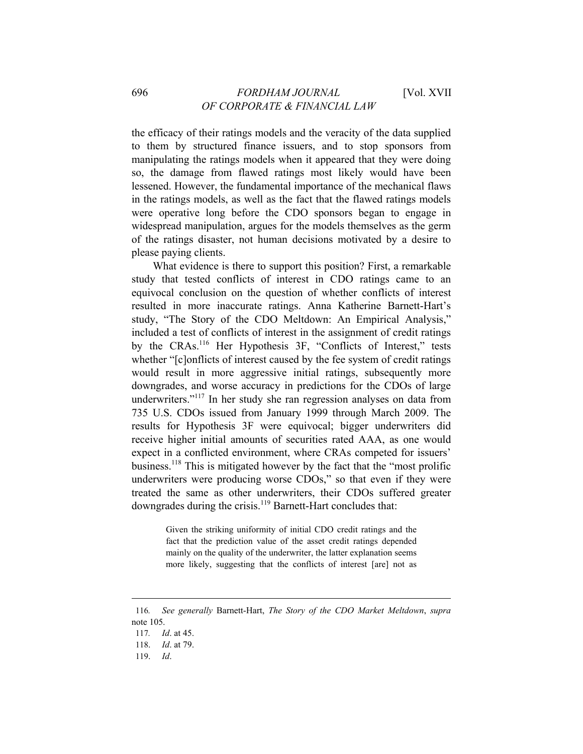the efficacy of their ratings models and the veracity of the data supplied to them by structured finance issuers, and to stop sponsors from manipulating the ratings models when it appeared that they were doing so, the damage from flawed ratings most likely would have been lessened. However, the fundamental importance of the mechanical flaws in the ratings models, as well as the fact that the flawed ratings models were operative long before the CDO sponsors began to engage in widespread manipulation, argues for the models themselves as the germ of the ratings disaster, not human decisions motivated by a desire to please paying clients.

What evidence is there to support this position? First, a remarkable study that tested conflicts of interest in CDO ratings came to an equivocal conclusion on the question of whether conflicts of interest resulted in more inaccurate ratings. Anna Katherine Barnett-Hart's study, "The Story of the CDO Meltdown: An Empirical Analysis," included a test of conflicts of interest in the assignment of credit ratings by the CRAs.<sup>116</sup> Her Hypothesis 3F, "Conflicts of Interest," tests whether "[c]onflicts of interest caused by the fee system of credit ratings would result in more aggressive initial ratings, subsequently more downgrades, and worse accuracy in predictions for the CDOs of large underwriters."<sup>117</sup> In her study she ran regression analyses on data from 735 U.S. CDOs issued from January 1999 through March 2009. The results for Hypothesis 3F were equivocal; bigger underwriters did receive higher initial amounts of securities rated AAA, as one would expect in a conflicted environment, where CRAs competed for issuers' business.118 This is mitigated however by the fact that the "most prolific underwriters were producing worse CDOs," so that even if they were treated the same as other underwriters, their CDOs suffered greater downgrades during the crisis.<sup>119</sup> Barnett-Hart concludes that:

> Given the striking uniformity of initial CDO credit ratings and the fact that the prediction value of the asset credit ratings depended mainly on the quality of the underwriter, the latter explanation seems more likely, suggesting that the conflicts of interest [are] not as

<u> 1989 - Johann Barn, mars ann an t-Amhain ann an t-Amhain an t-Amhain an t-Amhain an t-Amhain an t-Amhain an t-</u>

119. *Id*.

<sup>116</sup>*. See generally* Barnett-Hart, *The Story of the CDO Market Meltdown*, *supra* note 105.

<sup>117</sup>*. Id*. at 45.

<sup>118.</sup> *Id*. at 79.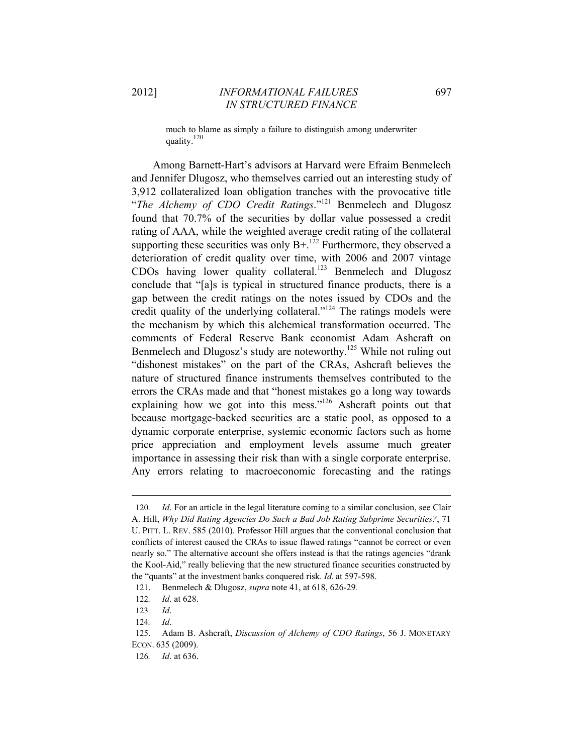much to blame as simply a failure to distinguish among underwriter quality.120

Among Barnett-Hart's advisors at Harvard were Efraim Benmelech and Jennifer Dlugosz, who themselves carried out an interesting study of 3,912 collateralized loan obligation tranches with the provocative title "*The Alchemy of CDO Credit Ratings*."121 Benmelech and Dlugosz found that 70.7% of the securities by dollar value possessed a credit rating of AAA, while the weighted average credit rating of the collateral supporting these securities was only  $B^{+}$ .<sup>122</sup> Furthermore, they observed a deterioration of credit quality over time, with 2006 and 2007 vintage CDOs having lower quality collateral.<sup>123</sup> Benmelech and Dlugosz conclude that "[a]s is typical in structured finance products, there is a gap between the credit ratings on the notes issued by CDOs and the credit quality of the underlying collateral."<sup>124</sup> The ratings models were the mechanism by which this alchemical transformation occurred. The comments of Federal Reserve Bank economist Adam Ashcraft on Benmelech and Dlugosz's study are noteworthy.<sup>125</sup> While not ruling out "dishonest mistakes" on the part of the CRAs, Ashcraft believes the nature of structured finance instruments themselves contributed to the errors the CRAs made and that "honest mistakes go a long way towards explaining how we got into this mess."<sup>126</sup> Ashcraft points out that because mortgage-backed securities are a static pool, as opposed to a dynamic corporate enterprise, systemic economic factors such as home price appreciation and employment levels assume much greater importance in assessing their risk than with a single corporate enterprise. Any errors relating to macroeconomic forecasting and the ratings

<sup>120</sup>*. Id*. For an article in the legal literature coming to a similar conclusion, see Clair A. Hill, *Why Did Rating Agencies Do Such a Bad Job Rating Subprime Securities?*, 71 U. PITT. L. REV. 585 (2010). Professor Hill argues that the conventional conclusion that conflicts of interest caused the CRAs to issue flawed ratings "cannot be correct or even nearly so." The alternative account she offers instead is that the ratings agencies "drank the Kool-Aid," really believing that the new structured finance securities constructed by the "quants" at the investment banks conquered risk. *Id*. at 597-598.

<sup>121.</sup> Benmelech & Dlugosz, *supra* note 41, at 618, 626-29*.*

<sup>122</sup>*. Id*. at 628.

<sup>123</sup>*. Id*.

<sup>124</sup>*. Id*.

<sup>125.</sup> Adam B. Ashcraft, *Discussion of Alchemy of CDO Ratings*, 56 J. MONETARY ECON. 635 (2009).

<sup>126</sup>*. Id*. at 636.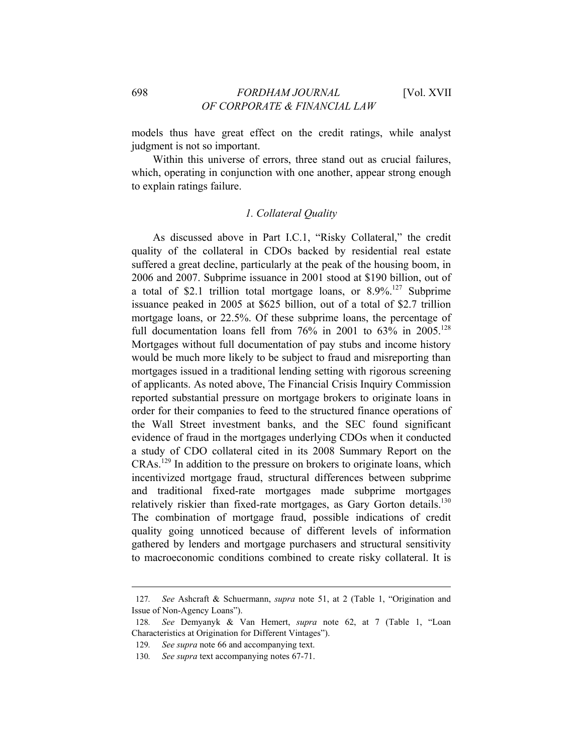models thus have great effect on the credit ratings, while analyst judgment is not so important.

Within this universe of errors, three stand out as crucial failures, which, operating in conjunction with one another, appear strong enough to explain ratings failure.

### *1. Collateral Quality*

As discussed above in Part I.C.1, "Risky Collateral," the credit quality of the collateral in CDOs backed by residential real estate suffered a great decline, particularly at the peak of the housing boom, in 2006 and 2007. Subprime issuance in 2001 stood at \$190 billion, out of a total of \$2.1 trillion total mortgage loans, or  $8.9\%$ <sup>127</sup> Subprime issuance peaked in 2005 at \$625 billion, out of a total of \$2.7 trillion mortgage loans, or 22.5%. Of these subprime loans, the percentage of full documentation loans fell from  $76\%$  in 2001 to  $63\%$  in 2005.<sup>128</sup> Mortgages without full documentation of pay stubs and income history would be much more likely to be subject to fraud and misreporting than mortgages issued in a traditional lending setting with rigorous screening of applicants. As noted above, The Financial Crisis Inquiry Commission reported substantial pressure on mortgage brokers to originate loans in order for their companies to feed to the structured finance operations of the Wall Street investment banks, and the SEC found significant evidence of fraud in the mortgages underlying CDOs when it conducted a study of CDO collateral cited in its 2008 Summary Report on the  $CRAs.<sup>129</sup>$  In addition to the pressure on brokers to originate loans, which incentivized mortgage fraud, structural differences between subprime and traditional fixed-rate mortgages made subprime mortgages relatively riskier than fixed-rate mortgages, as Gary Gorton details.<sup>130</sup> The combination of mortgage fraud, possible indications of credit quality going unnoticed because of different levels of information gathered by lenders and mortgage purchasers and structural sensitivity to macroeconomic conditions combined to create risky collateral. It is

<sup>127</sup>*. See* Ashcraft & Schuermann, *supra* note 51, at 2 (Table 1, "Origination and Issue of Non-Agency Loans").

<sup>128</sup>*. See* Demyanyk & Van Hemert, *supra* note 62, at 7 (Table 1, "Loan Characteristics at Origination for Different Vintages").

<sup>129</sup>*. See supra* note 66 and accompanying text.

<sup>130</sup>*. See supra* text accompanying notes 67-71.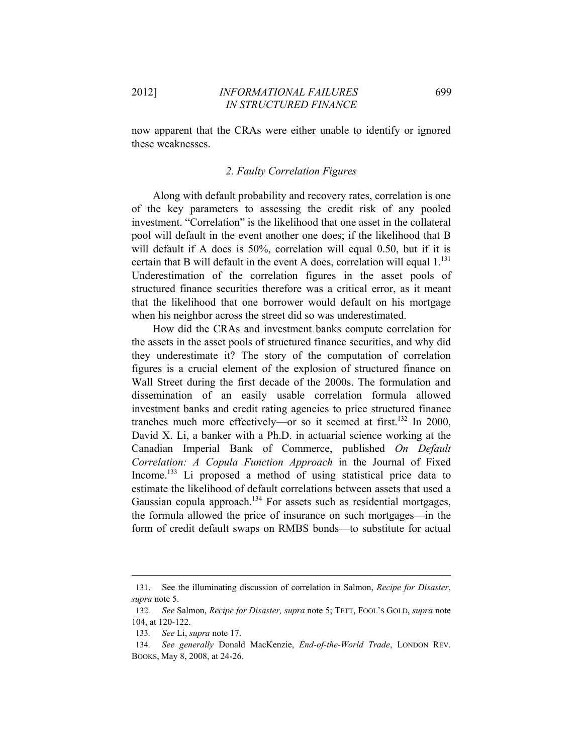now apparent that the CRAs were either unable to identify or ignored these weaknesses.

#### *2. Faulty Correlation Figures*

Along with default probability and recovery rates, correlation is one of the key parameters to assessing the credit risk of any pooled investment. "Correlation" is the likelihood that one asset in the collateral pool will default in the event another one does; if the likelihood that B will default if A does is 50%, correlation will equal 0.50, but if it is certain that B will default in the event A does, correlation will equal  $1.^{131}$ . Underestimation of the correlation figures in the asset pools of structured finance securities therefore was a critical error, as it meant that the likelihood that one borrower would default on his mortgage when his neighbor across the street did so was underestimated.

How did the CRAs and investment banks compute correlation for the assets in the asset pools of structured finance securities, and why did they underestimate it? The story of the computation of correlation figures is a crucial element of the explosion of structured finance on Wall Street during the first decade of the 2000s. The formulation and dissemination of an easily usable correlation formula allowed investment banks and credit rating agencies to price structured finance tranches much more effectively—or so it seemed at first.<sup>132</sup> In 2000, David X. Li, a banker with a Ph.D. in actuarial science working at the Canadian Imperial Bank of Commerce, published *On Default Correlation: A Copula Function Approach* in the Journal of Fixed Income.<sup>133</sup> Li proposed a method of using statistical price data to estimate the likelihood of default correlations between assets that used a Gaussian copula approach.<sup>134</sup> For assets such as residential mortgages, the formula allowed the price of insurance on such mortgages—in the form of credit default swaps on RMBS bonds—to substitute for actual

<sup>&</sup>lt;u> 1989 - Johann Stein, marwolaethau a bhann an t-Amhain an t-Amhain an t-Amhain an t-Amhain an t-Amhain an t-A</u> 131. See the illuminating discussion of correlation in Salmon, *Recipe for Disaster*, *supra* note 5.

<sup>132</sup>*. See* Salmon, *Recipe for Disaster, supra* note 5; TETT, FOOL'S GOLD, *supra* note 104, at 120-122.

<sup>133</sup>*. See* Li, *supra* note 17.

<sup>134</sup>*. See generally* Donald MacKenzie, *End-of-the-World Trade*, LONDON REV. BOOKS, May 8, 2008, at 24-26.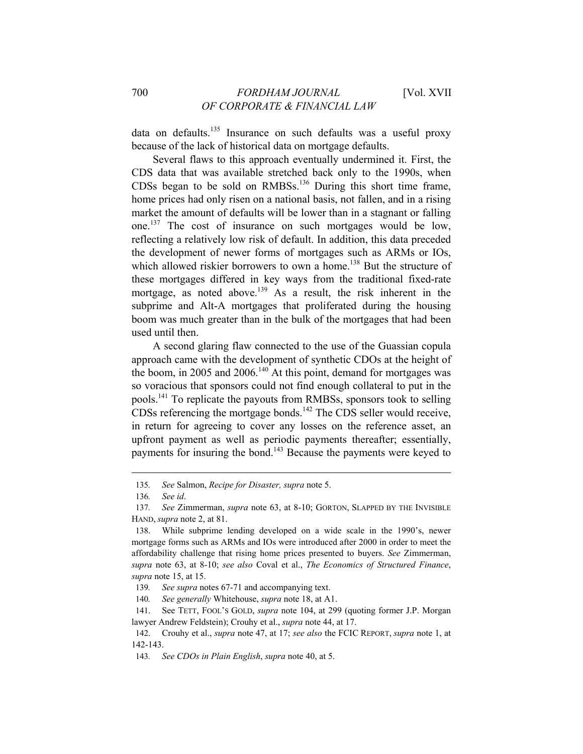data on defaults.135 Insurance on such defaults was a useful proxy because of the lack of historical data on mortgage defaults.

Several flaws to this approach eventually undermined it. First, the CDS data that was available stretched back only to the 1990s, when CDSs began to be sold on RMBSs.136 During this short time frame, home prices had only risen on a national basis, not fallen, and in a rising market the amount of defaults will be lower than in a stagnant or falling one.137 The cost of insurance on such mortgages would be low, reflecting a relatively low risk of default. In addition, this data preceded the development of newer forms of mortgages such as ARMs or IOs, which allowed riskier borrowers to own a home.<sup>138</sup> But the structure of these mortgages differed in key ways from the traditional fixed-rate mortgage, as noted above.<sup>139</sup> As a result, the risk inherent in the subprime and Alt-A mortgages that proliferated during the housing boom was much greater than in the bulk of the mortgages that had been used until then.

A second glaring flaw connected to the use of the Guassian copula approach came with the development of synthetic CDOs at the height of the boom, in 2005 and 2006.<sup>140</sup> At this point, demand for mortgages was so voracious that sponsors could not find enough collateral to put in the pools.141 To replicate the payouts from RMBSs, sponsors took to selling CDSs referencing the mortgage bonds.<sup>142</sup> The CDS seller would receive, in return for agreeing to cover any losses on the reference asset, an upfront payment as well as periodic payments thereafter; essentially, payments for insuring the bond.<sup>143</sup> Because the payments were keyed to

<sup>135</sup>*. See* Salmon, *Recipe for Disaster, supra* note 5.

<sup>136</sup>*. See id*.

<sup>137</sup>*. See* Zimmerman, *supra* note 63, at 8-10; GORTON, SLAPPED BY THE INVISIBLE HAND, *supra* note 2, at 81.

<sup>138.</sup> While subprime lending developed on a wide scale in the 1990's, newer mortgage forms such as ARMs and IOs were introduced after 2000 in order to meet the affordability challenge that rising home prices presented to buyers. *See* Zimmerman, *supra* note 63, at 8-10; *see also* Coval et al., *The Economics of Structured Finance*, *supra* note 15, at 15.

<sup>139</sup>*. See supra* notes 67-71 and accompanying text.

<sup>140</sup>*. See generally* Whitehouse, *supra* note 18, at A1.

<sup>141.</sup> See TETT, FOOL'S GOLD, *supra* note 104, at 299 (quoting former J.P. Morgan lawyer Andrew Feldstein); Crouhy et al., *supra* note 44, at 17.

<sup>142.</sup> Crouhy et al., *supra* note 47, at 17; *see also* the FCIC REPORT, *supra* note 1, at 142-143.

<sup>143</sup>*. See CDOs in Plain English*, *supra* note 40, at 5.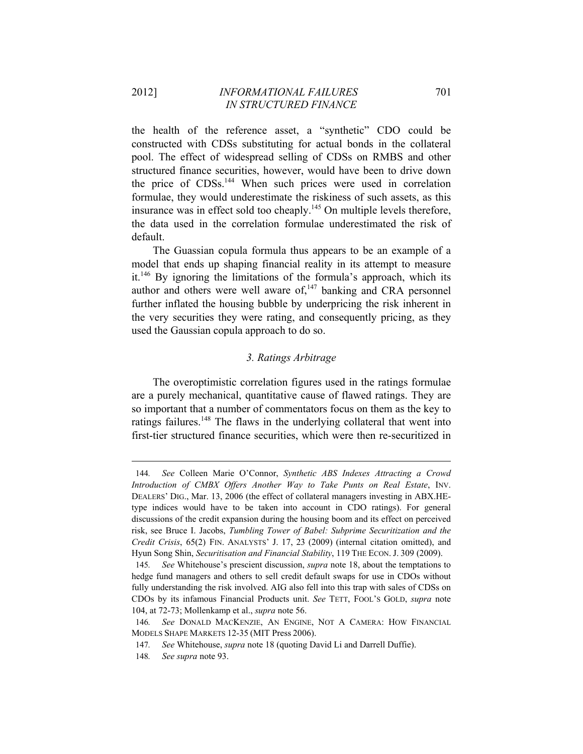the health of the reference asset, a "synthetic" CDO could be constructed with CDSs substituting for actual bonds in the collateral pool. The effect of widespread selling of CDSs on RMBS and other structured finance securities, however, would have been to drive down the price of CDSs.<sup>144</sup> When such prices were used in correlation formulae, they would underestimate the riskiness of such assets, as this insurance was in effect sold too cheaply.<sup>145</sup> On multiple levels therefore, the data used in the correlation formulae underestimated the risk of default.

The Guassian copula formula thus appears to be an example of a model that ends up shaping financial reality in its attempt to measure it.146 By ignoring the limitations of the formula's approach, which its author and others were well aware of, $147$  banking and CRA personnel further inflated the housing bubble by underpricing the risk inherent in the very securities they were rating, and consequently pricing, as they used the Gaussian copula approach to do so.

# *3. Ratings Arbitrage*

The overoptimistic correlation figures used in the ratings formulae are a purely mechanical, quantitative cause of flawed ratings. They are so important that a number of commentators focus on them as the key to ratings failures.<sup>148</sup> The flaws in the underlying collateral that went into first-tier structured finance securities, which were then re-securitized in

<sup>144</sup>*. See* Colleen Marie O'Connor, *Synthetic ABS Indexes Attracting a Crowd Introduction of CMBX Offers Another Way to Take Punts on Real Estate*, INV. DEALERS' DIG., Mar. 13, 2006 (the effect of collateral managers investing in ABX.HEtype indices would have to be taken into account in CDO ratings). For general discussions of the credit expansion during the housing boom and its effect on perceived risk, see Bruce I. Jacobs, *Tumbling Tower of Babel: Subprime Securitization and the Credit Crisis*, 65(2) FIN. ANALYSTS' J. 17, 23 (2009) (internal citation omitted), and Hyun Song Shin, *Securitisation and Financial Stability*, 119 THE ECON. J. 309 (2009).

<sup>145</sup>*. See* Whitehouse's prescient discussion, *supra* note 18, about the temptations to hedge fund managers and others to sell credit default swaps for use in CDOs without fully understanding the risk involved. AIG also fell into this trap with sales of CDSs on CDOs by its infamous Financial Products unit. *See* TETT, FOOL'S GOLD, *supra* note 104, at 72-73; Mollenkamp et al., *supra* note 56.

<sup>146</sup>*. See* DONALD MACKENZIE, AN ENGINE, NOT A CAMERA: HOW FINANCIAL MODELS SHAPE MARKETS 12-35 (MIT Press 2006).

<sup>147</sup>*. See* Whitehouse, *supra* note 18 (quoting David Li and Darrell Duffie).

<sup>148</sup>*. See supra* note 93.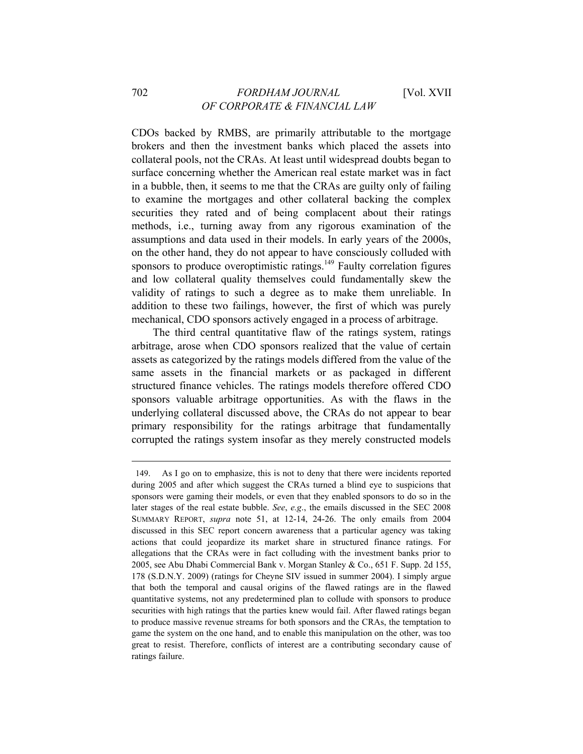CDOs backed by RMBS, are primarily attributable to the mortgage brokers and then the investment banks which placed the assets into collateral pools, not the CRAs. At least until widespread doubts began to surface concerning whether the American real estate market was in fact in a bubble, then, it seems to me that the CRAs are guilty only of failing to examine the mortgages and other collateral backing the complex securities they rated and of being complacent about their ratings methods, i.e., turning away from any rigorous examination of the assumptions and data used in their models. In early years of the 2000s, on the other hand, they do not appear to have consciously colluded with sponsors to produce overoptimistic ratings. $149$  Faulty correlation figures and low collateral quality themselves could fundamentally skew the validity of ratings to such a degree as to make them unreliable. In addition to these two failings, however, the first of which was purely mechanical, CDO sponsors actively engaged in a process of arbitrage.

The third central quantitative flaw of the ratings system, ratings arbitrage, arose when CDO sponsors realized that the value of certain assets as categorized by the ratings models differed from the value of the same assets in the financial markets or as packaged in different structured finance vehicles. The ratings models therefore offered CDO sponsors valuable arbitrage opportunities. As with the flaws in the underlying collateral discussed above, the CRAs do not appear to bear primary responsibility for the ratings arbitrage that fundamentally corrupted the ratings system insofar as they merely constructed models

<sup>149.</sup> As I go on to emphasize, this is not to deny that there were incidents reported during 2005 and after which suggest the CRAs turned a blind eye to suspicions that sponsors were gaming their models, or even that they enabled sponsors to do so in the later stages of the real estate bubble. *See*, *e.g*., the emails discussed in the SEC 2008 SUMMARY REPORT, *supra* note 51, at 12-14, 24-26. The only emails from 2004 discussed in this SEC report concern awareness that a particular agency was taking actions that could jeopardize its market share in structured finance ratings. For allegations that the CRAs were in fact colluding with the investment banks prior to 2005, see Abu Dhabi Commercial Bank v. Morgan Stanley & Co., 651 F. Supp. 2d 155, 178 (S.D.N.Y. 2009) (ratings for Cheyne SIV issued in summer 2004). I simply argue that both the temporal and causal origins of the flawed ratings are in the flawed quantitative systems, not any predetermined plan to collude with sponsors to produce securities with high ratings that the parties knew would fail. After flawed ratings began to produce massive revenue streams for both sponsors and the CRAs, the temptation to game the system on the one hand, and to enable this manipulation on the other, was too great to resist. Therefore, conflicts of interest are a contributing secondary cause of ratings failure.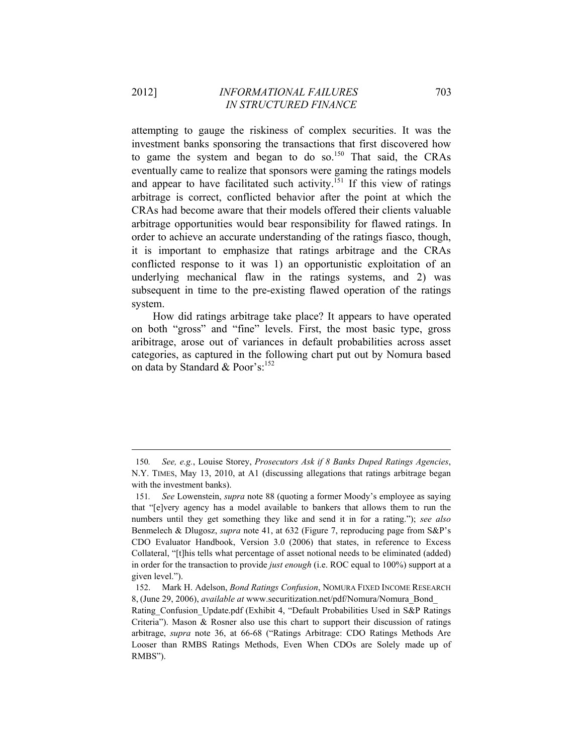attempting to gauge the riskiness of complex securities. It was the investment banks sponsoring the transactions that first discovered how to game the system and began to do so.<sup>150</sup> That said, the CRAs eventually came to realize that sponsors were gaming the ratings models and appear to have facilitated such activity.<sup>151</sup> If this view of ratings arbitrage is correct, conflicted behavior after the point at which the CRAs had become aware that their models offered their clients valuable arbitrage opportunities would bear responsibility for flawed ratings. In order to achieve an accurate understanding of the ratings fiasco, though, it is important to emphasize that ratings arbitrage and the CRAs conflicted response to it was 1) an opportunistic exploitation of an underlying mechanical flaw in the ratings systems, and 2) was subsequent in time to the pre-existing flawed operation of the ratings system.

How did ratings arbitrage take place? It appears to have operated on both "gross" and "fine" levels. First, the most basic type, gross aribitrage, arose out of variances in default probabilities across asset categories, as captured in the following chart put out by Nomura based on data by Standard & Poor's: $152$ 

<u> 1989 - Johann Barn, mars ar breithinn ar chuid ann an t-Alban ann an t-Alban ann an t-Alban ann an t-Alban a</u>

<sup>150</sup>*. See, e.g.*, Louise Storey, *Prosecutors Ask if 8 Banks Duped Ratings Agencies*, N.Y. TIMES, May 13, 2010, at A1 (discussing allegations that ratings arbitrage began with the investment banks).

<sup>151</sup>*. See* Lowenstein, *supra* note 88 (quoting a former Moody's employee as saying that "[e]very agency has a model available to bankers that allows them to run the numbers until they get something they like and send it in for a rating."); *see also* Benmelech & Dlugosz, *supra* note 41, at 632 (Figure 7, reproducing page from S&P's CDO Evaluator Handbook, Version 3.0 (2006) that states, in reference to Excess Collateral, "[t]his tells what percentage of asset notional needs to be eliminated (added) in order for the transaction to provide *just enough* (i.e. ROC equal to 100%) support at a given level.").

<sup>152.</sup> Mark H. Adelson, *Bond Ratings Confusion*, NOMURA FIXED INCOME RESEARCH 8, (June 29, 2006), *available at* www.securitization.net/pdf/Nomura/Nomura\_Bond\_

Rating Confusion Update.pdf (Exhibit 4, "Default Probabilities Used in S&P Ratings Criteria"). Mason & Rosner also use this chart to support their discussion of ratings arbitrage, *supra* note 36, at 66-68 ("Ratings Arbitrage: CDO Ratings Methods Are Looser than RMBS Ratings Methods, Even When CDOs are Solely made up of RMBS").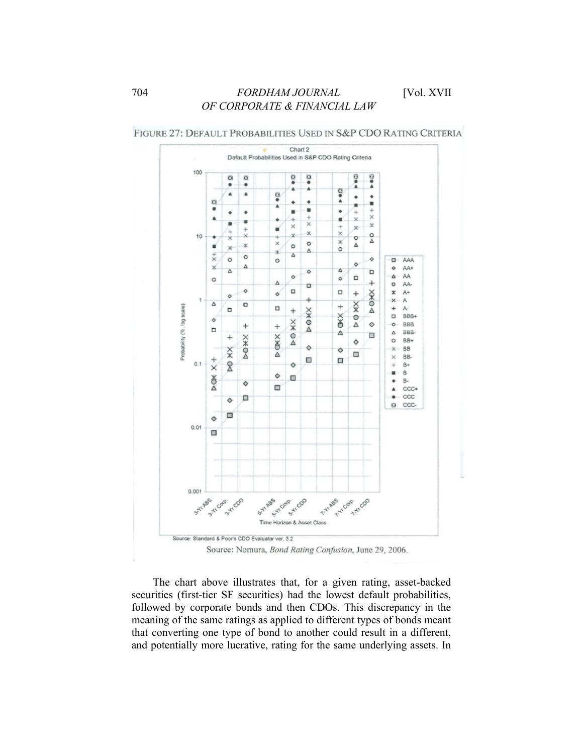

FIGURE 27: DEFAULT PROBABILITIES USED IN S&P CDO RATING CRITERIA

Source: Nomura, Bond Rating Confusion, June 29, 2006.

The chart above illustrates that, for a given rating, asset-backed securities (first-tier SF securities) had the lowest default probabilities, followed by corporate bonds and then CDOs. This discrepancy in the meaning of the same ratings as applied to different types of bonds meant that converting one type of bond to another could result in a different, and potentially more lucrative, rating for the same underlying assets. In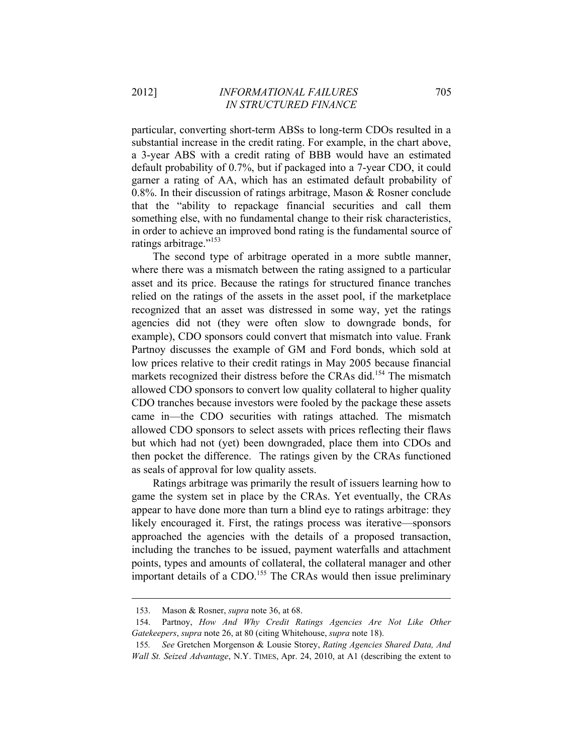particular, converting short-term ABSs to long-term CDOs resulted in a substantial increase in the credit rating. For example, in the chart above, a 3-year ABS with a credit rating of BBB would have an estimated default probability of 0.7%, but if packaged into a 7-year CDO, it could garner a rating of AA, which has an estimated default probability of 0.8%. In their discussion of ratings arbitrage, Mason & Rosner conclude that the "ability to repackage financial securities and call them something else, with no fundamental change to their risk characteristics, in order to achieve an improved bond rating is the fundamental source of ratings arbitrage."<sup>153</sup>

The second type of arbitrage operated in a more subtle manner, where there was a mismatch between the rating assigned to a particular asset and its price. Because the ratings for structured finance tranches relied on the ratings of the assets in the asset pool, if the marketplace recognized that an asset was distressed in some way, yet the ratings agencies did not (they were often slow to downgrade bonds, for example), CDO sponsors could convert that mismatch into value. Frank Partnoy discusses the example of GM and Ford bonds, which sold at low prices relative to their credit ratings in May 2005 because financial markets recognized their distress before the CRAs did.<sup>154</sup> The mismatch allowed CDO sponsors to convert low quality collateral to higher quality CDO tranches because investors were fooled by the package these assets came in—the CDO securities with ratings attached. The mismatch allowed CDO sponsors to select assets with prices reflecting their flaws but which had not (yet) been downgraded, place them into CDOs and then pocket the difference. The ratings given by the CRAs functioned as seals of approval for low quality assets.

Ratings arbitrage was primarily the result of issuers learning how to game the system set in place by the CRAs. Yet eventually, the CRAs appear to have done more than turn a blind eye to ratings arbitrage: they likely encouraged it. First, the ratings process was iterative—sponsors approached the agencies with the details of a proposed transaction, including the tranches to be issued, payment waterfalls and attachment points, types and amounts of collateral, the collateral manager and other important details of a CDO.<sup>155</sup> The CRAs would then issue preliminary

<u> 1989 - Johann Barn, mars ar breithinn ar chuid ann an t-Alban ann an t-Alban ann an t-Alban ann an t-Alban a</u>

<sup>153.</sup> Mason & Rosner, *supra* note 36, at 68.

<sup>154.</sup> Partnoy, *How And Why Credit Ratings Agencies Are Not Like Other Gatekeepers*, *supra* note 26, at 80 (citing Whitehouse, *supra* note 18).

<sup>155</sup>*. See* Gretchen Morgenson & Lousie Storey, *Rating Agencies Shared Data, And Wall St. Seized Advantage*, N.Y. TIMES, Apr. 24, 2010, at A1 (describing the extent to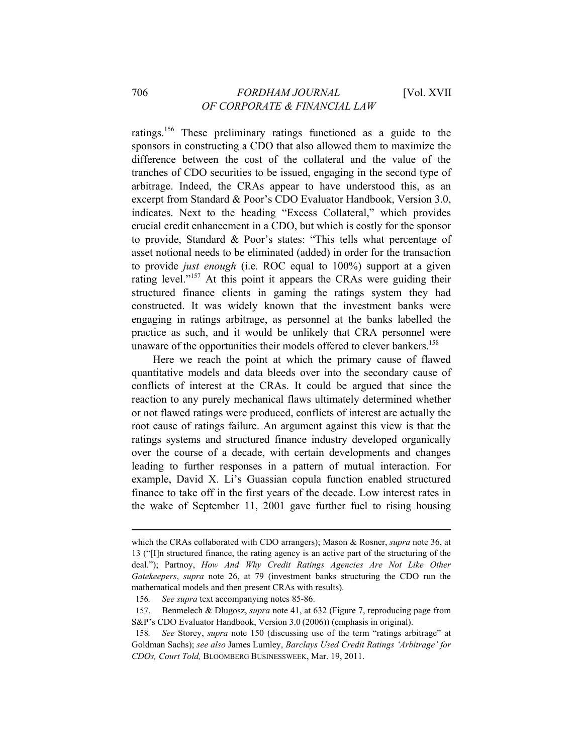ratings.156 These preliminary ratings functioned as a guide to the sponsors in constructing a CDO that also allowed them to maximize the difference between the cost of the collateral and the value of the tranches of CDO securities to be issued, engaging in the second type of arbitrage. Indeed, the CRAs appear to have understood this, as an excerpt from Standard & Poor's CDO Evaluator Handbook, Version 3.0, indicates. Next to the heading "Excess Collateral," which provides crucial credit enhancement in a CDO, but which is costly for the sponsor to provide, Standard & Poor's states: "This tells what percentage of asset notional needs to be eliminated (added) in order for the transaction to provide *just enough* (i.e. ROC equal to 100%) support at a given rating level."<sup>157</sup> At this point it appears the CRAs were guiding their structured finance clients in gaming the ratings system they had constructed. It was widely known that the investment banks were engaging in ratings arbitrage, as personnel at the banks labelled the practice as such, and it would be unlikely that CRA personnel were unaware of the opportunities their models offered to clever bankers.<sup>158</sup>

Here we reach the point at which the primary cause of flawed quantitative models and data bleeds over into the secondary cause of conflicts of interest at the CRAs. It could be argued that since the reaction to any purely mechanical flaws ultimately determined whether or not flawed ratings were produced, conflicts of interest are actually the root cause of ratings failure. An argument against this view is that the ratings systems and structured finance industry developed organically over the course of a decade, with certain developments and changes leading to further responses in a pattern of mutual interaction. For example, David X. Li's Guassian copula function enabled structured finance to take off in the first years of the decade. Low interest rates in the wake of September 11, 2001 gave further fuel to rising housing

<u> 1989 - Johann Barn, mars ar breithinn ar chuid ann an t-Alban ann an t-Alban ann an t-Alban ann an t-Alban a</u>

which the CRAs collaborated with CDO arrangers); Mason & Rosner, *supra* note 36, at 13 ("[I]n structured finance, the rating agency is an active part of the structuring of the deal."); Partnoy, *How And Why Credit Ratings Agencies Are Not Like Other Gatekeepers*, *supra* note 26, at 79 (investment banks structuring the CDO run the mathematical models and then present CRAs with results).

<sup>156</sup>*. See supra* text accompanying notes 85-86.

<sup>157.</sup> Benmelech & Dlugosz, *supra* note 41, at 632 (Figure 7, reproducing page from S&P's CDO Evaluator Handbook, Version 3.0 (2006)) (emphasis in original).

<sup>158</sup>*. See* Storey, *supra* note 150 (discussing use of the term "ratings arbitrage" at Goldman Sachs); *see also* James Lumley, *Barclays Used Credit Ratings 'Arbitrage' for CDOs, Court Told,* BLOOMBERG BUSINESSWEEK, Mar. 19, 2011.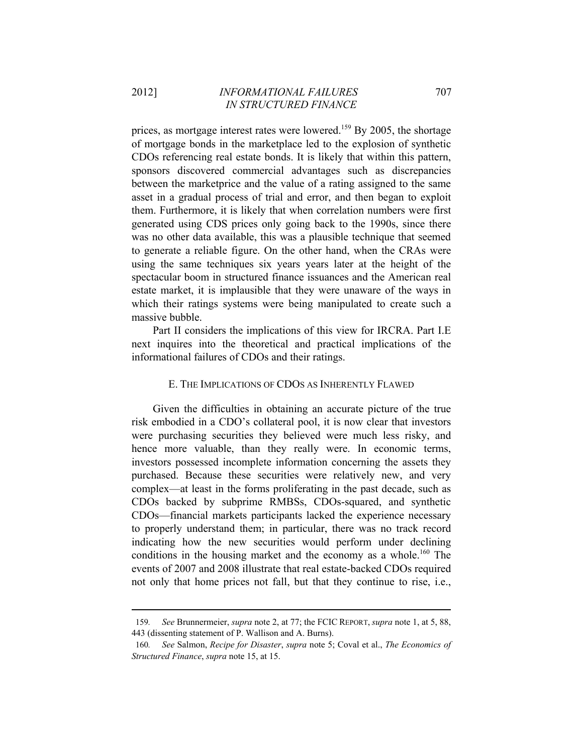prices, as mortgage interest rates were lowered.<sup>159</sup> By 2005, the shortage of mortgage bonds in the marketplace led to the explosion of synthetic CDOs referencing real estate bonds. It is likely that within this pattern, sponsors discovered commercial advantages such as discrepancies between the marketprice and the value of a rating assigned to the same asset in a gradual process of trial and error, and then began to exploit them. Furthermore, it is likely that when correlation numbers were first generated using CDS prices only going back to the 1990s, since there was no other data available, this was a plausible technique that seemed to generate a reliable figure. On the other hand, when the CRAs were using the same techniques six years years later at the height of the spectacular boom in structured finance issuances and the American real estate market, it is implausible that they were unaware of the ways in which their ratings systems were being manipulated to create such a massive bubble.

Part II considers the implications of this view for IRCRA. Part I.E next inquires into the theoretical and practical implications of the informational failures of CDOs and their ratings.

### E. THE IMPLICATIONS OF CDOS AS INHERENTLY FLAWED

Given the difficulties in obtaining an accurate picture of the true risk embodied in a CDO's collateral pool, it is now clear that investors were purchasing securities they believed were much less risky, and hence more valuable, than they really were. In economic terms, investors possessed incomplete information concerning the assets they purchased. Because these securities were relatively new, and very complex—at least in the forms proliferating in the past decade, such as CDOs backed by subprime RMBSs, CDOs-squared, and synthetic CDOs—financial markets participants lacked the experience necessary to properly understand them; in particular, there was no track record indicating how the new securities would perform under declining conditions in the housing market and the economy as a whole.<sup>160</sup> The events of 2007 and 2008 illustrate that real estate-backed CDOs required not only that home prices not fall, but that they continue to rise, i.e.,

<sup>&</sup>lt;u> 1989 - Johann Barn, mars ar breithinn ar chuid ann an t-Alban ann an t-Alban ann an t-Alban ann an t-Alban a</u> 159*. See* Brunnermeier, *supra* note 2, at 77; the FCIC REPORT, *supra* note 1, at 5, 88, 443 (dissenting statement of P. Wallison and A. Burns).

<sup>160</sup>*. See* Salmon, *Recipe for Disaster*, *supra* note 5; Coval et al., *The Economics of Structured Finance*, *supra* note 15, at 15.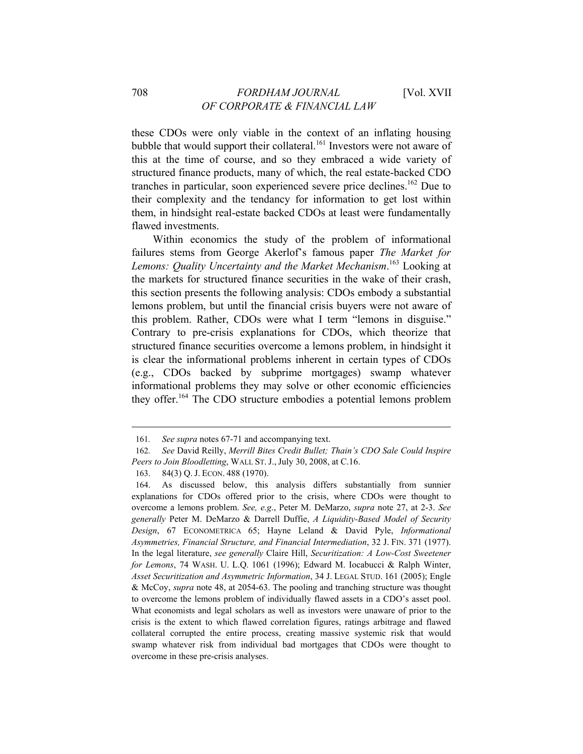these CDOs were only viable in the context of an inflating housing bubble that would support their collateral.<sup>161</sup> Investors were not aware of this at the time of course, and so they embraced a wide variety of structured finance products, many of which, the real estate-backed CDO tranches in particular, soon experienced severe price declines.<sup>162</sup> Due to their complexity and the tendancy for information to get lost within them, in hindsight real-estate backed CDOs at least were fundamentally flawed investments.

Within economics the study of the problem of informational failures stems from George Akerlof's famous paper *The Market for Lemons: Quality Uncertainty and the Market Mechanism*. 163 Looking at the markets for structured finance securities in the wake of their crash, this section presents the following analysis: CDOs embody a substantial lemons problem, but until the financial crisis buyers were not aware of this problem. Rather, CDOs were what I term "lemons in disguise." Contrary to pre-crisis explanations for CDOs, which theorize that structured finance securities overcome a lemons problem, in hindsight it is clear the informational problems inherent in certain types of CDOs (e.g., CDOs backed by subprime mortgages) swamp whatever informational problems they may solve or other economic efficiencies they offer.164 The CDO structure embodies a potential lemons problem

<u> 1989 - Johann Barn, mars ar breithinn ar chuid ann an t-Alban ann an t-Alban ann an t-Alban ann an t-Alban a</u>

<sup>161</sup>*. See supra* notes 67-71 and accompanying text.

<sup>162</sup>*. See* David Reilly, *Merrill Bites Credit Bullet; Thain's CDO Sale Could Inspire Peers to Join Bloodletting*, WALL ST. J., July 30, 2008, at C.16.

<sup>163. 84(3)</sup> Q. J. ECON. 488 (1970).

<sup>164.</sup> As discussed below, this analysis differs substantially from sunnier explanations for CDOs offered prior to the crisis, where CDOs were thought to overcome a lemons problem. *See, e.g*., Peter M. DeMarzo, *supra* note 27, at 2-3. *See generally* Peter M. DeMarzo & Darrell Duffie, *A Liquidity-Based Model of Security Design*, 67 ECONOMETRICA 65; Hayne Leland & David Pyle, *Informational Asymmetries, Financial Structure, and Financial Intermediation*, 32 J. FIN. 371 (1977). In the legal literature, *see generally* Claire Hill, *Securitization: A Low-Cost Sweetener for Lemons*, 74 WASH. U. L.Q. 1061 (1996); Edward M. Iocabucci & Ralph Winter, *Asset Securitization and Asymmetric Information*, 34 J. LEGAL STUD. 161 (2005); Engle & McCoy, *supra* note 48, at 2054-63. The pooling and tranching structure was thought to overcome the lemons problem of individually flawed assets in a CDO's asset pool. What economists and legal scholars as well as investors were unaware of prior to the crisis is the extent to which flawed correlation figures, ratings arbitrage and flawed collateral corrupted the entire process, creating massive systemic risk that would swamp whatever risk from individual bad mortgages that CDOs were thought to overcome in these pre-crisis analyses.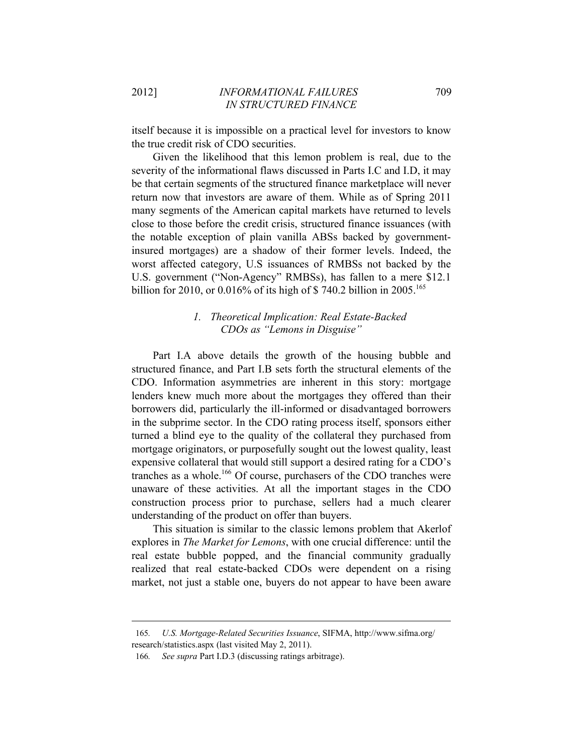itself because it is impossible on a practical level for investors to know the true credit risk of CDO securities.

Given the likelihood that this lemon problem is real, due to the severity of the informational flaws discussed in Parts I.C and I.D, it may be that certain segments of the structured finance marketplace will never return now that investors are aware of them. While as of Spring 2011 many segments of the American capital markets have returned to levels close to those before the credit crisis, structured finance issuances (with the notable exception of plain vanilla ABSs backed by governmentinsured mortgages) are a shadow of their former levels. Indeed, the worst affected category, U.S issuances of RMBSs not backed by the U.S. government ("Non-Agency" RMBSs), has fallen to a mere \$12.1 billion for 2010, or 0.016% of its high of \$ 740.2 billion in 2005.<sup>165</sup>

# *1. Theoretical Implication: Real Estate-Backed CDOs as "Lemons in Disguise"*

Part I.A above details the growth of the housing bubble and structured finance, and Part I.B sets forth the structural elements of the CDO. Information asymmetries are inherent in this story: mortgage lenders knew much more about the mortgages they offered than their borrowers did, particularly the ill-informed or disadvantaged borrowers in the subprime sector. In the CDO rating process itself, sponsors either turned a blind eye to the quality of the collateral they purchased from mortgage originators, or purposefully sought out the lowest quality, least expensive collateral that would still support a desired rating for a CDO's tranches as a whole.166 Of course, purchasers of the CDO tranches were unaware of these activities. At all the important stages in the CDO construction process prior to purchase, sellers had a much clearer understanding of the product on offer than buyers.

This situation is similar to the classic lemons problem that Akerlof explores in *The Market for Lemons*, with one crucial difference: until the real estate bubble popped, and the financial community gradually realized that real estate-backed CDOs were dependent on a rising market, not just a stable one, buyers do not appear to have been aware

<u> 1989 - Johann Barn, mars ar breithinn ar chuid ann an t-Alban ann an t-Alban ann an t-Alban ann an t-Alban a</u>

<sup>165</sup>*. U.S. Mortgage-Related Securities Issuance*, SIFMA, http://www.sifma.org/ research/statistics.aspx (last visited May 2, 2011).

<sup>166</sup>*. See supra* Part I.D.3 (discussing ratings arbitrage).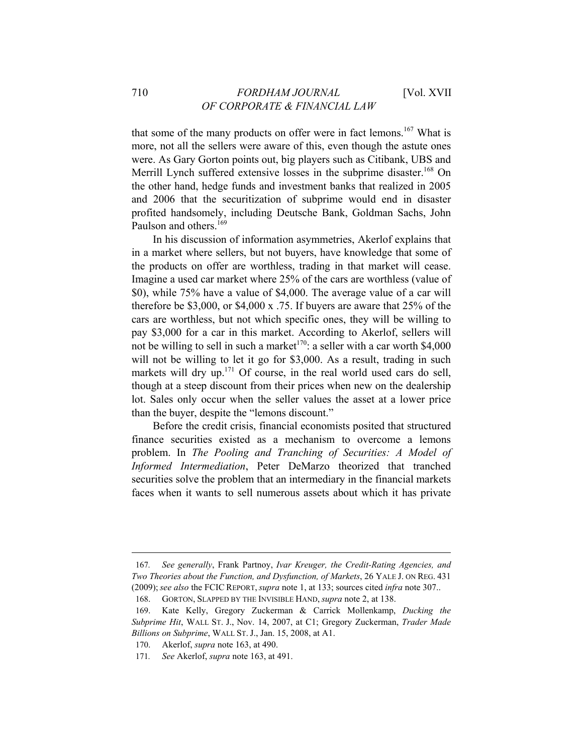that some of the many products on offer were in fact lemons.<sup>167</sup> What is more, not all the sellers were aware of this, even though the astute ones were. As Gary Gorton points out, big players such as Citibank, UBS and Merrill Lynch suffered extensive losses in the subprime disaster.<sup>168</sup> On the other hand, hedge funds and investment banks that realized in 2005 and 2006 that the securitization of subprime would end in disaster profited handsomely, including Deutsche Bank, Goldman Sachs, John Paulson and others.<sup>169</sup>

In his discussion of information asymmetries, Akerlof explains that in a market where sellers, but not buyers, have knowledge that some of the products on offer are worthless, trading in that market will cease. Imagine a used car market where 25% of the cars are worthless (value of \$0), while 75% have a value of \$4,000. The average value of a car will therefore be \$3,000, or \$4,000 x .75. If buyers are aware that 25% of the cars are worthless, but not which specific ones, they will be willing to pay \$3,000 for a car in this market. According to Akerlof, sellers will not be willing to sell in such a market<sup>170</sup>: a seller with a car worth \$4,000 will not be willing to let it go for \$3,000. As a result, trading in such markets will dry up.<sup>171</sup> Of course, in the real world used cars do sell, though at a steep discount from their prices when new on the dealership lot. Sales only occur when the seller values the asset at a lower price than the buyer, despite the "lemons discount."

Before the credit crisis, financial economists posited that structured finance securities existed as a mechanism to overcome a lemons problem. In *The Pooling and Tranching of Securities: A Model of Informed Intermediation*, Peter DeMarzo theorized that tranched securities solve the problem that an intermediary in the financial markets faces when it wants to sell numerous assets about which it has private

<sup>167</sup>*. See generally*, Frank Partnoy, *Ivar Kreuger, the Credit-Rating Agencies, and Two Theories about the Function, and Dysfunction, of Markets*, 26 YALE J. ON REG. 431 (2009); *see also* the FCIC REPORT, *supra* note 1, at 133; sources cited *infra* note 307..

<sup>168.</sup> GORTON, SLAPPED BY THE INVISIBLE HAND, *supra* note 2, at 138.

<sup>169.</sup> Kate Kelly, Gregory Zuckerman & Carrick Mollenkamp, *Ducking the Subprime Hit*, WALL ST. J., Nov. 14, 2007, at C1; Gregory Zuckerman, *Trader Made Billions on Subprime*, WALL ST. J., Jan. 15, 2008, at A1.

<sup>170.</sup> Akerlof, *supra* note 163, at 490.

<sup>171</sup>*. See* Akerlof, *supra* note 163, at 491.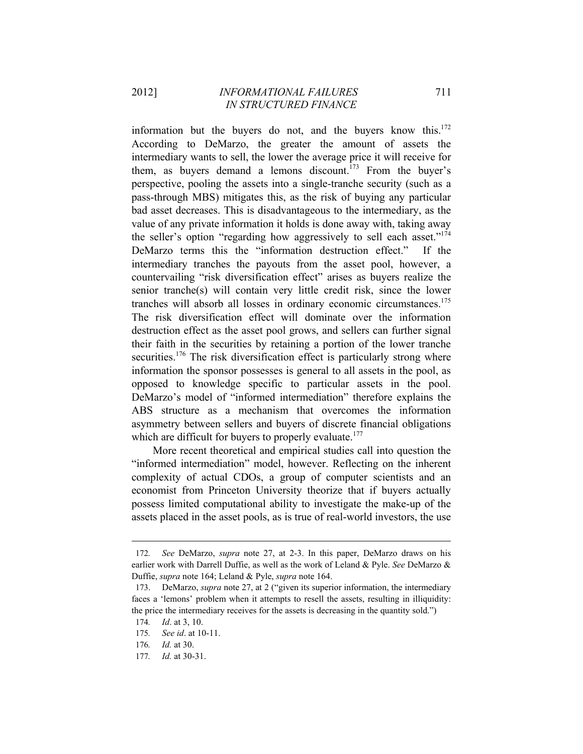information but the buyers do not, and the buyers know this. $172$ According to DeMarzo, the greater the amount of assets the intermediary wants to sell, the lower the average price it will receive for them, as buyers demand a lemons discount.<sup>173</sup> From the buyer's perspective, pooling the assets into a single-tranche security (such as a pass-through MBS) mitigates this, as the risk of buying any particular bad asset decreases. This is disadvantageous to the intermediary, as the value of any private information it holds is done away with, taking away the seller's option "regarding how aggressively to sell each asset."<sup>174</sup> DeMarzo terms this the "information destruction effect." If the intermediary tranches the payouts from the asset pool, however, a countervailing "risk diversification effect" arises as buyers realize the senior tranche(s) will contain very little credit risk, since the lower tranches will absorb all losses in ordinary economic circumstances.175 The risk diversification effect will dominate over the information destruction effect as the asset pool grows, and sellers can further signal their faith in the securities by retaining a portion of the lower tranche securities.<sup>176</sup> The risk diversification effect is particularly strong where information the sponsor possesses is general to all assets in the pool, as opposed to knowledge specific to particular assets in the pool. DeMarzo's model of "informed intermediation" therefore explains the ABS structure as a mechanism that overcomes the information asymmetry between sellers and buyers of discrete financial obligations which are difficult for buyers to properly evaluate.<sup>177</sup>

More recent theoretical and empirical studies call into question the "informed intermediation" model, however. Reflecting on the inherent complexity of actual CDOs, a group of computer scientists and an economist from Princeton University theorize that if buyers actually possess limited computational ability to investigate the make-up of the assets placed in the asset pools, as is true of real-world investors, the use

<sup>172</sup>*. See* DeMarzo, *supra* note 27, at 2-3. In this paper, DeMarzo draws on his earlier work with Darrell Duffie, as well as the work of Leland & Pyle. *See* DeMarzo & Duffie, *supra* note 164; Leland & Pyle, *supra* note 164.

<sup>173.</sup> DeMarzo, *supra* note 27, at 2 ("given its superior information, the intermediary faces a 'lemons' problem when it attempts to resell the assets, resulting in illiquidity: the price the intermediary receives for the assets is decreasing in the quantity sold.")

<sup>174</sup>*. Id*. at 3, 10.

<sup>175</sup>*. See id*. at 10-11.

<sup>176</sup>*. Id.* at 30.

<sup>177</sup>*. Id.* at 30-31.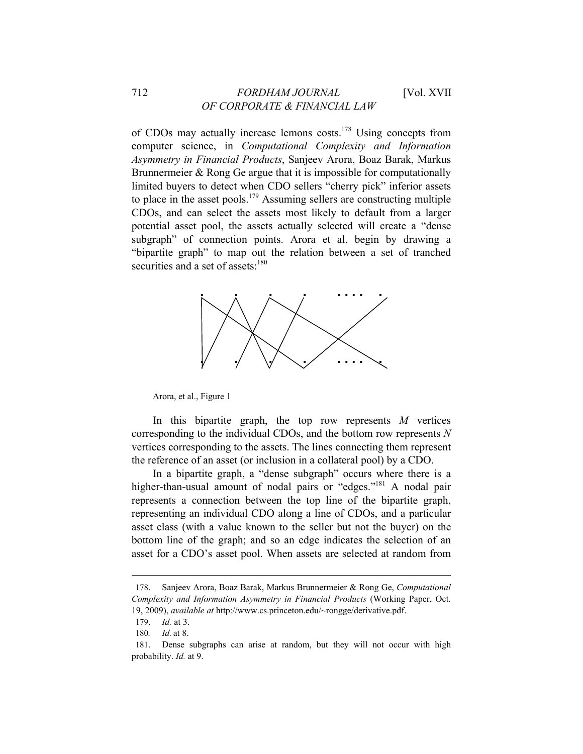of CDOs may actually increase lemons costs.178 Using concepts from computer science, in *Computational Complexity and Information Asymmetry in Financial Products*, Sanjeev Arora, Boaz Barak, Markus Brunnermeier & Rong Ge argue that it is impossible for computationally limited buyers to detect when CDO sellers "cherry pick" inferior assets to place in the asset pools.<sup>179</sup> Assuming sellers are constructing multiple CDOs, and can select the assets most likely to default from a larger potential asset pool, the assets actually selected will create a "dense subgraph" of connection points. Arora et al. begin by drawing a "bipartite graph" to map out the relation between a set of tranched securities and a set of assets:<sup>180</sup>



Arora, et al., Figure 1

In this bipartite graph, the top row represents *M* vertices corresponding to the individual CDOs, and the bottom row represents *N* vertices corresponding to the assets. The lines connecting them represent the reference of an asset (or inclusion in a collateral pool) by a CDO.

In a bipartite graph, a "dense subgraph" occurs where there is a higher-than-usual amount of nodal pairs or "edges."<sup>181</sup> A nodal pair represents a connection between the top line of the bipartite graph, representing an individual CDO along a line of CDOs, and a particular asset class (with a value known to the seller but not the buyer) on the bottom line of the graph; and so an edge indicates the selection of an asset for a CDO's asset pool. When assets are selected at random from

<sup>178.</sup> Sanjeev Arora, Boaz Barak, Markus Brunnermeier & Rong Ge, *Computational Complexity and Information Asymmetry in Financial Products* (Working Paper, Oct. 19, 2009), *available at* http://www.cs.princeton.edu/~rongge/derivative.pdf.

<sup>179.</sup> *Id.* at 3.

<sup>180</sup>*. Id.* at 8.

<sup>181.</sup> Dense subgraphs can arise at random, but they will not occur with high probability. *Id.* at 9.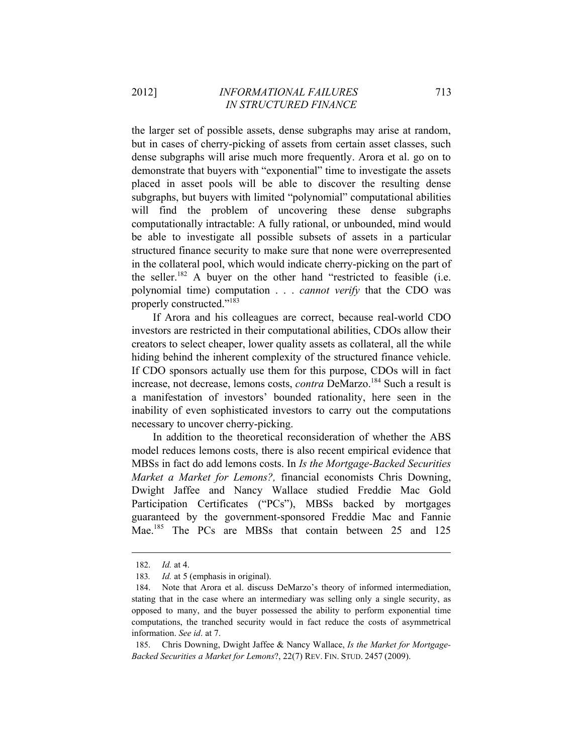the larger set of possible assets, dense subgraphs may arise at random, but in cases of cherry-picking of assets from certain asset classes, such dense subgraphs will arise much more frequently. Arora et al. go on to demonstrate that buyers with "exponential" time to investigate the assets placed in asset pools will be able to discover the resulting dense subgraphs, but buyers with limited "polynomial" computational abilities will find the problem of uncovering these dense subgraphs computationally intractable: A fully rational, or unbounded, mind would be able to investigate all possible subsets of assets in a particular structured finance security to make sure that none were overrepresented in the collateral pool, which would indicate cherry-picking on the part of the seller.<sup>182</sup> A buyer on the other hand "restricted to feasible (i.e. polynomial time) computation . . . *cannot verify* that the CDO was properly constructed."183

If Arora and his colleagues are correct, because real-world CDO investors are restricted in their computational abilities, CDOs allow their creators to select cheaper, lower quality assets as collateral, all the while hiding behind the inherent complexity of the structured finance vehicle. If CDO sponsors actually use them for this purpose, CDOs will in fact increase, not decrease, lemons costs, *contra* DeMarzo.<sup>184</sup> Such a result is a manifestation of investors' bounded rationality, here seen in the inability of even sophisticated investors to carry out the computations necessary to uncover cherry-picking.

In addition to the theoretical reconsideration of whether the ABS model reduces lemons costs, there is also recent empirical evidence that MBSs in fact do add lemons costs. In *Is the Mortgage-Backed Securities Market a Market for Lemons?,* financial economists Chris Downing, Dwight Jaffee and Nancy Wallace studied Freddie Mac Gold Participation Certificates ("PCs"), MBSs backed by mortgages guaranteed by the government-sponsored Freddie Mac and Fannie Mae.<sup>185</sup> The PCs are MBSs that contain between 25 and 125

<sup>182.</sup> *Id.* at 4.

<sup>183</sup>*. Id.* at 5 (emphasis in original).

<sup>184.</sup> Note that Arora et al. discuss DeMarzo's theory of informed intermediation, stating that in the case where an intermediary was selling only a single security, as opposed to many, and the buyer possessed the ability to perform exponential time computations, the tranched security would in fact reduce the costs of asymmetrical information. *See id*. at 7.

<sup>185.</sup> Chris Downing, Dwight Jaffee & Nancy Wallace, *Is the Market for Mortgage-Backed Securities a Market for Lemons*?, 22(7) REV. FIN. STUD. 2457 (2009).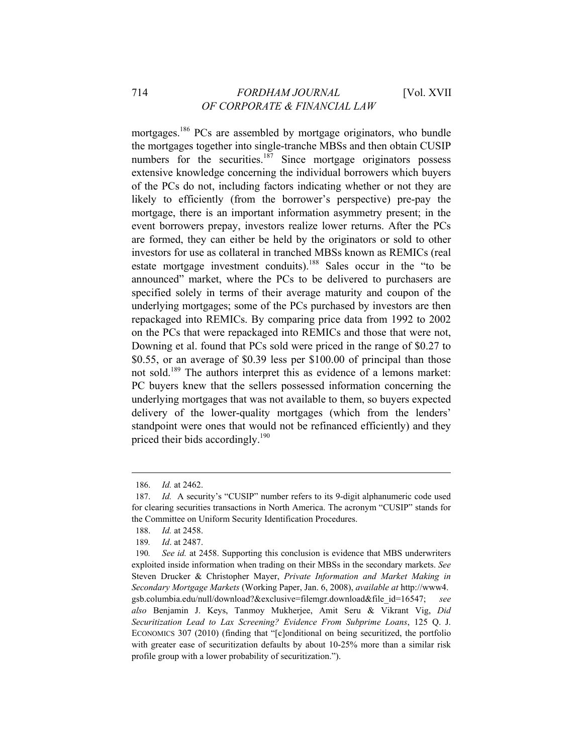# 714 *FORDHAM JOURNAL* [Vol. XVII *OF CORPORATE & FINANCIAL LAW*

mortgages.186 PCs are assembled by mortgage originators, who bundle the mortgages together into single-tranche MBSs and then obtain CUSIP numbers for the securities.<sup>187</sup> Since mortgage originators possess extensive knowledge concerning the individual borrowers which buyers of the PCs do not, including factors indicating whether or not they are likely to efficiently (from the borrower's perspective) pre-pay the mortgage, there is an important information asymmetry present; in the event borrowers prepay, investors realize lower returns. After the PCs are formed, they can either be held by the originators or sold to other investors for use as collateral in tranched MBSs known as REMICs (real estate mortgage investment conduits).<sup>188</sup> Sales occur in the "to be announced" market, where the PCs to be delivered to purchasers are specified solely in terms of their average maturity and coupon of the underlying mortgages; some of the PCs purchased by investors are then repackaged into REMICs. By comparing price data from 1992 to 2002 on the PCs that were repackaged into REMICs and those that were not, Downing et al. found that PCs sold were priced in the range of \$0.27 to \$0.55, or an average of \$0.39 less per \$100.00 of principal than those not sold.189 The authors interpret this as evidence of a lemons market: PC buyers knew that the sellers possessed information concerning the underlying mortgages that was not available to them, so buyers expected delivery of the lower-quality mortgages (which from the lenders' standpoint were ones that would not be refinanced efficiently) and they priced their bids accordingly.<sup>190</sup>

<sup>186.</sup> *Id.* at 2462.

<sup>187.</sup> *Id.* A security's "CUSIP" number refers to its 9-digit alphanumeric code used for clearing securities transactions in North America. The acronym "CUSIP" stands for the Committee on Uniform Security Identification Procedures.

<sup>188.</sup> *Id.* at 2458.

<sup>189</sup>*. Id*. at 2487.

<sup>190</sup>*. See id.* at 2458. Supporting this conclusion is evidence that MBS underwriters exploited inside information when trading on their MBSs in the secondary markets. *See* Steven Drucker & Christopher Mayer, *Private Information and Market Making in Secondary Mortgage Markets* (Working Paper, Jan. 6, 2008), *available at* http://www4. gsb.columbia.edu/null/download?&exclusive=filemgr.download&file\_id=16547; *see also* Benjamin J. Keys, Tanmoy Mukherjee, Amit Seru & Vikrant Vig, *Did Securitization Lead to Lax Screening? Evidence From Subprime Loans*, 125 Q. J. ECONOMICS 307 (2010) (finding that "[c]onditional on being securitized, the portfolio with greater ease of securitization defaults by about 10-25% more than a similar risk profile group with a lower probability of securitization.").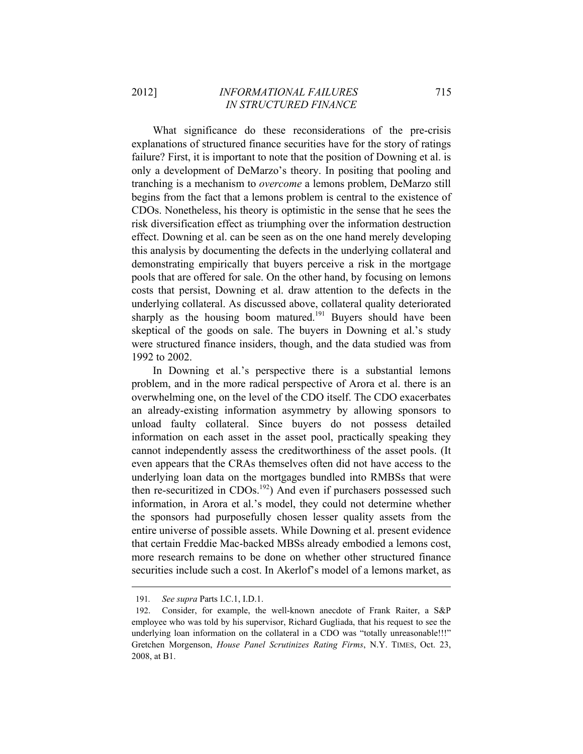What significance do these reconsiderations of the pre-crisis explanations of structured finance securities have for the story of ratings failure? First, it is important to note that the position of Downing et al. is only a development of DeMarzo's theory. In positing that pooling and tranching is a mechanism to *overcome* a lemons problem, DeMarzo still begins from the fact that a lemons problem is central to the existence of CDOs. Nonetheless, his theory is optimistic in the sense that he sees the risk diversification effect as triumphing over the information destruction effect. Downing et al. can be seen as on the one hand merely developing this analysis by documenting the defects in the underlying collateral and demonstrating empirically that buyers perceive a risk in the mortgage pools that are offered for sale. On the other hand, by focusing on lemons costs that persist, Downing et al. draw attention to the defects in the underlying collateral. As discussed above, collateral quality deteriorated sharply as the housing boom matured.<sup>191</sup> Buyers should have been skeptical of the goods on sale. The buyers in Downing et al.'s study were structured finance insiders, though, and the data studied was from 1992 to 2002.

In Downing et al.'s perspective there is a substantial lemons problem, and in the more radical perspective of Arora et al. there is an overwhelming one, on the level of the CDO itself. The CDO exacerbates an already-existing information asymmetry by allowing sponsors to unload faulty collateral. Since buyers do not possess detailed information on each asset in the asset pool, practically speaking they cannot independently assess the creditworthiness of the asset pools. (It even appears that the CRAs themselves often did not have access to the underlying loan data on the mortgages bundled into RMBSs that were then re-securitized in CDOs.<sup>192</sup>) And even if purchasers possessed such information, in Arora et al.'s model, they could not determine whether the sponsors had purposefully chosen lesser quality assets from the entire universe of possible assets. While Downing et al. present evidence that certain Freddie Mac-backed MBSs already embodied a lemons cost, more research remains to be done on whether other structured finance securities include such a cost. In Akerlof's model of a lemons market, as

<sup>191</sup>*. See supra* Parts I.C.1, I.D.1.

<sup>192.</sup> Consider, for example, the well-known anecdote of Frank Raiter, a S&P employee who was told by his supervisor, Richard Gugliada, that his request to see the underlying loan information on the collateral in a CDO was "totally unreasonable!!!" Gretchen Morgenson, *House Panel Scrutinizes Rating Firms*, N.Y. TIMES, Oct. 23, 2008, at B1.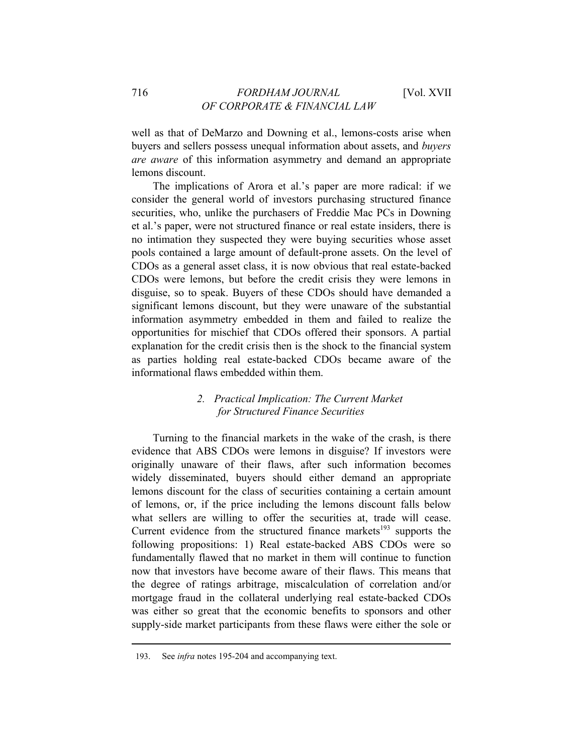well as that of DeMarzo and Downing et al., lemons-costs arise when buyers and sellers possess unequal information about assets, and *buyers are aware* of this information asymmetry and demand an appropriate lemons discount.

The implications of Arora et al.'s paper are more radical: if we consider the general world of investors purchasing structured finance securities, who, unlike the purchasers of Freddie Mac PCs in Downing et al.'s paper, were not structured finance or real estate insiders, there is no intimation they suspected they were buying securities whose asset pools contained a large amount of default-prone assets. On the level of CDOs as a general asset class, it is now obvious that real estate-backed CDOs were lemons, but before the credit crisis they were lemons in disguise, so to speak. Buyers of these CDOs should have demanded a significant lemons discount, but they were unaware of the substantial information asymmetry embedded in them and failed to realize the opportunities for mischief that CDOs offered their sponsors. A partial explanation for the credit crisis then is the shock to the financial system as parties holding real estate-backed CDOs became aware of the informational flaws embedded within them.

# *2. Practical Implication: The Current Market for Structured Finance Securities*

Turning to the financial markets in the wake of the crash, is there evidence that ABS CDOs were lemons in disguise? If investors were originally unaware of their flaws, after such information becomes widely disseminated, buyers should either demand an appropriate lemons discount for the class of securities containing a certain amount of lemons, or, if the price including the lemons discount falls below what sellers are willing to offer the securities at, trade will cease. Current evidence from the structured finance markets<sup>193</sup> supports the following propositions: 1) Real estate-backed ABS CDOs were so fundamentally flawed that no market in them will continue to function now that investors have become aware of their flaws. This means that the degree of ratings arbitrage, miscalculation of correlation and/or mortgage fraud in the collateral underlying real estate-backed CDOs was either so great that the economic benefits to sponsors and other supply-side market participants from these flaws were either the sole or

<sup>193.</sup> See *infra* notes 195-204 and accompanying text.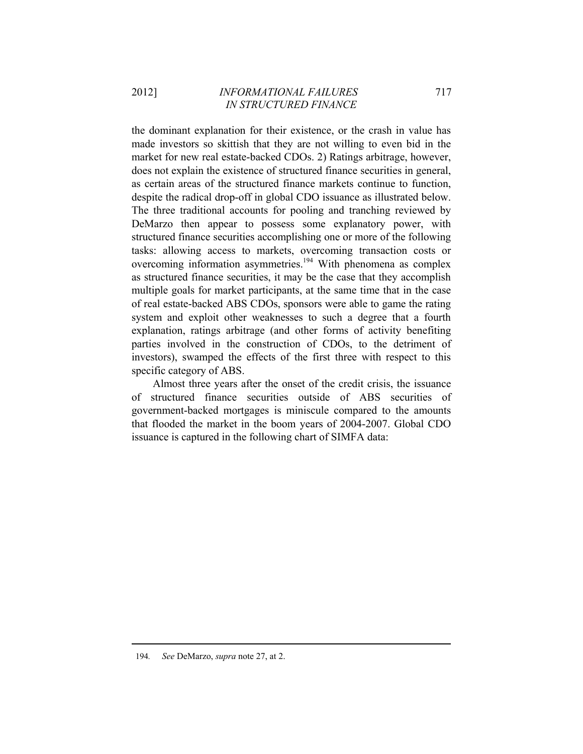the dominant explanation for their existence, or the crash in value has made investors so skittish that they are not willing to even bid in the market for new real estate-backed CDOs. 2) Ratings arbitrage, however, does not explain the existence of structured finance securities in general, as certain areas of the structured finance markets continue to function, despite the radical drop-off in global CDO issuance as illustrated below. The three traditional accounts for pooling and tranching reviewed by DeMarzo then appear to possess some explanatory power, with structured finance securities accomplishing one or more of the following tasks: allowing access to markets, overcoming transaction costs or overcoming information asymmetries.<sup>194</sup> With phenomena as complex as structured finance securities, it may be the case that they accomplish multiple goals for market participants, at the same time that in the case of real estate-backed ABS CDOs, sponsors were able to game the rating system and exploit other weaknesses to such a degree that a fourth explanation, ratings arbitrage (and other forms of activity benefiting parties involved in the construction of CDOs, to the detriment of investors), swamped the effects of the first three with respect to this specific category of ABS.

Almost three years after the onset of the credit crisis, the issuance of structured finance securities outside of ABS securities of government-backed mortgages is miniscule compared to the amounts that flooded the market in the boom years of 2004-2007. Global CDO issuance is captured in the following chart of SIMFA data: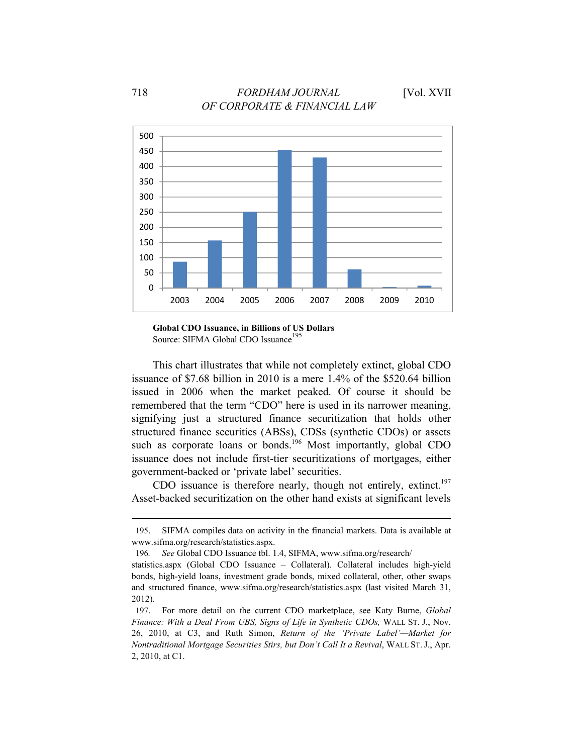

**Global CDO Issuance, in Billions of US Dollars**  Source: SIFMA Global CDO Issuance<sup>195</sup>

This chart illustrates that while not completely extinct, global CDO issuance of \$7.68 billion in 2010 is a mere 1.4% of the \$520.64 billion issued in 2006 when the market peaked. Of course it should be remembered that the term "CDO" here is used in its narrower meaning, signifying just a structured finance securitization that holds other structured finance securities (ABSs), CDSs (synthetic CDOs) or assets such as corporate loans or bonds.<sup>196</sup> Most importantly, global CDO issuance does not include first-tier securitizations of mortgages, either government-backed or 'private label' securities.

CDO issuance is therefore nearly, though not entirely, extinct.<sup>197</sup> Asset-backed securitization on the other hand exists at significant levels

<sup>&</sup>lt;u> 1989 - Johann Barn, mars ann an t-Amhain ann an t-Amhain an t-Amhain an t-Amhain an t-Amhain an t-Amhain an t-</u> 195. SIFMA compiles data on activity in the financial markets. Data is available at www.sifma.org/research/statistics.aspx.

<sup>196</sup>*. See* Global CDO Issuance tbl. 1.4, SIFMA, www.sifma.org/research/

statistics.aspx (Global CDO Issuance – Collateral). Collateral includes high-yield bonds, high-yield loans, investment grade bonds, mixed collateral, other, other swaps and structured finance, www.sifma.org/research/statistics.aspx (last visited March 31, 2012).

<sup>197.</sup> For more detail on the current CDO marketplace, see Katy Burne, *Global Finance: With a Deal From UBS, Signs of Life in Synthetic CDOs,* WALL ST. J., Nov. 26, 2010, at C3, and Ruth Simon, *Return of the 'Private Label'—Market for Nontraditional Mortgage Securities Stirs, but Don't Call It a Revival*, WALL ST. J., Apr. 2, 2010, at C1.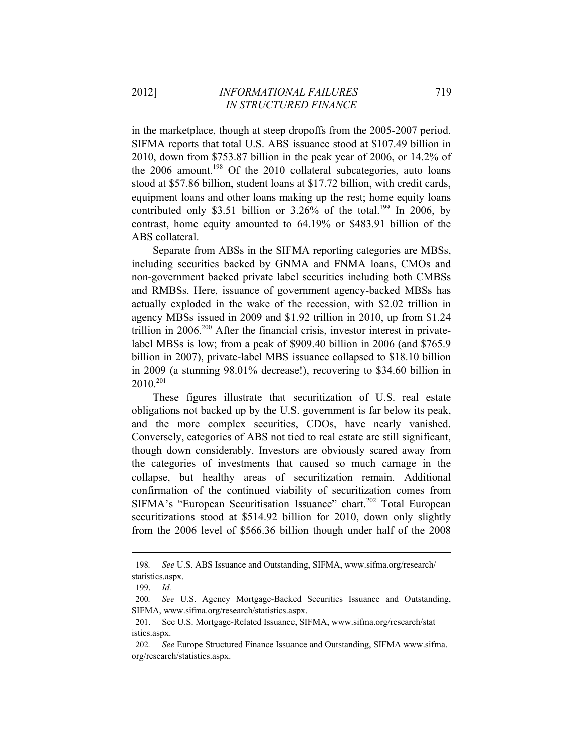in the marketplace, though at steep dropoffs from the 2005-2007 period. SIFMA reports that total U.S. ABS issuance stood at \$107.49 billion in 2010, down from \$753.87 billion in the peak year of 2006, or 14.2% of the  $2006$  amount.<sup>198</sup> Of the  $2010$  collateral subcategories, auto loans stood at \$57.86 billion, student loans at \$17.72 billion, with credit cards, equipment loans and other loans making up the rest; home equity loans contributed only \$3.51 billion or  $3.26\%$  of the total.<sup>199</sup> In 2006, by contrast, home equity amounted to 64.19% or \$483.91 billion of the ABS collateral.

Separate from ABSs in the SIFMA reporting categories are MBSs, including securities backed by GNMA and FNMA loans, CMOs and non-government backed private label securities including both CMBSs and RMBSs. Here, issuance of government agency-backed MBSs has actually exploded in the wake of the recession, with \$2.02 trillion in agency MBSs issued in 2009 and \$1.92 trillion in 2010, up from \$1.24 trillion in 2006.<sup>200</sup> After the financial crisis, investor interest in privatelabel MBSs is low; from a peak of \$909.40 billion in 2006 (and \$765.9 billion in 2007), private-label MBS issuance collapsed to \$18.10 billion in 2009 (a stunning 98.01% decrease!), recovering to \$34.60 billion in 2010.201

These figures illustrate that securitization of U.S. real estate obligations not backed up by the U.S. government is far below its peak, and the more complex securities, CDOs, have nearly vanished. Conversely, categories of ABS not tied to real estate are still significant, though down considerably. Investors are obviously scared away from the categories of investments that caused so much carnage in the collapse, but healthy areas of securitization remain. Additional confirmation of the continued viability of securitization comes from SIFMA's "European Securitisation Issuance" chart.<sup>202</sup> Total European securitizations stood at \$514.92 billion for 2010, down only slightly from the 2006 level of \$566.36 billion though under half of the 2008

<sup>198</sup>*. See* U.S. ABS Issuance and Outstanding, SIFMA, www.sifma.org/research/ statistics.aspx.

<sup>199.</sup> *Id.* 

<sup>200</sup>*. See* U.S. Agency Mortgage-Backed Securities Issuance and Outstanding, SIFMA, www.sifma.org/research/statistics.aspx.

<sup>201.</sup> See U.S. Mortgage-Related Issuance, SIFMA, www.sifma.org/research/stat istics.aspx.

<sup>202</sup>*. See* Europe Structured Finance Issuance and Outstanding, SIFMA www.sifma. org/research/statistics.aspx.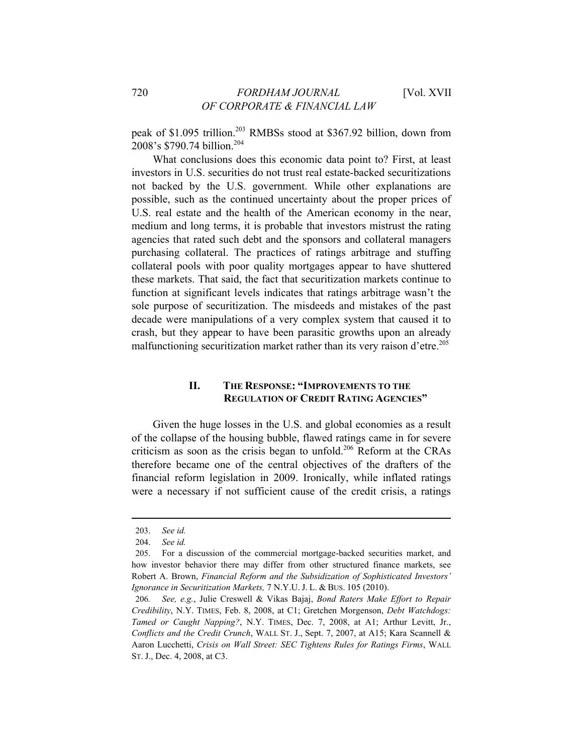peak of \$1.095 trillion.<sup>203</sup> RMBSs stood at \$367.92 billion, down from 2008's \$790.74 billion.<sup>204</sup>

What conclusions does this economic data point to? First, at least investors in U.S. securities do not trust real estate-backed securitizations not backed by the U.S. government. While other explanations are possible, such as the continued uncertainty about the proper prices of U.S. real estate and the health of the American economy in the near, medium and long terms, it is probable that investors mistrust the rating agencies that rated such debt and the sponsors and collateral managers purchasing collateral. The practices of ratings arbitrage and stuffing collateral pools with poor quality mortgages appear to have shuttered these markets. That said, the fact that securitization markets continue to function at significant levels indicates that ratings arbitrage wasn't the sole purpose of securitization. The misdeeds and mistakes of the past decade were manipulations of a very complex system that caused it to crash, but they appear to have been parasitic growths upon an already malfunctioning securitization market rather than its very raison d'etre.<sup>205</sup>

# **II. THE RESPONSE: "IMPROVEMENTS TO THE REGULATION OF CREDIT RATING AGENCIES"**

Given the huge losses in the U.S. and global economies as a result of the collapse of the housing bubble, flawed ratings came in for severe criticism as soon as the crisis began to unfold.<sup>206</sup> Reform at the CRAs therefore became one of the central objectives of the drafters of the financial reform legislation in 2009. Ironically, while inflated ratings were a necessary if not sufficient cause of the credit crisis, a ratings

<sup>203.</sup> *See id.*

<sup>204.</sup> *See id.*

<sup>205.</sup> For a discussion of the commercial mortgage-backed securities market, and how investor behavior there may differ from other structured finance markets, see Robert A. Brown, *Financial Reform and the Subsidization of Sophisticated Investors' Ignorance in Securitization Markets,* 7 N.Y.U. J. L. & BUS. 105 (2010).

<sup>206</sup>*. See, e.g.*, Julie Creswell & Vikas Bajaj, *Bond Raters Make Effort to Repair Credibility*, N.Y. TIMES, Feb. 8, 2008, at C1; Gretchen Morgenson, *Debt Watchdogs: Tamed or Caught Napping?*, N.Y. TIMES, Dec. 7, 2008, at A1; Arthur Levitt, Jr., *Conflicts and the Credit Crunch*, WALL ST. J., Sept. 7, 2007, at A15; Kara Scannell & Aaron Lucchetti, *Crisis on Wall Street: SEC Tightens Rules for Ratings Firms*, WALL ST. J., Dec. 4, 2008, at C3.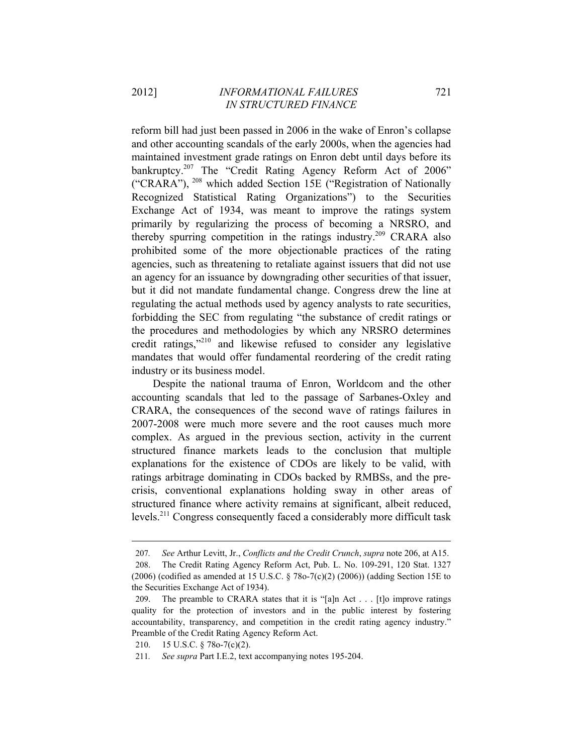reform bill had just been passed in 2006 in the wake of Enron's collapse and other accounting scandals of the early 2000s, when the agencies had maintained investment grade ratings on Enron debt until days before its bankruptcy.<sup>207</sup> The "Credit Rating Agency Reform Act of 2006" ("CRARA"), 208 which added Section 15E ("Registration of Nationally Recognized Statistical Rating Organizations") to the Securities Exchange Act of 1934, was meant to improve the ratings system primarily by regularizing the process of becoming a NRSRO, and thereby spurring competition in the ratings industry.<sup>209</sup> CRARA also prohibited some of the more objectionable practices of the rating agencies, such as threatening to retaliate against issuers that did not use an agency for an issuance by downgrading other securities of that issuer, but it did not mandate fundamental change. Congress drew the line at regulating the actual methods used by agency analysts to rate securities, forbidding the SEC from regulating "the substance of credit ratings or the procedures and methodologies by which any NRSRO determines credit ratings,"210 and likewise refused to consider any legislative mandates that would offer fundamental reordering of the credit rating industry or its business model.

Despite the national trauma of Enron, Worldcom and the other accounting scandals that led to the passage of Sarbanes-Oxley and CRARA, the consequences of the second wave of ratings failures in 2007-2008 were much more severe and the root causes much more complex. As argued in the previous section, activity in the current structured finance markets leads to the conclusion that multiple explanations for the existence of CDOs are likely to be valid, with ratings arbitrage dominating in CDOs backed by RMBSs, and the precrisis, conventional explanations holding sway in other areas of structured finance where activity remains at significant, albeit reduced, levels.211 Congress consequently faced a considerably more difficult task

<sup>207</sup>*. See* Arthur Levitt, Jr., *Conflicts and the Credit Crunch*, *supra* note 206, at A15. 208. The Credit Rating Agency Reform Act, Pub. L. No. 109-291, 120 Stat. 1327 (2006) (codified as amended at 15 U.S.C. § 78o-7(c)(2) (2006)) (adding Section 15E to the Securities Exchange Act of 1934).

<sup>209.</sup> The preamble to CRARA states that it is "[a]n Act . . . [t]o improve ratings quality for the protection of investors and in the public interest by fostering accountability, transparency, and competition in the credit rating agency industry." Preamble of the Credit Rating Agency Reform Act.

<sup>210. 15</sup> U.S.C. § 78o-7(c)(2).

<sup>211</sup>*. See supra* Part I.E.2, text accompanying notes 195-204.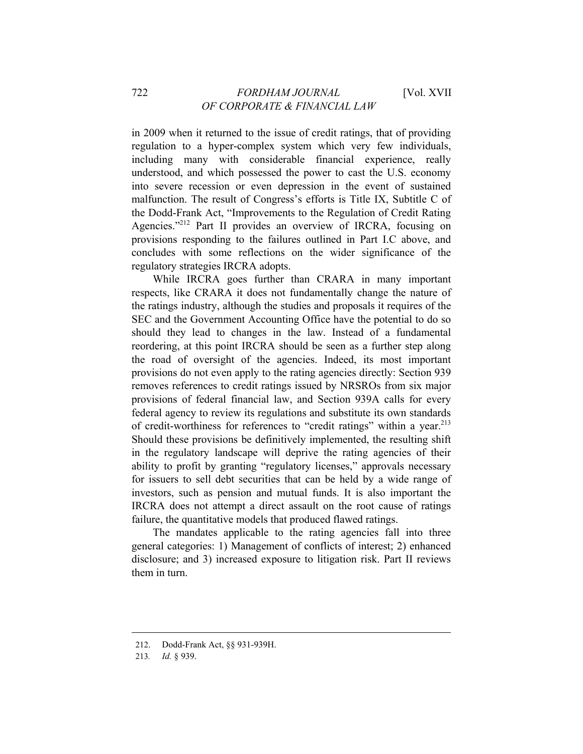in 2009 when it returned to the issue of credit ratings, that of providing regulation to a hyper-complex system which very few individuals, including many with considerable financial experience, really understood, and which possessed the power to cast the U.S. economy into severe recession or even depression in the event of sustained malfunction. The result of Congress's efforts is Title IX, Subtitle C of the Dodd-Frank Act, "Improvements to the Regulation of Credit Rating Agencies."212 Part II provides an overview of IRCRA, focusing on provisions responding to the failures outlined in Part I.C above, and concludes with some reflections on the wider significance of the regulatory strategies IRCRA adopts.

While IRCRA goes further than CRARA in many important respects, like CRARA it does not fundamentally change the nature of the ratings industry, although the studies and proposals it requires of the SEC and the Government Accounting Office have the potential to do so should they lead to changes in the law. Instead of a fundamental reordering, at this point IRCRA should be seen as a further step along the road of oversight of the agencies. Indeed, its most important provisions do not even apply to the rating agencies directly: Section 939 removes references to credit ratings issued by NRSROs from six major provisions of federal financial law, and Section 939A calls for every federal agency to review its regulations and substitute its own standards of credit-worthiness for references to "credit ratings" within a year.<sup>213</sup> Should these provisions be definitively implemented, the resulting shift in the regulatory landscape will deprive the rating agencies of their ability to profit by granting "regulatory licenses," approvals necessary for issuers to sell debt securities that can be held by a wide range of investors, such as pension and mutual funds. It is also important the IRCRA does not attempt a direct assault on the root cause of ratings failure, the quantitative models that produced flawed ratings.

The mandates applicable to the rating agencies fall into three general categories: 1) Management of conflicts of interest; 2) enhanced disclosure; and 3) increased exposure to litigation risk. Part II reviews them in turn.

<sup>212.</sup> Dodd-Frank Act, §§ 931-939H.

<sup>213</sup>*. Id.* § 939.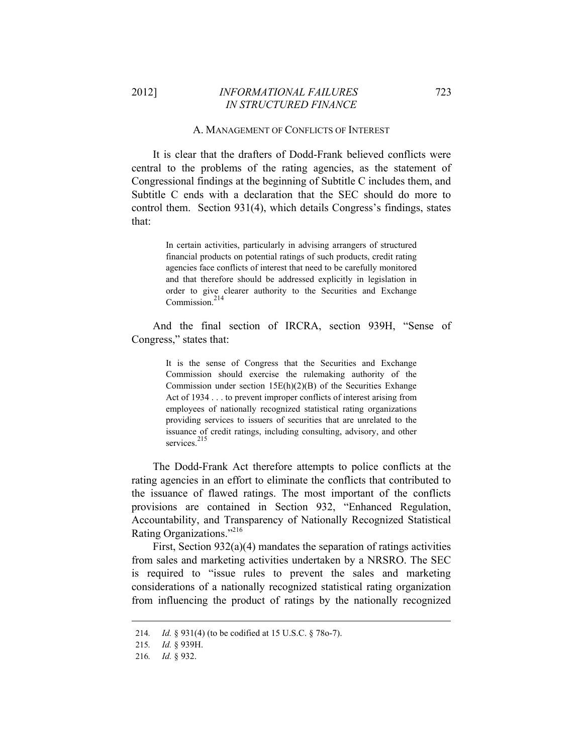## 2012] *INFORMATIONAL FAILURES* 723 *IN STRUCTURED FINANCE*

#### A. MANAGEMENT OF CONFLICTS OF INTEREST

It is clear that the drafters of Dodd-Frank believed conflicts were central to the problems of the rating agencies, as the statement of Congressional findings at the beginning of Subtitle C includes them, and Subtitle C ends with a declaration that the SEC should do more to control them. Section 931(4), which details Congress's findings, states that:

> In certain activities, particularly in advising arrangers of structured financial products on potential ratings of such products, credit rating agencies face conflicts of interest that need to be carefully monitored and that therefore should be addressed explicitly in legislation in order to give clearer authority to the Securities and Exchange Commission<sup>214</sup>

And the final section of IRCRA, section 939H, "Sense of Congress," states that:

> It is the sense of Congress that the Securities and Exchange Commission should exercise the rulemaking authority of the Commission under section 15E(h)(2)(B) of the Securities Exhange Act of 1934 . . . to prevent improper conflicts of interest arising from employees of nationally recognized statistical rating organizations providing services to issuers of securities that are unrelated to the issuance of credit ratings, including consulting, advisory, and other services.<sup>215</sup>

The Dodd-Frank Act therefore attempts to police conflicts at the rating agencies in an effort to eliminate the conflicts that contributed to the issuance of flawed ratings. The most important of the conflicts provisions are contained in Section 932, "Enhanced Regulation, Accountability, and Transparency of Nationally Recognized Statistical Rating Organizations."216

First, Section  $932(a)(4)$  mandates the separation of ratings activities from sales and marketing activities undertaken by a NRSRO. The SEC is required to "issue rules to prevent the sales and marketing considerations of a nationally recognized statistical rating organization from influencing the product of ratings by the nationally recognized

<sup>214</sup>*. Id.* § 931(4) (to be codified at 15 U.S.C. § 78o-7).

<sup>215</sup>*. Id.* § 939H.

<sup>216</sup>*. Id.* § 932.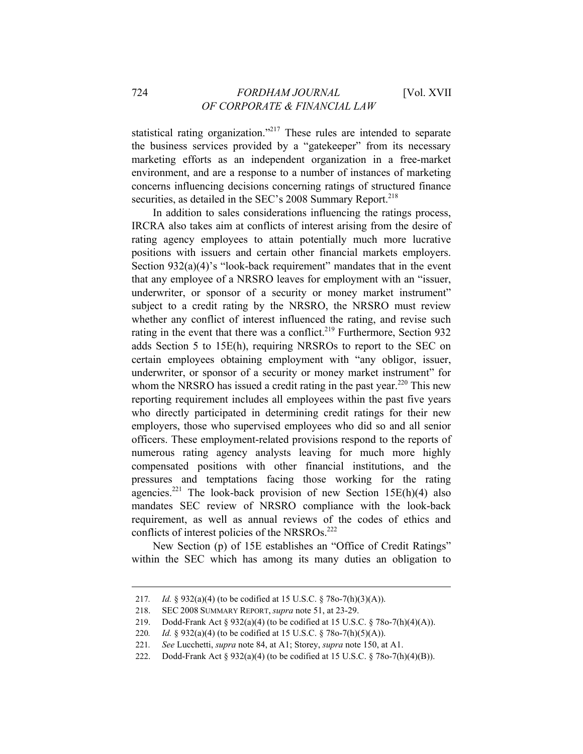statistical rating organization."<sup>217</sup> These rules are intended to separate the business services provided by a "gatekeeper" from its necessary marketing efforts as an independent organization in a free-market environment, and are a response to a number of instances of marketing concerns influencing decisions concerning ratings of structured finance securities, as detailed in the SEC's 2008 Summary Report.<sup>218</sup>

In addition to sales considerations influencing the ratings process, IRCRA also takes aim at conflicts of interest arising from the desire of rating agency employees to attain potentially much more lucrative positions with issuers and certain other financial markets employers. Section  $932(a)(4)$ 's "look-back requirement" mandates that in the event that any employee of a NRSRO leaves for employment with an "issuer, underwriter, or sponsor of a security or money market instrument" subject to a credit rating by the NRSRO, the NRSRO must review whether any conflict of interest influenced the rating, and revise such rating in the event that there was a conflict.<sup>219</sup> Furthermore, Section 932 adds Section 5 to 15E(h), requiring NRSROs to report to the SEC on certain employees obtaining employment with "any obligor, issuer, underwriter, or sponsor of a security or money market instrument" for whom the NRSRO has issued a credit rating in the past year.<sup>220</sup> This new reporting requirement includes all employees within the past five years who directly participated in determining credit ratings for their new employers, those who supervised employees who did so and all senior officers. These employment-related provisions respond to the reports of numerous rating agency analysts leaving for much more highly compensated positions with other financial institutions, and the pressures and temptations facing those working for the rating agencies.<sup>221</sup> The look-back provision of new Section 15E(h)(4) also mandates SEC review of NRSRO compliance with the look-back requirement, as well as annual reviews of the codes of ethics and conflicts of interest policies of the NRSROs.<sup>222</sup>

New Section (p) of 15E establishes an "Office of Credit Ratings" within the SEC which has among its many duties an obligation to

<sup>217</sup>*. Id.* § 932(a)(4) (to be codified at 15 U.S.C. § 78o-7(h)(3)(A)).

<sup>218.</sup> SEC 2008 SUMMARY REPORT, *supra* note 51, at 23-29.

<sup>219.</sup> Dodd-Frank Act § 932(a)(4) (to be codified at 15 U.S.C. § 78o-7(h)(4)(A)).

<sup>220</sup>*. Id.* § 932(a)(4) (to be codified at 15 U.S.C. § 78o-7(h)(5)(A)).

<sup>221</sup>*. See* Lucchetti, *supra* note 84, at A1; Storey, *supra* note 150, at A1.

<sup>222.</sup> Dodd-Frank Act § 932(a)(4) (to be codified at 15 U.S.C. § 78o-7(h)(4)(B)).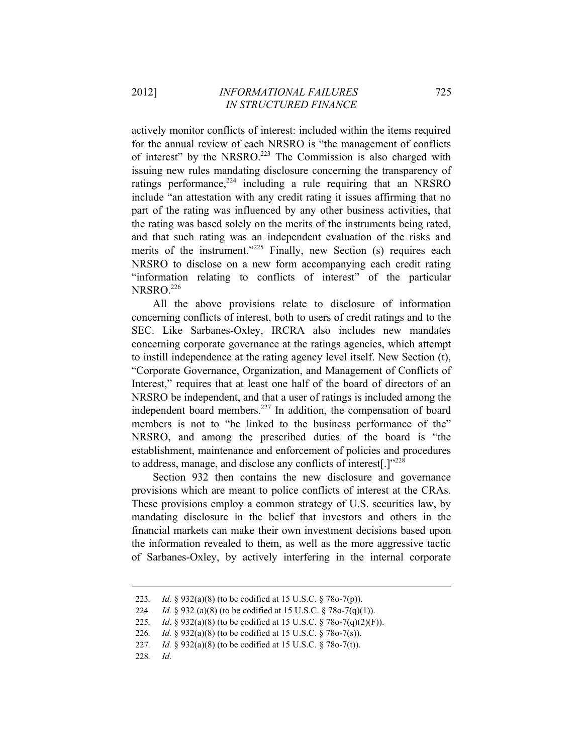actively monitor conflicts of interest: included within the items required for the annual review of each NRSRO is "the management of conflicts of interest" by the NRSRO.<sup>223</sup> The Commission is also charged with issuing new rules mandating disclosure concerning the transparency of ratings performance, $224$  including a rule requiring that an NRSRO include "an attestation with any credit rating it issues affirming that no part of the rating was influenced by any other business activities, that the rating was based solely on the merits of the instruments being rated, and that such rating was an independent evaluation of the risks and merits of the instrument."<sup>225</sup> Finally, new Section (s) requires each NRSRO to disclose on a new form accompanying each credit rating "information relating to conflicts of interest" of the particular  $NRSRO<sup>226</sup>$ 

All the above provisions relate to disclosure of information concerning conflicts of interest, both to users of credit ratings and to the SEC. Like Sarbanes-Oxley, IRCRA also includes new mandates concerning corporate governance at the ratings agencies, which attempt to instill independence at the rating agency level itself. New Section (t), "Corporate Governance, Organization, and Management of Conflicts of Interest," requires that at least one half of the board of directors of an NRSRO be independent, and that a user of ratings is included among the independent board members.<sup>227</sup> In addition, the compensation of board members is not to "be linked to the business performance of the" NRSRO, and among the prescribed duties of the board is "the establishment, maintenance and enforcement of policies and procedures to address, manage, and disclose any conflicts of interest[.]"<sup>228</sup>

Section 932 then contains the new disclosure and governance provisions which are meant to police conflicts of interest at the CRAs. These provisions employ a common strategy of U.S. securities law, by mandating disclosure in the belief that investors and others in the financial markets can make their own investment decisions based upon the information revealed to them, as well as the more aggressive tactic of Sarbanes-Oxley, by actively interfering in the internal corporate

<sup>223</sup>*. Id.* § 932(a)(8) (to be codified at 15 U.S.C. § 78o-7(p)).

<sup>224</sup>*. Id.* § 932 (a)(8) (to be codified at 15 U.S.C. § 78o-7(q)(1)).

<sup>225</sup>*. Id*. § 932(a)(8) (to be codified at 15 U.S.C. § 78o-7(q)(2)(F)).

<sup>226</sup>*. Id.* § 932(a)(8) (to be codified at 15 U.S.C. § 78o-7(s)).

<sup>227</sup>*. Id.* § 932(a)(8) (to be codified at 15 U.S.C. § 78o-7(t)).

<sup>228</sup>*. Id.*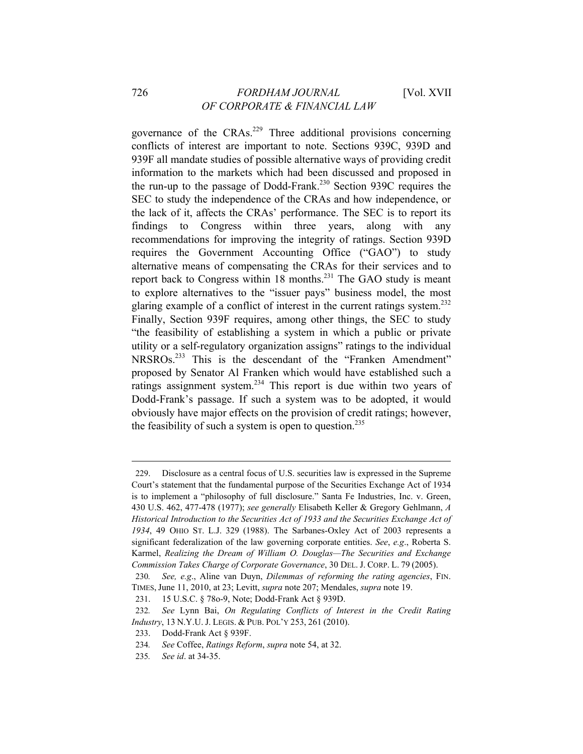governance of the  $CRAs.<sup>229</sup>$  Three additional provisions concerning conflicts of interest are important to note. Sections 939C, 939D and 939F all mandate studies of possible alternative ways of providing credit information to the markets which had been discussed and proposed in the run-up to the passage of Dodd-Frank.<sup>230</sup> Section 939C requires the SEC to study the independence of the CRAs and how independence, or the lack of it, affects the CRAs' performance. The SEC is to report its findings to Congress within three years, along with any recommendations for improving the integrity of ratings. Section 939D requires the Government Accounting Office ("GAO") to study alternative means of compensating the CRAs for their services and to report back to Congress within  $18$  months.<sup>231</sup> The GAO study is meant to explore alternatives to the "issuer pays" business model, the most glaring example of a conflict of interest in the current ratings system.<sup>232</sup> Finally, Section 939F requires, among other things, the SEC to study "the feasibility of establishing a system in which a public or private utility or a self-regulatory organization assigns" ratings to the individual NRSROs.<sup>233</sup> This is the descendant of the "Franken Amendment" proposed by Senator Al Franken which would have established such a ratings assignment system.<sup>234</sup> This report is due within two years of Dodd-Frank's passage. If such a system was to be adopted, it would obviously have major effects on the provision of credit ratings; however, the feasibility of such a system is open to question.<sup>235</sup>

<sup>229.</sup> Disclosure as a central focus of U.S. securities law is expressed in the Supreme Court's statement that the fundamental purpose of the Securities Exchange Act of 1934 is to implement a "philosophy of full disclosure." Santa Fe Industries, Inc. v. Green, 430 U.S. 462, 477-478 (1977); *see generally* Elisabeth Keller & Gregory Gehlmann, *A Historical Introduction to the Securities Act of 1933 and the Securities Exchange Act of 1934*, 49 OHIO ST. L.J. 329 (1988). The Sarbanes-Oxley Act of 2003 represents a significant federalization of the law governing corporate entities. *See*, *e.g*., Roberta S. Karmel, *Realizing the Dream of William O. Douglas—The Securities and Exchange Commission Takes Charge of Corporate Governance*, 30 DEL. J. CORP. L. 79 (2005).

<sup>230</sup>*. See, e.g*., Aline van Duyn, *Dilemmas of reforming the rating agencies*, FIN. TIMES, June 11, 2010, at 23; Levitt, *supra* note 207; Mendales, *supra* note 19.

<sup>231. 15</sup> U.S.C. § 78o-9, Note; Dodd-Frank Act § 939D.

<sup>232</sup>*. See* Lynn Bai, *On Regulating Conflicts of Interest in the Credit Rating Industry*, 13 N.Y.U. J. LEGIS. & PUB. POL'Y 253, 261 (2010).

<sup>233.</sup> Dodd-Frank Act § 939F.

<sup>234</sup>*. See* Coffee, *Ratings Reform*, *supra* note 54, at 32.

<sup>235</sup>*. See id*. at 34-35.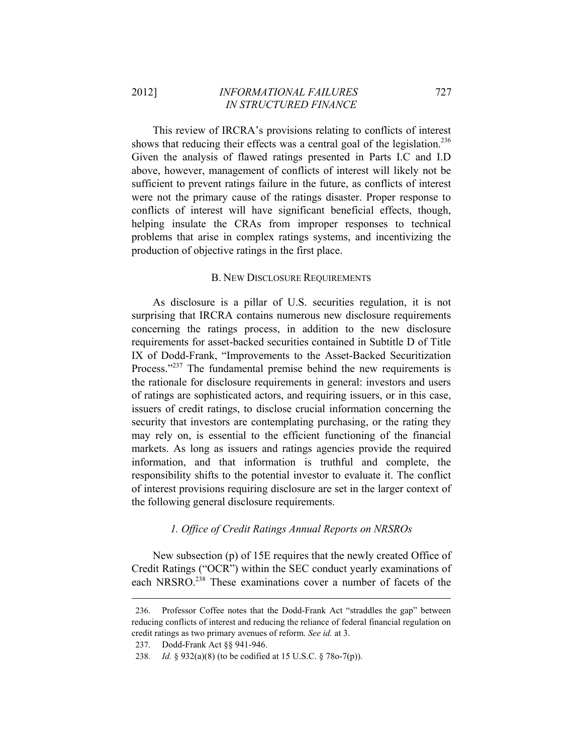This review of IRCRA's provisions relating to conflicts of interest shows that reducing their effects was a central goal of the legislation.<sup>236</sup> Given the analysis of flawed ratings presented in Parts I.C and I.D above, however, management of conflicts of interest will likely not be sufficient to prevent ratings failure in the future, as conflicts of interest were not the primary cause of the ratings disaster. Proper response to conflicts of interest will have significant beneficial effects, though, helping insulate the CRAs from improper responses to technical problems that arise in complex ratings systems, and incentivizing the production of objective ratings in the first place.

## B. NEW DISCLOSURE REQUIREMENTS

As disclosure is a pillar of U.S. securities regulation, it is not surprising that IRCRA contains numerous new disclosure requirements concerning the ratings process, in addition to the new disclosure requirements for asset-backed securities contained in Subtitle D of Title IX of Dodd-Frank, "Improvements to the Asset-Backed Securitization Process."<sup>237</sup> The fundamental premise behind the new requirements is the rationale for disclosure requirements in general: investors and users of ratings are sophisticated actors, and requiring issuers, or in this case, issuers of credit ratings, to disclose crucial information concerning the security that investors are contemplating purchasing, or the rating they may rely on, is essential to the efficient functioning of the financial markets. As long as issuers and ratings agencies provide the required information, and that information is truthful and complete, the responsibility shifts to the potential investor to evaluate it. The conflict of interest provisions requiring disclosure are set in the larger context of the following general disclosure requirements.

## *1. Office of Credit Ratings Annual Reports on NRSROs*

New subsection (p) of 15E requires that the newly created Office of Credit Ratings ("OCR") within the SEC conduct yearly examinations of each NRSRO.<sup>238</sup> These examinations cover a number of facets of the

<sup>236.</sup> Professor Coffee notes that the Dodd-Frank Act "straddles the gap" between reducing conflicts of interest and reducing the reliance of federal financial regulation on credit ratings as two primary avenues of reform. *See id.* at 3.

<sup>237.</sup> Dodd-Frank Act §§ 941-946.

<sup>238</sup>*. Id.* § 932(a)(8) (to be codified at 15 U.S.C. § 78o-7(p)).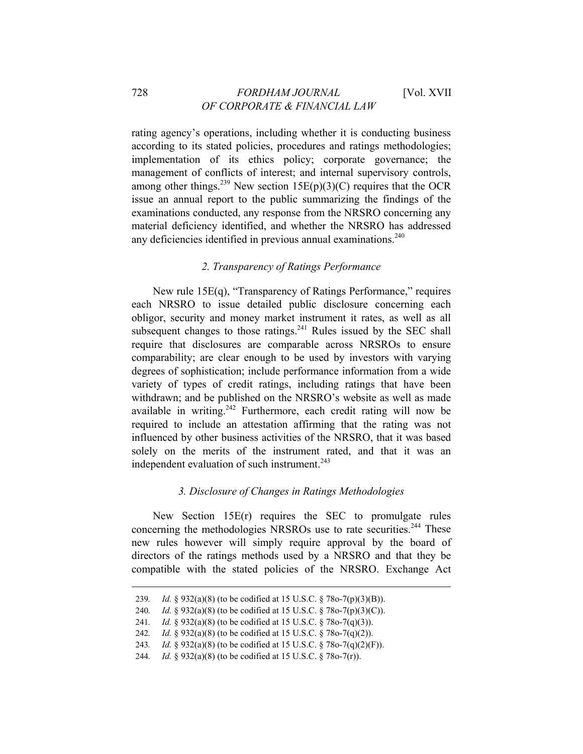rating agency's operations, including whether it is conducting business according to its stated policies, procedures and ratings methodologies; implementation of its ethics policy; corporate governance; the management of conflicts of interest; and internal supervisory controls, among other things.<sup>239</sup> New section 15E(p)(3)(C) requires that the OCR issue an annual report to the public summarizing the findings of the examinations conducted, any response from the NRSRO concerning any material deficiency identified, and whether the NRSRO has addressed any deficiencies identified in previous annual examinations.<sup>240</sup>

## *2. Transparency of Ratings Performance*

New rule 15E(q), "Transparency of Ratings Performance," requires each NRSRO to issue detailed public disclosure concerning each obligor, security and money market instrument it rates, as well as all subsequent changes to those ratings. $^{241}$  Rules issued by the SEC shall require that disclosures are comparable across NRSROs to ensure comparability; are clear enough to be used by investors with varying degrees of sophistication; include performance information from a wide variety of types of credit ratings, including ratings that have been withdrawn; and be published on the NRSRO's website as well as made available in writing.<sup>242</sup> Furthermore, each credit rating will now be required to include an attestation affirming that the rating was not influenced by other business activities of the NRSRO, that it was based solely on the merits of the instrument rated, and that it was an independent evaluation of such instrument. $243$ 

### *3. Disclosure of Changes in Ratings Methodologies*

New Section 15E(r) requires the SEC to promulgate rules concerning the methodologies NRSROs use to rate securities.<sup>244</sup> These new rules however will simply require approval by the board of directors of the ratings methods used by a NRSRO and that they be compatible with the stated policies of the NRSRO. Exchange Act

<sup>239</sup>*. Id.* § 932(a)(8) (to be codified at 15 U.S.C. § 78o-7(p)(3)(B)).

<sup>240</sup>*. Id.* § 932(a)(8) (to be codified at 15 U.S.C. § 78o-7(p)(3)(C)).

<sup>241</sup>*. Id.* § 932(a)(8) (to be codified at 15 U.S.C. § 78o-7(q)(3)).

<sup>242</sup>*. Id.* § 932(a)(8) (to be codified at 15 U.S.C. § 78o-7(q)(2)).

<sup>243</sup>*. Id.* § 932(a)(8) (to be codified at 15 U.S.C. § 78o-7(q)(2)(F)).

<sup>244</sup>*. Id.* § 932(a)(8) (to be codified at 15 U.S.C. § 78o-7(r)).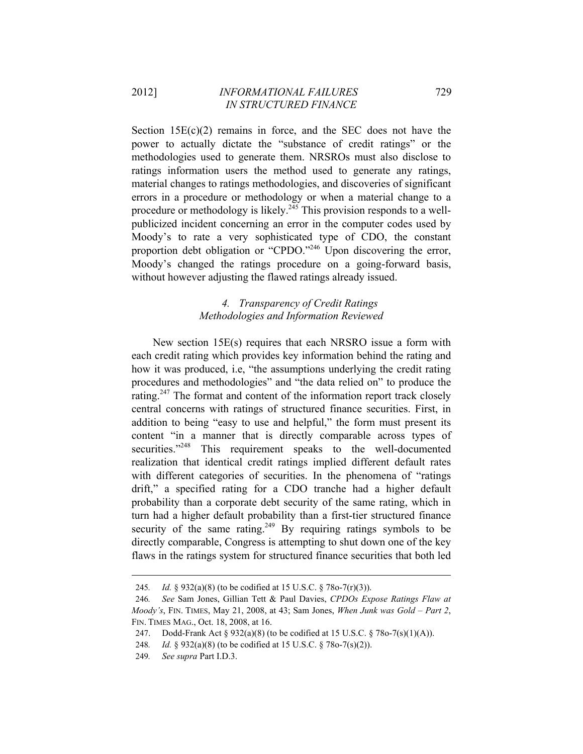Section  $15E(c)(2)$  remains in force, and the SEC does not have the power to actually dictate the "substance of credit ratings" or the methodologies used to generate them. NRSROs must also disclose to ratings information users the method used to generate any ratings, material changes to ratings methodologies, and discoveries of significant errors in a procedure or methodology or when a material change to a procedure or methodology is likely.245 This provision responds to a wellpublicized incident concerning an error in the computer codes used by Moody's to rate a very sophisticated type of CDO, the constant proportion debt obligation or "CPDO."<sup>246</sup> Upon discovering the error, Moody's changed the ratings procedure on a going-forward basis, without however adjusting the flawed ratings already issued.

# *4. Transparency of Credit Ratings Methodologies and Information Reviewed*

New section 15E(s) requires that each NRSRO issue a form with each credit rating which provides key information behind the rating and how it was produced, i.e, "the assumptions underlying the credit rating procedures and methodologies" and "the data relied on" to produce the rating.<sup>247</sup> The format and content of the information report track closely central concerns with ratings of structured finance securities. First, in addition to being "easy to use and helpful," the form must present its content "in a manner that is directly comparable across types of securities."<sup>248</sup> This requirement speaks to the well-documented realization that identical credit ratings implied different default rates with different categories of securities. In the phenomena of "ratings" drift," a specified rating for a CDO tranche had a higher default probability than a corporate debt security of the same rating, which in turn had a higher default probability than a first-tier structured finance security of the same rating.<sup>249</sup> By requiring ratings symbols to be directly comparable, Congress is attempting to shut down one of the key flaws in the ratings system for structured finance securities that both led

<sup>245</sup>*. Id.* § 932(a)(8) (to be codified at 15 U.S.C. § 78o-7(r)(3)).

<sup>246</sup>*. See* Sam Jones, Gillian Tett & Paul Davies, *CPDOs Expose Ratings Flaw at Moody's*, FIN. TIMES, May 21, 2008, at 43; Sam Jones, *When Junk was Gold – Part 2*, FIN. TIMES MAG., Oct. 18, 2008, at 16.

<sup>247.</sup> Dodd-Frank Act § 932(a)(8) (to be codified at 15 U.S.C. § 78o-7(s)(1)(A)).

<sup>248</sup>*. Id.* § 932(a)(8) (to be codified at 15 U.S.C. § 78o-7(s)(2)).

<sup>249</sup>*. See supra* Part I.D.3.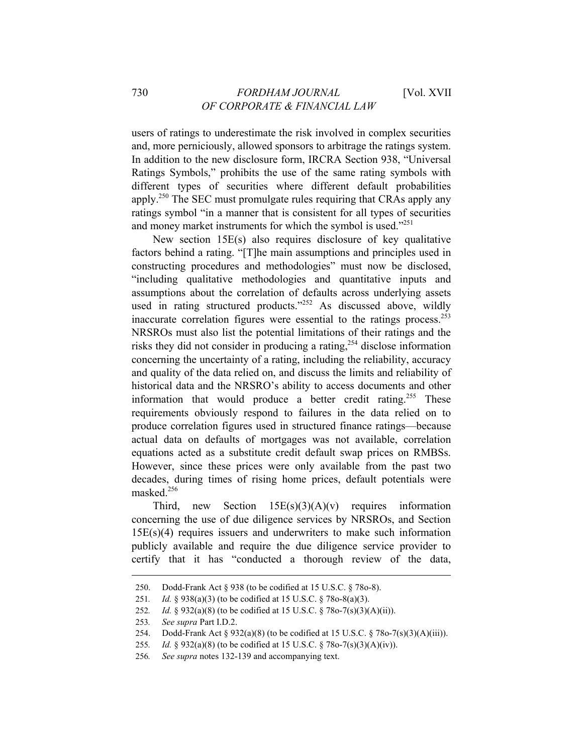users of ratings to underestimate the risk involved in complex securities and, more perniciously, allowed sponsors to arbitrage the ratings system. In addition to the new disclosure form, IRCRA Section 938, "Universal Ratings Symbols," prohibits the use of the same rating symbols with different types of securities where different default probabilities apply.<sup>250</sup> The SEC must promulgate rules requiring that CRAs apply any ratings symbol "in a manner that is consistent for all types of securities and money market instruments for which the symbol is used."<sup>251</sup>

New section 15E(s) also requires disclosure of key qualitative factors behind a rating. "[T]he main assumptions and principles used in constructing procedures and methodologies" must now be disclosed, "including qualitative methodologies and quantitative inputs and assumptions about the correlation of defaults across underlying assets used in rating structured products."<sup>252</sup> As discussed above, wildly inaccurate correlation figures were essential to the ratings process.253 NRSROs must also list the potential limitations of their ratings and the risks they did not consider in producing a rating,<sup>254</sup> disclose information concerning the uncertainty of a rating, including the reliability, accuracy and quality of the data relied on, and discuss the limits and reliability of historical data and the NRSRO's ability to access documents and other information that would produce a better credit rating.<sup>255</sup> These requirements obviously respond to failures in the data relied on to produce correlation figures used in structured finance ratings—because actual data on defaults of mortgages was not available, correlation equations acted as a substitute credit default swap prices on RMBSs. However, since these prices were only available from the past two decades, during times of rising home prices, default potentials were masked.256

Third, new Section  $15E(s)(3)(A)(v)$  requires information concerning the use of due diligence services by NRSROs, and Section  $15E(s)(4)$  requires issuers and underwriters to make such information publicly available and require the due diligence service provider to certify that it has "conducted a thorough review of the data,

<sup>250.</sup> Dodd-Frank Act § 938 (to be codified at 15 U.S.C. § 78o-8).

<sup>251</sup>*. Id.* § 938(a)(3) (to be codified at 15 U.S.C. § 78o-8(a)(3).

<sup>252</sup>*. Id.* § 932(a)(8) (to be codified at 15 U.S.C. § 78o-7(s)(3)(A)(ii)).

<sup>253</sup>*. See supra* Part I.D.2.

<sup>254.</sup> Dodd-Frank Act § 932(a)(8) (to be codified at 15 U.S.C. § 78o-7(s)(3)(A)(iii)).

<sup>255</sup>*. Id.* § 932(a)(8) (to be codified at 15 U.S.C. § 78o-7(s)(3)(A)(iv)).

<sup>256</sup>*. See supra* notes 132-139 and accompanying text.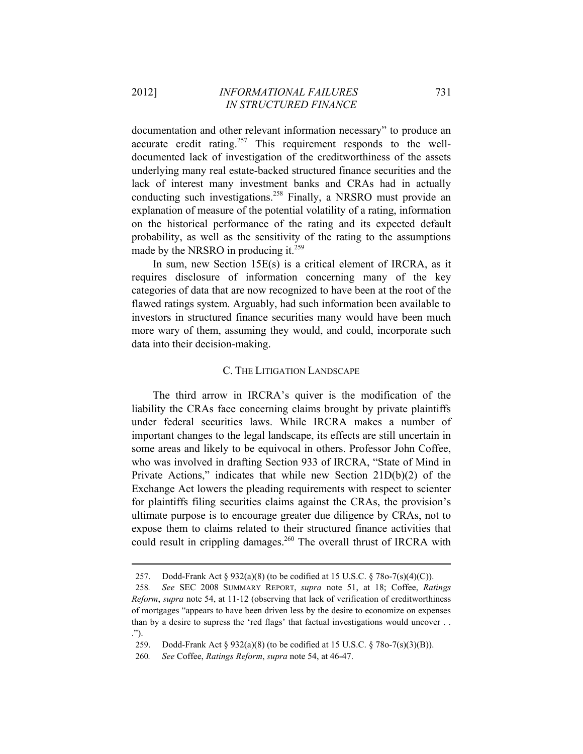documentation and other relevant information necessary" to produce an accurate credit rating.<sup>257</sup> This requirement responds to the welldocumented lack of investigation of the creditworthiness of the assets underlying many real estate-backed structured finance securities and the lack of interest many investment banks and CRAs had in actually conducting such investigations.<sup>258</sup> Finally, a NRSRO must provide an explanation of measure of the potential volatility of a rating, information on the historical performance of the rating and its expected default probability, as well as the sensitivity of the rating to the assumptions made by the NRSRO in producing it.<sup>259</sup>

In sum, new Section 15E(s) is a critical element of IRCRA, as it requires disclosure of information concerning many of the key categories of data that are now recognized to have been at the root of the flawed ratings system. Arguably, had such information been available to investors in structured finance securities many would have been much more wary of them, assuming they would, and could, incorporate such data into their decision-making.

#### C. THE LITIGATION LANDSCAPE

The third arrow in IRCRA's quiver is the modification of the liability the CRAs face concerning claims brought by private plaintiffs under federal securities laws. While IRCRA makes a number of important changes to the legal landscape, its effects are still uncertain in some areas and likely to be equivocal in others. Professor John Coffee, who was involved in drafting Section 933 of IRCRA, "State of Mind in Private Actions," indicates that while new Section 21D(b)(2) of the Exchange Act lowers the pleading requirements with respect to scienter for plaintiffs filing securities claims against the CRAs, the provision's ultimate purpose is to encourage greater due diligence by CRAs, not to expose them to claims related to their structured finance activities that could result in crippling damages.<sup>260</sup> The overall thrust of IRCRA with

<sup>257.</sup> Dodd-Frank Act § 932(a)(8) (to be codified at 15 U.S.C. § 78o-7(s)(4)(C)).

<sup>258</sup>*. See* SEC 2008 SUMMARY REPORT, *supra* note 51, at 18; Coffee, *Ratings Reform*, *supra* note 54, at 11-12 (observing that lack of verification of creditworthiness of mortgages "appears to have been driven less by the desire to economize on expenses than by a desire to supress the 'red flags' that factual investigations would uncover . . .").

<sup>259.</sup> Dodd-Frank Act § 932(a)(8) (to be codified at 15 U.S.C. § 78o-7(s)(3)(B)).

<sup>260</sup>*. See* Coffee, *Ratings Reform*, *supra* note 54, at 46-47.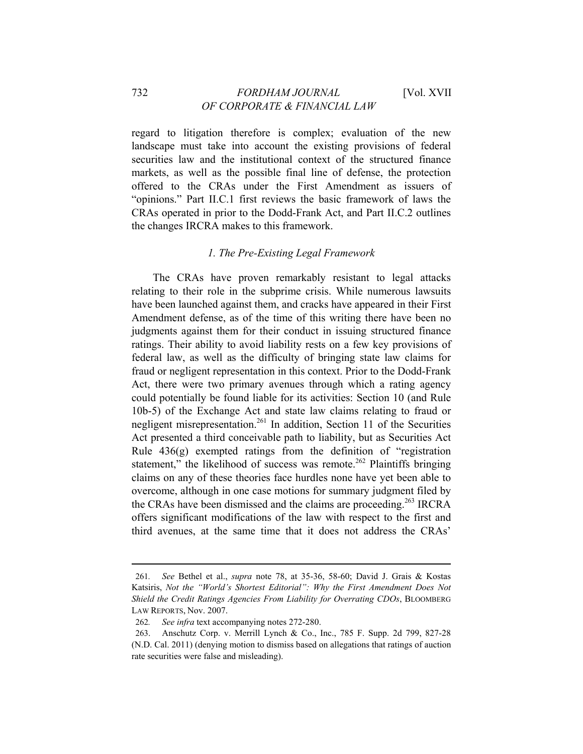regard to litigation therefore is complex; evaluation of the new landscape must take into account the existing provisions of federal securities law and the institutional context of the structured finance markets, as well as the possible final line of defense, the protection offered to the CRAs under the First Amendment as issuers of "opinions." Part II.C.1 first reviews the basic framework of laws the CRAs operated in prior to the Dodd-Frank Act, and Part II.C.2 outlines the changes IRCRA makes to this framework.

## *1. The Pre-Existing Legal Framework*

The CRAs have proven remarkably resistant to legal attacks relating to their role in the subprime crisis. While numerous lawsuits have been launched against them, and cracks have appeared in their First Amendment defense, as of the time of this writing there have been no judgments against them for their conduct in issuing structured finance ratings. Their ability to avoid liability rests on a few key provisions of federal law, as well as the difficulty of bringing state law claims for fraud or negligent representation in this context. Prior to the Dodd-Frank Act, there were two primary avenues through which a rating agency could potentially be found liable for its activities: Section 10 (and Rule 10b-5) of the Exchange Act and state law claims relating to fraud or negligent misrepresentation.<sup>261</sup> In addition, Section 11 of the Securities Act presented a third conceivable path to liability, but as Securities Act Rule 436(g) exempted ratings from the definition of "registration statement," the likelihood of success was remote.<sup>262</sup> Plaintiffs bringing claims on any of these theories face hurdles none have yet been able to overcome, although in one case motions for summary judgment filed by the CRAs have been dismissed and the claims are proceeding.<sup>263</sup> IRCRA offers significant modifications of the law with respect to the first and third avenues, at the same time that it does not address the CRAs'

<sup>261</sup>*. See* Bethel et al., *supra* note 78, at 35-36, 58-60; David J. Grais & Kostas Katsiris, *Not the "World's Shortest Editorial": Why the First Amendment Does Not Shield the Credit Ratings Agencies From Liability for Overrating CDOs*, BLOOMBERG LAW REPORTS, Nov. 2007.

<sup>262</sup>*. See infra* text accompanying notes 272-280.

<sup>263.</sup> Anschutz Corp. v. Merrill Lynch & Co., Inc., 785 F. Supp. 2d 799, 827-28 (N.D. Cal. 2011) (denying motion to dismiss based on allegations that ratings of auction rate securities were false and misleading).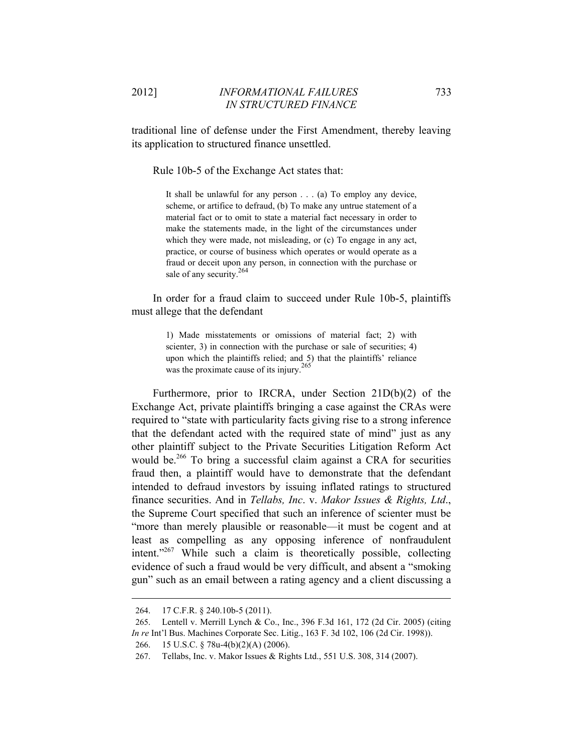traditional line of defense under the First Amendment, thereby leaving its application to structured finance unsettled.

Rule 10b-5 of the Exchange Act states that:

It shall be unlawful for any person . . . (a) To employ any device, scheme, or artifice to defraud, (b) To make any untrue statement of a material fact or to omit to state a material fact necessary in order to make the statements made, in the light of the circumstances under which they were made, not misleading, or (c) To engage in any act, practice, or course of business which operates or would operate as a fraud or deceit upon any person, in connection with the purchase or sale of any security.<sup>264</sup>

In order for a fraud claim to succeed under Rule 10b-5, plaintiffs must allege that the defendant

> 1) Made misstatements or omissions of material fact; 2) with scienter, 3) in connection with the purchase or sale of securities; 4) upon which the plaintiffs relied; and 5) that the plaintiffs' reliance was the proximate cause of its injury.<sup>265</sup>

Furthermore, prior to IRCRA, under Section 21D(b)(2) of the Exchange Act, private plaintiffs bringing a case against the CRAs were required to "state with particularity facts giving rise to a strong inference that the defendant acted with the required state of mind" just as any other plaintiff subject to the Private Securities Litigation Reform Act would be.<sup>266</sup> To bring a successful claim against a CRA for securities fraud then, a plaintiff would have to demonstrate that the defendant intended to defraud investors by issuing inflated ratings to structured finance securities. And in *Tellabs, Inc*. v. *Makor Issues & Rights, Ltd*., the Supreme Court specified that such an inference of scienter must be "more than merely plausible or reasonable—it must be cogent and at least as compelling as any opposing inference of nonfraudulent intent." $267$  While such a claim is theoretically possible, collecting evidence of such a fraud would be very difficult, and absent a "smoking gun" such as an email between a rating agency and a client discussing a

<sup>264. 17</sup> C.F.R. § 240.10b-5 (2011).

<sup>265.</sup> Lentell v. Merrill Lynch & Co., Inc., 396 F.3d 161, 172 (2d Cir. 2005) (citing *In re* Int'l Bus. Machines Corporate Sec. Litig., 163 F. 3d 102, 106 (2d Cir. 1998)).

<sup>266. 15</sup> U.S.C. § 78u-4(b)(2)(A) (2006).

<sup>267.</sup> Tellabs, Inc. v. Makor Issues & Rights Ltd., 551 U.S. 308, 314 (2007).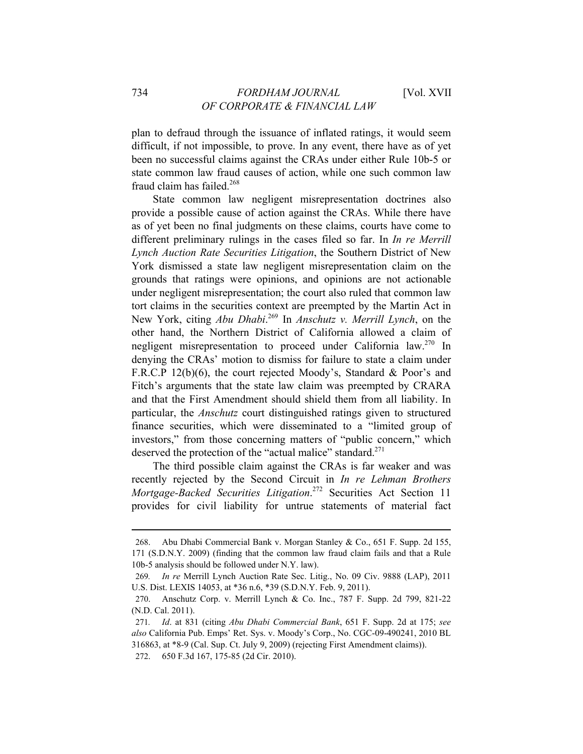plan to defraud through the issuance of inflated ratings, it would seem difficult, if not impossible, to prove. In any event, there have as of yet been no successful claims against the CRAs under either Rule 10b-5 or state common law fraud causes of action, while one such common law fraud claim has failed.<sup>268</sup>

State common law negligent misrepresentation doctrines also provide a possible cause of action against the CRAs. While there have as of yet been no final judgments on these claims, courts have come to different preliminary rulings in the cases filed so far. In *In re Merrill Lynch Auction Rate Securities Litigation*, the Southern District of New York dismissed a state law negligent misrepresentation claim on the grounds that ratings were opinions, and opinions are not actionable under negligent misrepresentation; the court also ruled that common law tort claims in the securities context are preempted by the Martin Act in New York, citing *Abu Dhabi*. 269 In *Anschutz v. Merrill Lynch*, on the other hand, the Northern District of California allowed a claim of negligent misrepresentation to proceed under California law.270 In denying the CRAs' motion to dismiss for failure to state a claim under F.R.C.P 12(b)(6), the court rejected Moody's, Standard & Poor's and Fitch's arguments that the state law claim was preempted by CRARA and that the First Amendment should shield them from all liability. In particular, the *Anschutz* court distinguished ratings given to structured finance securities, which were disseminated to a "limited group of investors," from those concerning matters of "public concern," which deserved the protection of the "actual malice" standard.<sup>271</sup>

The third possible claim against the CRAs is far weaker and was recently rejected by the Second Circuit in *In re Lehman Brothers Mortgage-Backed Securities Litigation*. 272 Securities Act Section 11 provides for civil liability for untrue statements of material fact

<sup>268.</sup> Abu Dhabi Commercial Bank v. Morgan Stanley & Co., 651 F. Supp. 2d 155, 171 (S.D.N.Y. 2009) (finding that the common law fraud claim fails and that a Rule 10b-5 analysis should be followed under N.Y. law).

<sup>269</sup>*. In re* Merrill Lynch Auction Rate Sec. Litig., No. 09 Civ. 9888 (LAP), 2011 U.S. Dist. LEXIS 14053, at \*36 n.6, \*39 (S.D.N.Y. Feb. 9, 2011).

<sup>270.</sup> Anschutz Corp. v. Merrill Lynch & Co. Inc., 787 F. Supp. 2d 799, 821-22 (N.D. Cal. 2011).

<sup>271</sup>*. Id*. at 831 (citing *Abu Dhabi Commercial Bank*, 651 F. Supp. 2d at 175; *see also* California Pub. Emps' Ret. Sys. v. Moody's Corp., No. CGC-09-490241, 2010 BL 316863, at \*8-9 (Cal. Sup. Ct. July 9, 2009) (rejecting First Amendment claims)). 272. 650 F.3d 167, 175-85 (2d Cir. 2010).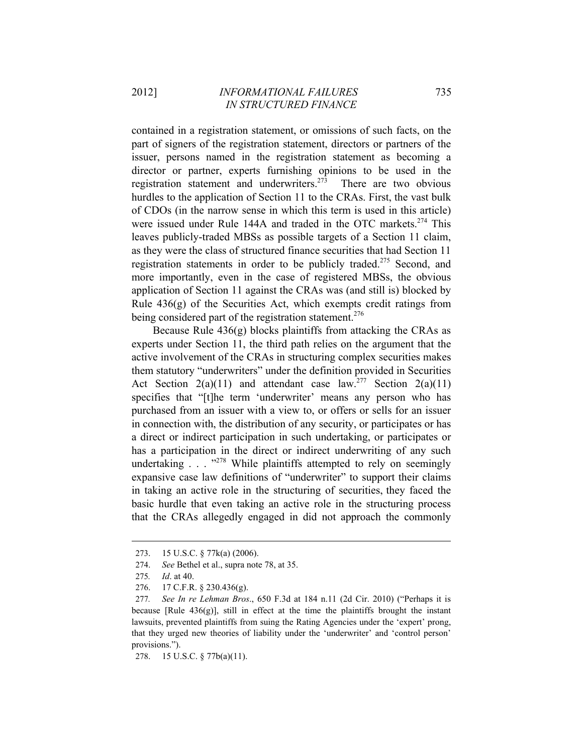contained in a registration statement, or omissions of such facts, on the part of signers of the registration statement, directors or partners of the issuer, persons named in the registration statement as becoming a director or partner, experts furnishing opinions to be used in the registration statement and underwriters.<sup>273</sup> There are two obvious hurdles to the application of Section 11 to the CRAs. First, the vast bulk of CDOs (in the narrow sense in which this term is used in this article) were issued under Rule 144A and traded in the OTC markets.<sup>274</sup> This leaves publicly-traded MBSs as possible targets of a Section 11 claim, as they were the class of structured finance securities that had Section 11 registration statements in order to be publicly traded.<sup>275</sup> Second, and more importantly, even in the case of registered MBSs, the obvious application of Section 11 against the CRAs was (and still is) blocked by Rule 436(g) of the Securities Act, which exempts credit ratings from being considered part of the registration statement.<sup>276</sup>

Because Rule 436(g) blocks plaintiffs from attacking the CRAs as experts under Section 11, the third path relies on the argument that the active involvement of the CRAs in structuring complex securities makes them statutory "underwriters" under the definition provided in Securities Act Section  $2(a)(11)$  and attendant case law.<sup>277</sup> Section  $2(a)(11)$ specifies that "[t]he term 'underwriter' means any person who has purchased from an issuer with a view to, or offers or sells for an issuer in connection with, the distribution of any security, or participates or has a direct or indirect participation in such undertaking, or participates or has a participation in the direct or indirect underwriting of any such undertaking  $\ldots$   $^{3278}$  While plaintiffs attempted to rely on seemingly expansive case law definitions of "underwriter" to support their claims in taking an active role in the structuring of securities, they faced the basic hurdle that even taking an active role in the structuring process that the CRAs allegedly engaged in did not approach the commonly

 $\overline{a}$ 

276. 17 C.F.R. § 230.436(g).

278. 15 U.S.C. § 77b(a)(11).

<sup>273. 15</sup> U.S.C. § 77k(a) (2006).

<sup>274.</sup> *See* Bethel et al., supra note 78, at 35.

<sup>275</sup>*. Id*. at 40.

<sup>277</sup>*. See In re Lehman Bros*., 650 F.3d at 184 n.11 (2d Cir. 2010) ("Perhaps it is because  $[Rule 436(g)]$ , still in effect at the time the plaintiffs brought the instant lawsuits, prevented plaintiffs from suing the Rating Agencies under the 'expert' prong, that they urged new theories of liability under the 'underwriter' and 'control person' provisions.").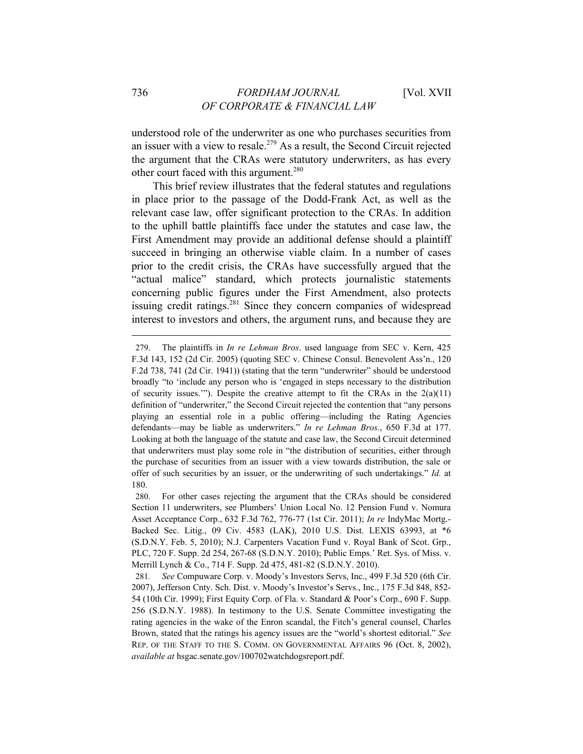understood role of the underwriter as one who purchases securities from an issuer with a view to resale.<sup>279</sup> As a result, the Second Circuit rejected the argument that the CRAs were statutory underwriters, as has every other court faced with this argument.<sup>280</sup>

This brief review illustrates that the federal statutes and regulations in place prior to the passage of the Dodd-Frank Act, as well as the relevant case law, offer significant protection to the CRAs. In addition to the uphill battle plaintiffs face under the statutes and case law, the First Amendment may provide an additional defense should a plaintiff succeed in bringing an otherwise viable claim. In a number of cases prior to the credit crisis, the CRAs have successfully argued that the "actual malice" standard, which protects journalistic statements concerning public figures under the First Amendment, also protects issuing credit ratings.<sup>281</sup> Since they concern companies of widespread interest to investors and others, the argument runs, and because they are

<sup>279.</sup> The plaintiffs in *In re Lehman Bros*. used language from SEC v. Kern, 425 F.3d 143, 152 (2d Cir. 2005) (quoting SEC v. Chinese Consul. Benevolent Ass'n., 120 F.2d 738, 741 (2d Cir. 1941)) (stating that the term "underwriter" should be understood broadly "to 'include any person who is 'engaged in steps necessary to the distribution of security issues.'"). Despite the creative attempt to fit the CRAs in the  $2(a)(11)$ definition of "underwriter," the Second Circuit rejected the contention that "any persons playing an essential role in a public offering—including the Rating Agencies defendants—may be liable as underwriters." *In re Lehman Bros.*, 650 F.3d at 177. Looking at both the language of the statute and case law, the Second Circuit determined that underwriters must play some role in "the distribution of securities, either through the purchase of securities from an issuer with a view towards distribution, the sale or offer of such securities by an issuer, or the underwriting of such undertakings." *Id.* at 180.

<sup>280.</sup> For other cases rejecting the argument that the CRAs should be considered Section 11 underwriters, see Plumbers' Union Local No. 12 Pension Fund v. Nomura Asset Acceptance Corp., 632 F.3d 762, 776-77 (1st Cir. 2011); *In re* IndyMac Mortg.- Backed Sec. Litig., 09 Civ. 4583 (LAK), 2010 U.S. Dist. LEXIS 63993, at \*6 (S.D.N.Y. Feb. 5, 2010); N.J. Carpenters Vacation Fund v. Royal Bank of Scot. Grp., PLC, 720 F. Supp. 2d 254, 267-68 (S.D.N.Y. 2010); Public Emps.' Ret. Sys. of Miss. v. Merrill Lynch & Co., 714 F. Supp. 2d 475, 481-82 (S.D.N.Y. 2010).

<sup>281</sup>*. See* Compuware Corp. v. Moody's Investors Servs, Inc., 499 F.3d 520 (6th Cir. 2007), Jefferson Cnty. Sch. Dist. v. Moody's Investor's Servs., Inc., 175 F.3d 848, 852- 54 (10th Cir. 1999); First Equity Corp. of Fla. v. Standard & Poor's Corp., 690 F. Supp. 256 (S.D.N.Y. 1988). In testimony to the U.S. Senate Committee investigating the rating agencies in the wake of the Enron scandal, the Fitch's general counsel, Charles Brown, stated that the ratings his agency issues are the "world's shortest editorial." *See* REP. OF THE STAFF TO THE S. COMM. ON GOVERNMENTAL AFFAIRS 96 (Oct. 8, 2002), *available at* hsgac.senate.gov/100702watchdogsreport.pdf.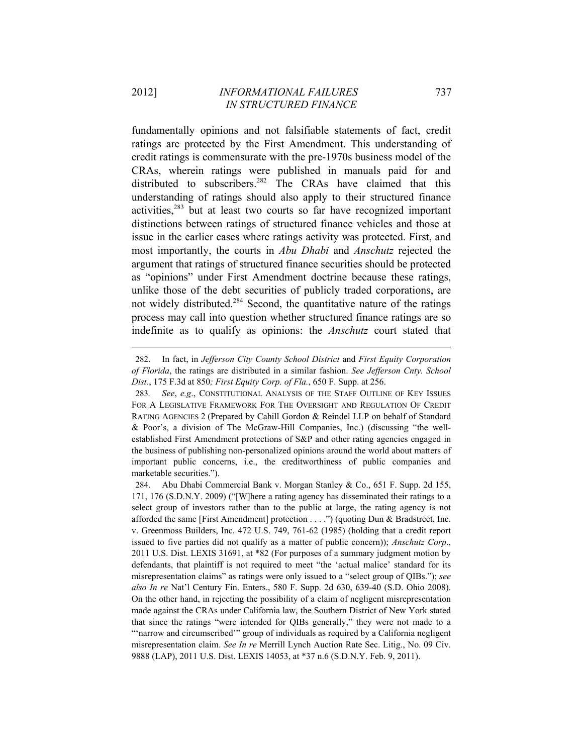fundamentally opinions and not falsifiable statements of fact, credit ratings are protected by the First Amendment. This understanding of credit ratings is commensurate with the pre-1970s business model of the CRAs, wherein ratings were published in manuals paid for and distributed to subscribers.<sup>282</sup> The CRAs have claimed that this understanding of ratings should also apply to their structured finance activities, $283$  but at least two courts so far have recognized important distinctions between ratings of structured finance vehicles and those at issue in the earlier cases where ratings activity was protected. First, and most importantly, the courts in *Abu Dhabi* and *Anschutz* rejected the argument that ratings of structured finance securities should be protected as "opinions" under First Amendment doctrine because these ratings, unlike those of the debt securities of publicly traded corporations, are not widely distributed.<sup>284</sup> Second, the quantitative nature of the ratings process may call into question whether structured finance ratings are so indefinite as to qualify as opinions: the *Anschutz* court stated that

<sup>282.</sup> In fact, in *Jefferson City County School District* and *First Equity Corporation of Florida*, the ratings are distributed in a similar fashion. *See Jefferson Cnty. School Dist.*, 175 F.3d at 850*; First Equity Corp. of Fla.*, 650 F. Supp. at 256.

<sup>283</sup>*. See*, *e.g*., CONSTITUTIONAL ANALYSIS OF THE STAFF OUTLINE OF KEY ISSUES FOR A LEGISLATIVE FRAMEWORK FOR THE OVERSIGHT AND REGULATION OF CREDIT RATING AGENCIES 2 (Prepared by Cahill Gordon & Reindel LLP on behalf of Standard & Poor's, a division of The McGraw-Hill Companies, Inc.) (discussing "the wellestablished First Amendment protections of S&P and other rating agencies engaged in the business of publishing non-personalized opinions around the world about matters of important public concerns, i.e., the creditworthiness of public companies and marketable securities.").

<sup>284.</sup> Abu Dhabi Commercial Bank v. Morgan Stanley & Co., 651 F. Supp. 2d 155, 171, 176 (S.D.N.Y. 2009) ("[W]here a rating agency has disseminated their ratings to a select group of investors rather than to the public at large, the rating agency is not afforded the same [First Amendment] protection . . . .") (quoting Dun & Bradstreet, Inc. v. Greenmoss Builders, Inc. 472 U.S. 749, 761-62 (1985) (holding that a credit report issued to five parties did not qualify as a matter of public concern)); *Anschutz Corp*., 2011 U.S. Dist. LEXIS 31691, at \*82 (For purposes of a summary judgment motion by defendants, that plaintiff is not required to meet "the 'actual malice' standard for its misrepresentation claims" as ratings were only issued to a "select group of QIBs."); *see also In re* Nat'l Century Fin. Enters., 580 F. Supp. 2d 630, 639-40 (S.D. Ohio 2008). On the other hand, in rejecting the possibility of a claim of negligent misrepresentation made against the CRAs under California law, the Southern District of New York stated that since the ratings "were intended for QIBs generally," they were not made to a "'narrow and circumscribed"' group of individuals as required by a California negligent misrepresentation claim. *See In re* Merrill Lynch Auction Rate Sec. Litig., No. 09 Civ. 9888 (LAP), 2011 U.S. Dist. LEXIS 14053, at \*37 n.6 (S.D.N.Y. Feb. 9, 2011).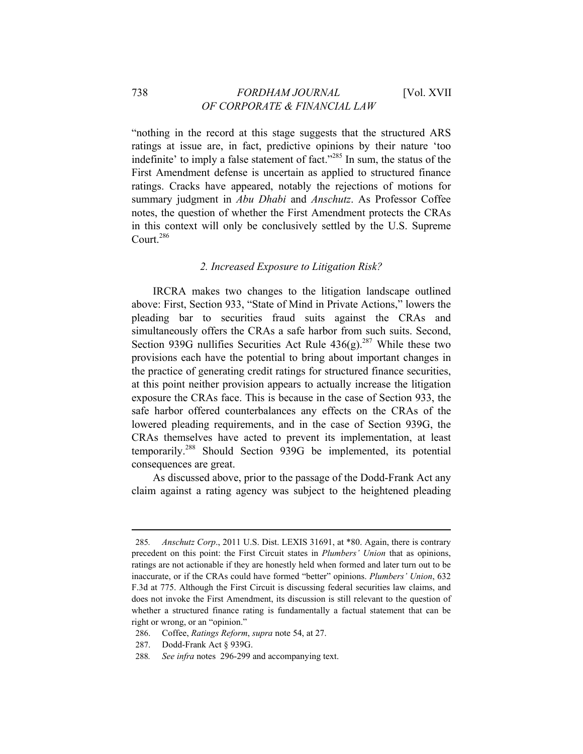# 738 *FORDHAM JOURNAL* [Vol. XVII *OF CORPORATE & FINANCIAL LAW*

"nothing in the record at this stage suggests that the structured ARS ratings at issue are, in fact, predictive opinions by their nature 'too indefinite' to imply a false statement of fact."285 In sum, the status of the First Amendment defense is uncertain as applied to structured finance ratings. Cracks have appeared, notably the rejections of motions for summary judgment in *Abu Dhabi* and *Anschutz*. As Professor Coffee notes, the question of whether the First Amendment protects the CRAs in this context will only be conclusively settled by the U.S. Supreme Court.286

## *2. Increased Exposure to Litigation Risk?*

IRCRA makes two changes to the litigation landscape outlined above: First, Section 933, "State of Mind in Private Actions," lowers the pleading bar to securities fraud suits against the CRAs and simultaneously offers the CRAs a safe harbor from such suits. Second, Section 939G nullifies Securities Act Rule  $436(g).^{287}$  While these two provisions each have the potential to bring about important changes in the practice of generating credit ratings for structured finance securities, at this point neither provision appears to actually increase the litigation exposure the CRAs face. This is because in the case of Section 933, the safe harbor offered counterbalances any effects on the CRAs of the lowered pleading requirements, and in the case of Section 939G, the CRAs themselves have acted to prevent its implementation, at least temporarily.288 Should Section 939G be implemented, its potential consequences are great.

As discussed above, prior to the passage of the Dodd-Frank Act any claim against a rating agency was subject to the heightened pleading

<sup>285</sup>*. Anschutz Corp*., 2011 U.S. Dist. LEXIS 31691, at \*80. Again, there is contrary precedent on this point: the First Circuit states in *Plumbers' Union* that as opinions, ratings are not actionable if they are honestly held when formed and later turn out to be inaccurate, or if the CRAs could have formed "better" opinions. *Plumbers' Union*, 632 F.3d at 775. Although the First Circuit is discussing federal securities law claims, and does not invoke the First Amendment, its discussion is still relevant to the question of whether a structured finance rating is fundamentally a factual statement that can be right or wrong, or an "opinion."

<sup>286.</sup> Coffee, *Ratings Reform*, *supra* note 54, at 27.

<sup>287.</sup> Dodd-Frank Act § 939G.

<sup>288</sup>*. See infra* notes 296-299 and accompanying text.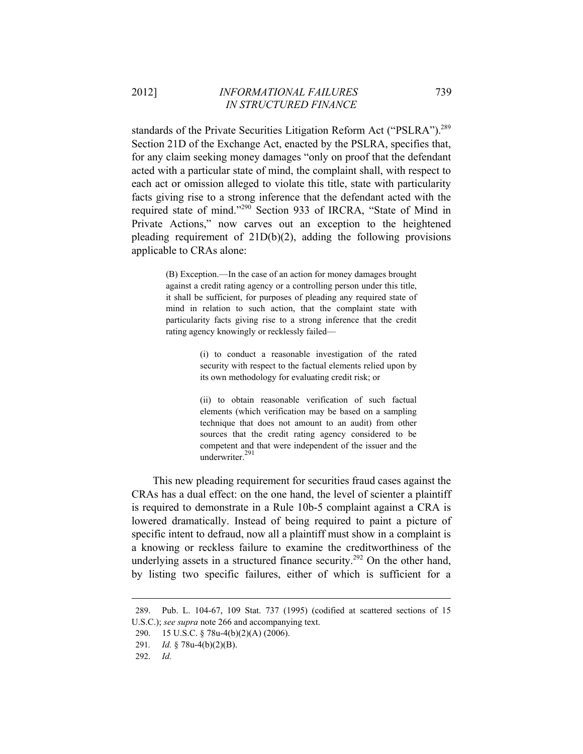standards of the Private Securities Litigation Reform Act ("PSLRA").<sup>289</sup> Section 21D of the Exchange Act, enacted by the PSLRA, specifies that, for any claim seeking money damages "only on proof that the defendant acted with a particular state of mind, the complaint shall, with respect to each act or omission alleged to violate this title, state with particularity facts giving rise to a strong inference that the defendant acted with the required state of mind."290 Section 933 of IRCRA, "State of Mind in Private Actions," now carves out an exception to the heightened pleading requirement of 21D(b)(2), adding the following provisions applicable to CRAs alone:

> (B) Exception.—In the case of an action for money damages brought against a credit rating agency or a controlling person under this title, it shall be sufficient, for purposes of pleading any required state of mind in relation to such action, that the complaint state with particularity facts giving rise to a strong inference that the credit rating agency knowingly or recklessly failed—

> > (i) to conduct a reasonable investigation of the rated security with respect to the factual elements relied upon by its own methodology for evaluating credit risk; or

> > (ii) to obtain reasonable verification of such factual elements (which verification may be based on a sampling technique that does not amount to an audit) from other sources that the credit rating agency considered to be competent and that were independent of the issuer and the underwriter.<sup>291</sup>

This new pleading requirement for securities fraud cases against the CRAs has a dual effect: on the one hand, the level of scienter a plaintiff is required to demonstrate in a Rule 10b-5 complaint against a CRA is lowered dramatically. Instead of being required to paint a picture of specific intent to defraud, now all a plaintiff must show in a complaint is a knowing or reckless failure to examine the creditworthiness of the underlying assets in a structured finance security.<sup>292</sup> On the other hand, by listing two specific failures, either of which is sufficient for a

<sup>289.</sup> Pub. L. 104-67, 109 Stat. 737 (1995) (codified at scattered sections of 15 U.S.C.); *see supra* note 266 and accompanying text.

<sup>290. 15</sup> U.S.C. § 78u-4(b)(2)(A) (2006).

<sup>291</sup>*. Id.* § 78u-4(b)(2)(B).

<sup>292.</sup> *Id.*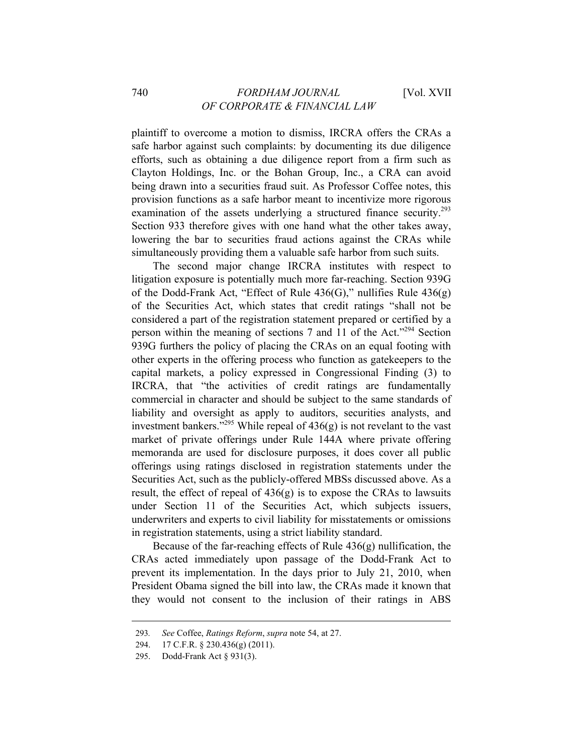plaintiff to overcome a motion to dismiss, IRCRA offers the CRAs a safe harbor against such complaints: by documenting its due diligence efforts, such as obtaining a due diligence report from a firm such as Clayton Holdings, Inc. or the Bohan Group, Inc., a CRA can avoid being drawn into a securities fraud suit. As Professor Coffee notes, this provision functions as a safe harbor meant to incentivize more rigorous examination of the assets underlying a structured finance security.<sup>293</sup> Section 933 therefore gives with one hand what the other takes away, lowering the bar to securities fraud actions against the CRAs while simultaneously providing them a valuable safe harbor from such suits.

The second major change IRCRA institutes with respect to litigation exposure is potentially much more far-reaching. Section 939G of the Dodd-Frank Act, "Effect of Rule 436(G)," nullifies Rule 436(g) of the Securities Act, which states that credit ratings "shall not be considered a part of the registration statement prepared or certified by a person within the meaning of sections 7 and 11 of the Act."294 Section 939G furthers the policy of placing the CRAs on an equal footing with other experts in the offering process who function as gatekeepers to the capital markets, a policy expressed in Congressional Finding (3) to IRCRA, that "the activities of credit ratings are fundamentally commercial in character and should be subject to the same standards of liability and oversight as apply to auditors, securities analysts, and investment bankers."<sup>295</sup> While repeal of  $436(g)$  is not revelant to the vast market of private offerings under Rule 144A where private offering memoranda are used for disclosure purposes, it does cover all public offerings using ratings disclosed in registration statements under the Securities Act, such as the publicly-offered MBSs discussed above. As a result, the effect of repeal of  $436(g)$  is to expose the CRAs to lawsuits under Section 11 of the Securities Act, which subjects issuers, underwriters and experts to civil liability for misstatements or omissions in registration statements, using a strict liability standard.

Because of the far-reaching effects of Rule 436(g) nullification, the CRAs acted immediately upon passage of the Dodd-Frank Act to prevent its implementation. In the days prior to July 21, 2010, when President Obama signed the bill into law, the CRAs made it known that they would not consent to the inclusion of their ratings in ABS

<sup>293</sup>*. See* Coffee, *Ratings Reform*, *supra* note 54, at 27.

<sup>294. 17</sup> C.F.R. § 230.436(g) (2011).

<sup>295.</sup> Dodd-Frank Act § 931(3).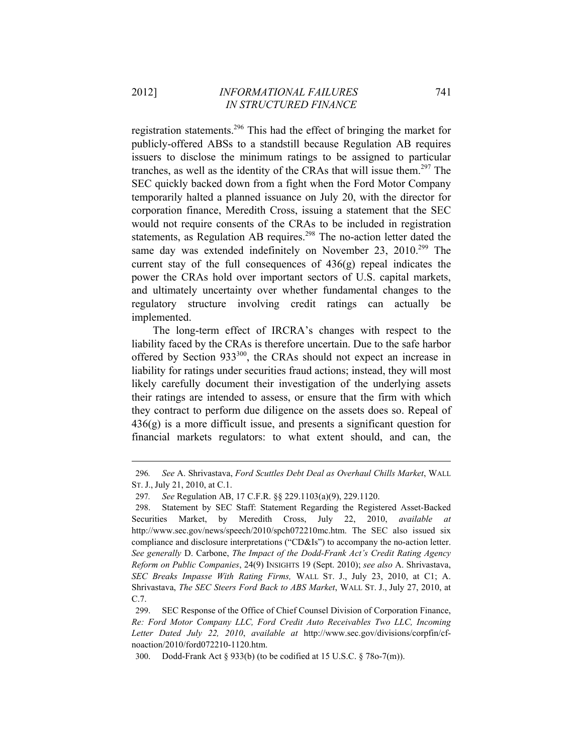registration statements.296 This had the effect of bringing the market for publicly-offered ABSs to a standstill because Regulation AB requires issuers to disclose the minimum ratings to be assigned to particular tranches, as well as the identity of the CRAs that will issue them.<sup>297</sup> The SEC quickly backed down from a fight when the Ford Motor Company temporarily halted a planned issuance on July 20, with the director for corporation finance, Meredith Cross, issuing a statement that the SEC would not require consents of the CRAs to be included in registration statements, as Regulation AB requires.<sup>298</sup> The no-action letter dated the same day was extended indefinitely on November 23,  $2010^{299}$  The current stay of the full consequences of  $436(g)$  repeal indicates the power the CRAs hold over important sectors of U.S. capital markets, and ultimately uncertainty over whether fundamental changes to the regulatory structure involving credit ratings can actually be implemented.

The long-term effect of IRCRA's changes with respect to the liability faced by the CRAs is therefore uncertain. Due to the safe harbor offered by Section 933<sup>300</sup>, the CRAs should not expect an increase in liability for ratings under securities fraud actions; instead, they will most likely carefully document their investigation of the underlying assets their ratings are intended to assess, or ensure that the firm with which they contract to perform due diligence on the assets does so. Repeal of  $436(g)$  is a more difficult issue, and presents a significant question for financial markets regulators: to what extent should, and can, the

<sup>296</sup>*. See* A. Shrivastava, *Ford Scuttles Debt Deal as Overhaul Chills Market*, WALL ST. J., July 21, 2010, at C.1.

<sup>297</sup>*. See* Regulation AB, 17 C.F.R. §§ 229.1103(a)(9), 229.1120.

<sup>298.</sup> Statement by SEC Staff: Statement Regarding the Registered Asset-Backed Securities Market, by Meredith Cross, July 22, 2010, *available at* http://www.sec.gov/news/speech/2010/spch072210mc.htm. The SEC also issued six compliance and disclosure interpretations ("CD&Is") to accompany the no-action letter. *See generally* D. Carbone, *The Impact of the Dodd-Frank Act's Credit Rating Agency Reform on Public Companies*, 24(9) INSIGHTS 19 (Sept. 2010); *see also* A. Shrivastava, *SEC Breaks Impasse With Rating Firms,* WALL ST. J., July 23, 2010, at C1; A. Shrivastava, *The SEC Steers Ford Back to ABS Market*, WALL ST. J., July 27, 2010, at C.7.

<sup>299.</sup> SEC Response of the Office of Chief Counsel Division of Corporation Finance, *Re: Ford Motor Company LLC, Ford Credit Auto Receivables Two LLC, Incoming Letter Dated July 22, 2010*, *available at* http://www.sec.gov/divisions/corpfin/cfnoaction/2010/ford072210-1120.htm.

<sup>300.</sup> Dodd-Frank Act § 933(b) (to be codified at 15 U.S.C. § 78o-7(m)).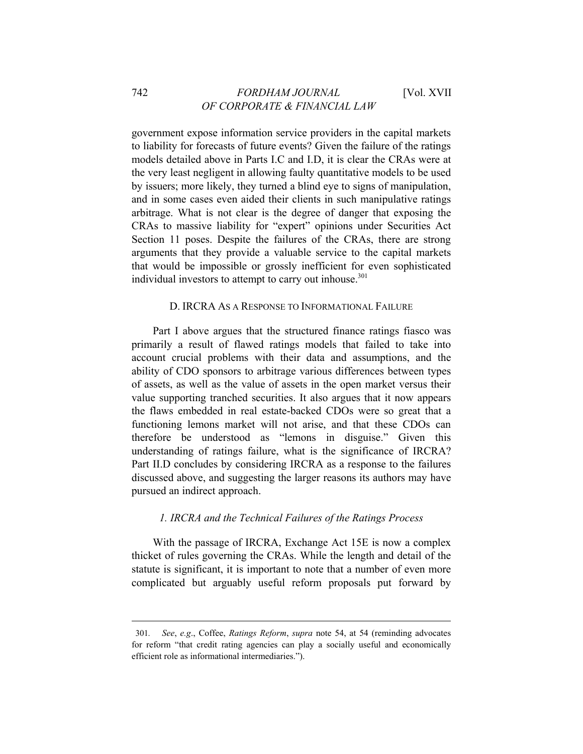government expose information service providers in the capital markets to liability for forecasts of future events? Given the failure of the ratings models detailed above in Parts I.C and I.D, it is clear the CRAs were at the very least negligent in allowing faulty quantitative models to be used by issuers; more likely, they turned a blind eye to signs of manipulation, and in some cases even aided their clients in such manipulative ratings arbitrage. What is not clear is the degree of danger that exposing the CRAs to massive liability for "expert" opinions under Securities Act Section 11 poses. Despite the failures of the CRAs, there are strong arguments that they provide a valuable service to the capital markets that would be impossible or grossly inefficient for even sophisticated individual investors to attempt to carry out inhouse. $301$ 

#### D. IRCRA AS A RESPONSE TO INFORMATIONAL FAILURE

Part I above argues that the structured finance ratings fiasco was primarily a result of flawed ratings models that failed to take into account crucial problems with their data and assumptions, and the ability of CDO sponsors to arbitrage various differences between types of assets, as well as the value of assets in the open market versus their value supporting tranched securities. It also argues that it now appears the flaws embedded in real estate-backed CDOs were so great that a functioning lemons market will not arise, and that these CDOs can therefore be understood as "lemons in disguise." Given this understanding of ratings failure, what is the significance of IRCRA? Part II.D concludes by considering IRCRA as a response to the failures discussed above, and suggesting the larger reasons its authors may have pursued an indirect approach.

## *1. IRCRA and the Technical Failures of the Ratings Process*

With the passage of IRCRA, Exchange Act 15E is now a complex thicket of rules governing the CRAs. While the length and detail of the statute is significant, it is important to note that a number of even more complicated but arguably useful reform proposals put forward by

<sup>301</sup>*. See*, *e.g*., Coffee, *Ratings Reform*, *supra* note 54, at 54 (reminding advocates for reform "that credit rating agencies can play a socially useful and economically efficient role as informational intermediaries.").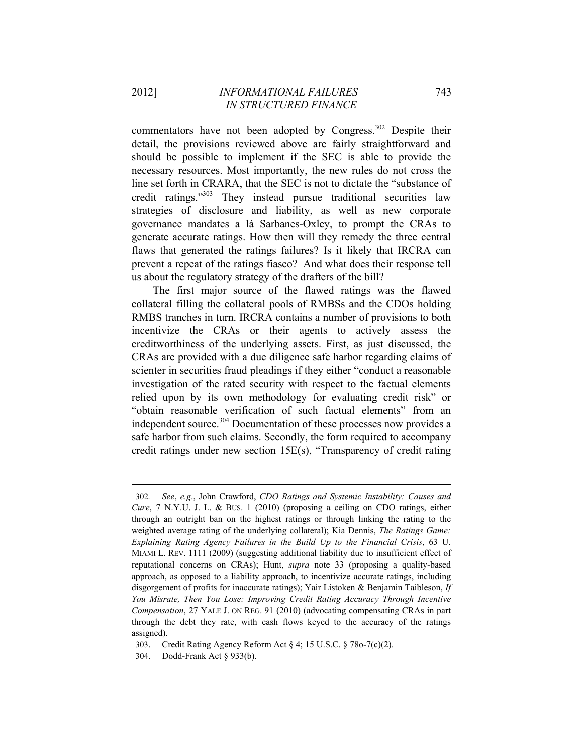commentators have not been adopted by Congress. $302$  Despite their detail, the provisions reviewed above are fairly straightforward and should be possible to implement if the SEC is able to provide the necessary resources. Most importantly, the new rules do not cross the line set forth in CRARA, that the SEC is not to dictate the "substance of credit ratings."303 They instead pursue traditional securities law strategies of disclosure and liability, as well as new corporate governance mandates a là Sarbanes-Oxley, to prompt the CRAs to generate accurate ratings. How then will they remedy the three central flaws that generated the ratings failures? Is it likely that IRCRA can prevent a repeat of the ratings fiasco? And what does their response tell us about the regulatory strategy of the drafters of the bill?

The first major source of the flawed ratings was the flawed collateral filling the collateral pools of RMBSs and the CDOs holding RMBS tranches in turn. IRCRA contains a number of provisions to both incentivize the CRAs or their agents to actively assess the creditworthiness of the underlying assets. First, as just discussed, the CRAs are provided with a due diligence safe harbor regarding claims of scienter in securities fraud pleadings if they either "conduct a reasonable investigation of the rated security with respect to the factual elements relied upon by its own methodology for evaluating credit risk" or "obtain reasonable verification of such factual elements" from an independent source.<sup>304</sup> Documentation of these processes now provides a safe harbor from such claims. Secondly, the form required to accompany credit ratings under new section 15E(s), "Transparency of credit rating

303. Credit Rating Agency Reform Act § 4; 15 U.S.C. § 78o-7(c)(2).

<sup>302</sup>*. See*, *e.g*., John Crawford, *CDO Ratings and Systemic Instability: Causes and Cure*, 7 N.Y.U. J. L. & BUS. 1 (2010) (proposing a ceiling on CDO ratings, either through an outright ban on the highest ratings or through linking the rating to the weighted average rating of the underlying collateral); Kia Dennis, *The Ratings Game: Explaining Rating Agency Failures in the Build Up to the Financial Crisis*, 63 U. MIAMI L. REV. 1111 (2009) (suggesting additional liability due to insufficient effect of reputational concerns on CRAs); Hunt, *supra* note 33 (proposing a quality-based approach, as opposed to a liability approach, to incentivize accurate ratings, including disgorgement of profits for inaccurate ratings); Yair Listoken & Benjamin Taibleson, *If You Misrate, Then You Lose: Improving Credit Rating Accuracy Through Incentive Compensation*, 27 YALE J. ON REG. 91 (2010) (advocating compensating CRAs in part through the debt they rate, with cash flows keyed to the accuracy of the ratings assigned).

<sup>304.</sup> Dodd-Frank Act § 933(b).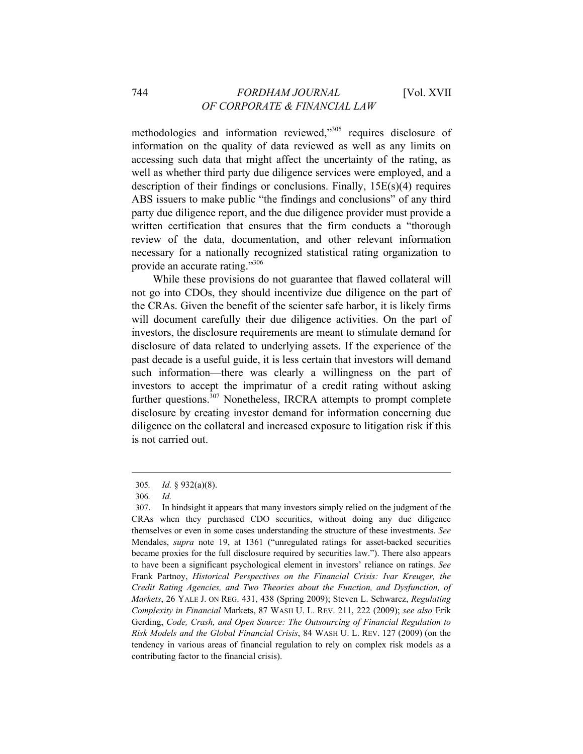# 744 *FORDHAM JOURNAL* [Vol. XVII *OF CORPORATE & FINANCIAL LAW*

methodologies and information reviewed,"305 requires disclosure of information on the quality of data reviewed as well as any limits on accessing such data that might affect the uncertainty of the rating, as well as whether third party due diligence services were employed, and a description of their findings or conclusions. Finally, 15E(s)(4) requires ABS issuers to make public "the findings and conclusions" of any third party due diligence report, and the due diligence provider must provide a written certification that ensures that the firm conducts a "thorough review of the data, documentation, and other relevant information necessary for a nationally recognized statistical rating organization to provide an accurate rating."306

While these provisions do not guarantee that flawed collateral will not go into CDOs, they should incentivize due diligence on the part of the CRAs. Given the benefit of the scienter safe harbor, it is likely firms will document carefully their due diligence activities. On the part of investors, the disclosure requirements are meant to stimulate demand for disclosure of data related to underlying assets. If the experience of the past decade is a useful guide, it is less certain that investors will demand such information—there was clearly a willingness on the part of investors to accept the imprimatur of a credit rating without asking further questions.<sup>307</sup> Nonetheless, IRCRA attempts to prompt complete disclosure by creating investor demand for information concerning due diligence on the collateral and increased exposure to litigation risk if this is not carried out.

<sup>305</sup>*. Id.* § 932(a)(8).

<sup>306</sup>*. Id.*

<sup>307.</sup> In hindsight it appears that many investors simply relied on the judgment of the CRAs when they purchased CDO securities, without doing any due diligence themselves or even in some cases understanding the structure of these investments. *See* Mendales, *supra* note 19, at 1361 ("unregulated ratings for asset-backed securities became proxies for the full disclosure required by securities law."). There also appears to have been a significant psychological element in investors' reliance on ratings. *See* Frank Partnoy, *Historical Perspectives on the Financial Crisis: Ivar Kreuger, the Credit Rating Agencies, and Two Theories about the Function, and Dysfunction, of Markets*, 26 YALE J. ON REG. 431, 438 (Spring 2009); Steven L. Schwarcz, *Regulating Complexity in Financial* Markets, 87 WASH U. L. REV. 211, 222 (2009); *see also* Erik Gerding, *Code, Crash, and Open Source: The Outsourcing of Financial Regulation to Risk Models and the Global Financial Crisis*, 84 WASH U. L. REV. 127 (2009) (on the tendency in various areas of financial regulation to rely on complex risk models as a contributing factor to the financial crisis).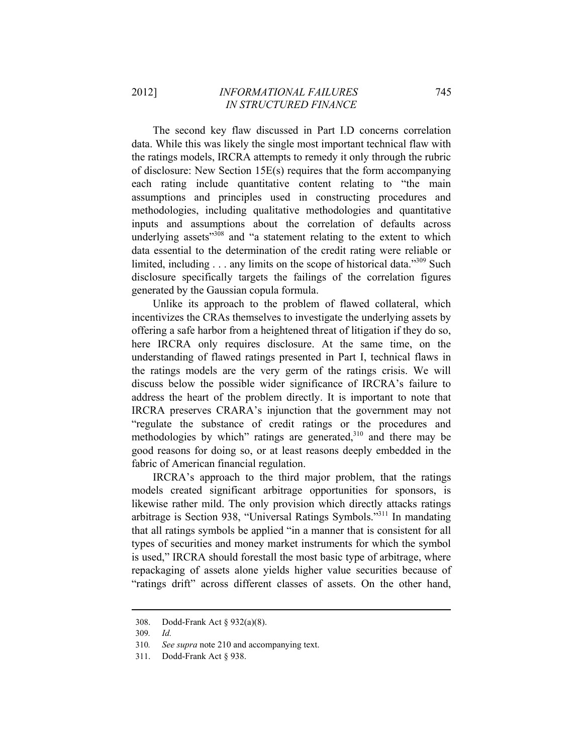The second key flaw discussed in Part I.D concerns correlation data. While this was likely the single most important technical flaw with the ratings models, IRCRA attempts to remedy it only through the rubric of disclosure: New Section 15E(s) requires that the form accompanying each rating include quantitative content relating to "the main assumptions and principles used in constructing procedures and methodologies, including qualitative methodologies and quantitative inputs and assumptions about the correlation of defaults across underlying assets<sup>"308</sup> and "a statement relating to the extent to which data essential to the determination of the credit rating were reliable or limited, including  $\ldots$  any limits on the scope of historical data."<sup>309</sup> Such disclosure specifically targets the failings of the correlation figures generated by the Gaussian copula formula.

Unlike its approach to the problem of flawed collateral, which incentivizes the CRAs themselves to investigate the underlying assets by offering a safe harbor from a heightened threat of litigation if they do so, here IRCRA only requires disclosure. At the same time, on the understanding of flawed ratings presented in Part I, technical flaws in the ratings models are the very germ of the ratings crisis. We will discuss below the possible wider significance of IRCRA's failure to address the heart of the problem directly. It is important to note that IRCRA preserves CRARA's injunction that the government may not "regulate the substance of credit ratings or the procedures and methodologies by which" ratings are generated, $310$  and there may be good reasons for doing so, or at least reasons deeply embedded in the fabric of American financial regulation.

IRCRA's approach to the third major problem, that the ratings models created significant arbitrage opportunities for sponsors, is likewise rather mild. The only provision which directly attacks ratings arbitrage is Section 938, "Universal Ratings Symbols."311 In mandating that all ratings symbols be applied "in a manner that is consistent for all types of securities and money market instruments for which the symbol is used," IRCRA should forestall the most basic type of arbitrage, where repackaging of assets alone yields higher value securities because of "ratings drift" across different classes of assets. On the other hand,

<sup>308.</sup> Dodd-Frank Act § 932(a)(8).

<sup>309</sup>*. Id.*

<sup>310</sup>*. See supra* note 210 and accompanying text.

<sup>311.</sup> Dodd-Frank Act § 938.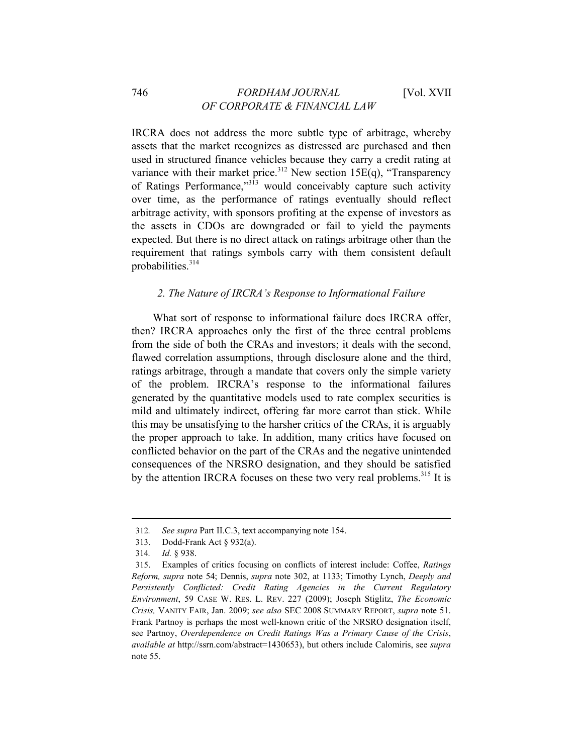IRCRA does not address the more subtle type of arbitrage, whereby assets that the market recognizes as distressed are purchased and then used in structured finance vehicles because they carry a credit rating at variance with their market price.<sup>312</sup> New section  $15E(q)$ , "Transparency" of Ratings Performance,"313 would conceivably capture such activity over time, as the performance of ratings eventually should reflect arbitrage activity, with sponsors profiting at the expense of investors as the assets in CDOs are downgraded or fail to yield the payments expected. But there is no direct attack on ratings arbitrage other than the requirement that ratings symbols carry with them consistent default probabilities.<sup>314</sup>

## *2. The Nature of IRCRA's Response to Informational Failure*

What sort of response to informational failure does IRCRA offer, then? IRCRA approaches only the first of the three central problems from the side of both the CRAs and investors; it deals with the second, flawed correlation assumptions, through disclosure alone and the third, ratings arbitrage, through a mandate that covers only the simple variety of the problem. IRCRA's response to the informational failures generated by the quantitative models used to rate complex securities is mild and ultimately indirect, offering far more carrot than stick. While this may be unsatisfying to the harsher critics of the CRAs, it is arguably the proper approach to take. In addition, many critics have focused on conflicted behavior on the part of the CRAs and the negative unintended consequences of the NRSRO designation, and they should be satisfied by the attention IRCRA focuses on these two very real problems.<sup>315</sup> It is

<sup>312</sup>*. See supra* Part II.C.3, text accompanying note 154.

<sup>313.</sup> Dodd-Frank Act § 932(a).

<sup>314</sup>*. Id.* § 938.

<sup>315.</sup> Examples of critics focusing on conflicts of interest include: Coffee, *Ratings Reform, supra* note 54; Dennis, *supra* note 302, at 1133; Timothy Lynch, *Deeply and Persistently Conflicted: Credit Rating Agencies in the Current Regulatory Environment*, 59 CASE W. RES. L. REV. 227 (2009); Joseph Stiglitz, *The Economic Crisis,* VANITY FAIR, Jan. 2009; *see also* SEC 2008 SUMMARY REPORT, *supra* note 51. Frank Partnoy is perhaps the most well-known critic of the NRSRO designation itself, see Partnoy, *Overdependence on Credit Ratings Was a Primary Cause of the Crisis*, *available at* http://ssrn.com/abstract=1430653), but others include Calomiris, see *supra* note 55.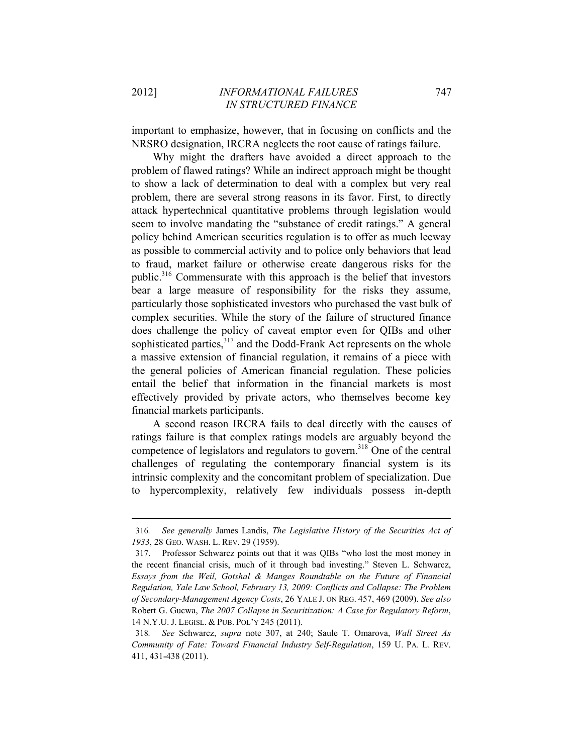$\overline{a}$ 

important to emphasize, however, that in focusing on conflicts and the NRSRO designation, IRCRA neglects the root cause of ratings failure.

Why might the drafters have avoided a direct approach to the problem of flawed ratings? While an indirect approach might be thought to show a lack of determination to deal with a complex but very real problem, there are several strong reasons in its favor. First, to directly attack hypertechnical quantitative problems through legislation would seem to involve mandating the "substance of credit ratings." A general policy behind American securities regulation is to offer as much leeway as possible to commercial activity and to police only behaviors that lead to fraud, market failure or otherwise create dangerous risks for the public.316 Commensurate with this approach is the belief that investors bear a large measure of responsibility for the risks they assume, particularly those sophisticated investors who purchased the vast bulk of complex securities. While the story of the failure of structured finance does challenge the policy of caveat emptor even for QIBs and other sophisticated parties,<sup>317</sup> and the Dodd-Frank Act represents on the whole a massive extension of financial regulation, it remains of a piece with the general policies of American financial regulation. These policies entail the belief that information in the financial markets is most effectively provided by private actors, who themselves become key financial markets participants.

A second reason IRCRA fails to deal directly with the causes of ratings failure is that complex ratings models are arguably beyond the competence of legislators and regulators to govern.<sup>318</sup> One of the central challenges of regulating the contemporary financial system is its intrinsic complexity and the concomitant problem of specialization. Due to hypercomplexity, relatively few individuals possess in-depth

<sup>316</sup>*. See generally* James Landis, *The Legislative History of the Securities Act of 1933*, 28 GEO. WASH. L. REV. 29 (1959).

<sup>317.</sup> Professor Schwarcz points out that it was QIBs "who lost the most money in the recent financial crisis, much of it through bad investing." Steven L. Schwarcz, *Essays from the Weil, Gotshal & Manges Roundtable on the Future of Financial Regulation, Yale Law School, February 13, 2009: Conflicts and Collapse: The Problem of Secondary-Management Agency Costs*, 26 YALE J. ON REG. 457, 469 (2009). *See also* Robert G. Gucwa, *The 2007 Collapse in Securitization: A Case for Regulatory Reform*, 14 N.Y.U. J. LEGISL. & PUB. POL'Y 245 (2011).

<sup>318</sup>*. See* Schwarcz, *supra* note 307, at 240; Saule T. Omarova, *Wall Street As Community of Fate: Toward Financial Industry Self-Regulation*, 159 U. PA. L. REV. 411, 431-438 (2011).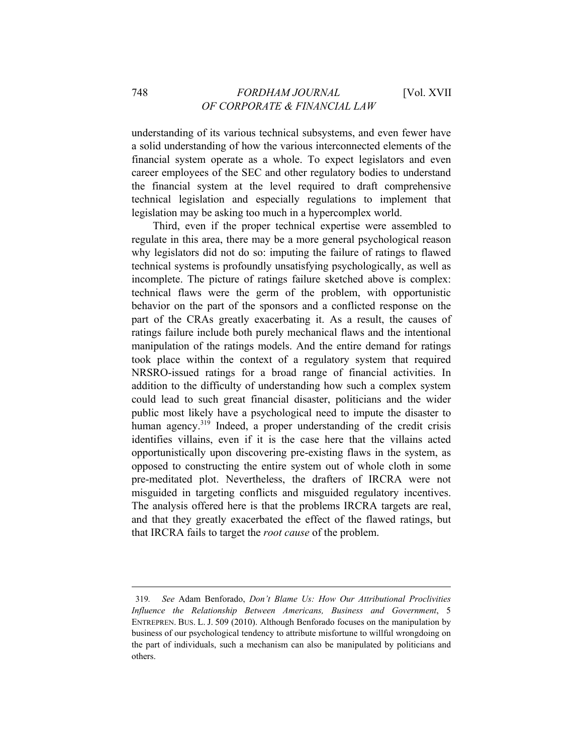understanding of its various technical subsystems, and even fewer have a solid understanding of how the various interconnected elements of the financial system operate as a whole. To expect legislators and even career employees of the SEC and other regulatory bodies to understand the financial system at the level required to draft comprehensive technical legislation and especially regulations to implement that legislation may be asking too much in a hypercomplex world.

Third, even if the proper technical expertise were assembled to regulate in this area, there may be a more general psychological reason why legislators did not do so: imputing the failure of ratings to flawed technical systems is profoundly unsatisfying psychologically, as well as incomplete. The picture of ratings failure sketched above is complex: technical flaws were the germ of the problem, with opportunistic behavior on the part of the sponsors and a conflicted response on the part of the CRAs greatly exacerbating it. As a result, the causes of ratings failure include both purely mechanical flaws and the intentional manipulation of the ratings models. And the entire demand for ratings took place within the context of a regulatory system that required NRSRO-issued ratings for a broad range of financial activities. In addition to the difficulty of understanding how such a complex system could lead to such great financial disaster, politicians and the wider public most likely have a psychological need to impute the disaster to human agency.<sup>319</sup> Indeed, a proper understanding of the credit crisis identifies villains, even if it is the case here that the villains acted opportunistically upon discovering pre-existing flaws in the system, as opposed to constructing the entire system out of whole cloth in some pre-meditated plot. Nevertheless, the drafters of IRCRA were not misguided in targeting conflicts and misguided regulatory incentives. The analysis offered here is that the problems IRCRA targets are real, and that they greatly exacerbated the effect of the flawed ratings, but that IRCRA fails to target the *root cause* of the problem.

<sup>319</sup>*. See* Adam Benforado, *Don't Blame Us: How Our Attributional Proclivities Influence the Relationship Between Americans, Business and Government*, 5 ENTREPREN. BUS. L. J. 509 (2010). Although Benforado focuses on the manipulation by business of our psychological tendency to attribute misfortune to willful wrongdoing on the part of individuals, such a mechanism can also be manipulated by politicians and others.